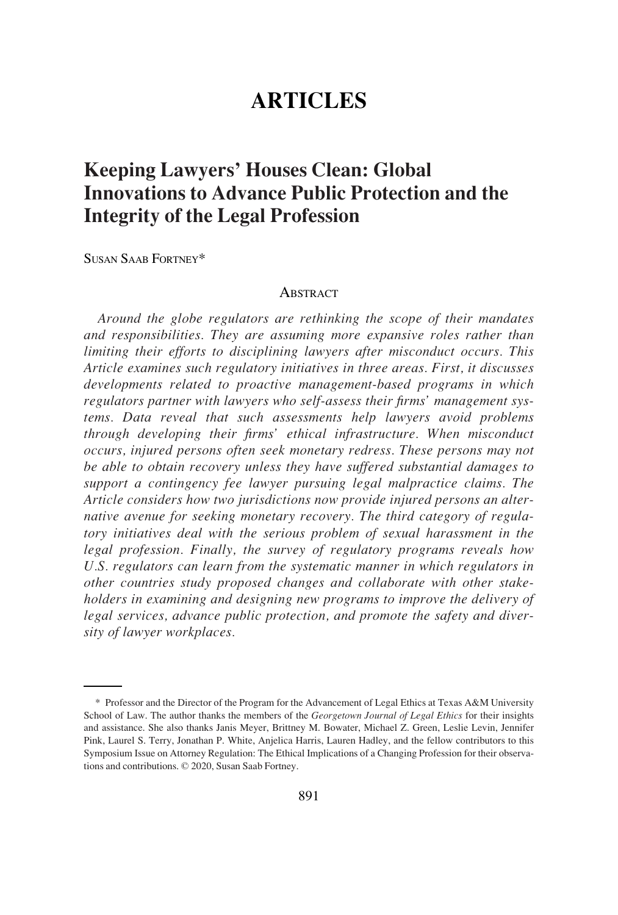# **ARTICLES**

# **Keeping Lawyers' Houses Clean: Global Innovations to Advance Public Protection and the Integrity of the Legal Profession**

SUSAN SAAB FORTNEY\*

#### **ABSTRACT**

*Around the globe regulators are rethinking the scope of their mandates and responsibilities. They are assuming more expansive roles rather than limiting their efforts to disciplining lawyers after misconduct occurs. This Article examines such regulatory initiatives in three areas. First, it discusses developments related to proactive management-based programs in which regulators partner with lawyers who self-assess their firms' management systems. Data reveal that such assessments help lawyers avoid problems through developing their firms' ethical infrastructure. When misconduct occurs, injured persons often seek monetary redress. These persons may not be able to obtain recovery unless they have suffered substantial damages to support a contingency fee lawyer pursuing legal malpractice claims. The Article considers how two jurisdictions now provide injured persons an alternative avenue for seeking monetary recovery. The third category of regulatory initiatives deal with the serious problem of sexual harassment in the legal profession. Finally, the survey of regulatory programs reveals how U.S. regulators can learn from the systematic manner in which regulators in other countries study proposed changes and collaborate with other stakeholders in examining and designing new programs to improve the delivery of legal services, advance public protection, and promote the safety and diversity of lawyer workplaces.* 

<sup>\*</sup> Professor and the Director of the Program for the Advancement of Legal Ethics at Texas A&M University School of Law. The author thanks the members of the *Georgetown Journal of Legal Ethics* for their insights and assistance. She also thanks Janis Meyer, Brittney M. Bowater, Michael Z. Green, Leslie Levin, Jennifer Pink, Laurel S. Terry, Jonathan P. White, Anjelica Harris, Lauren Hadley, and the fellow contributors to this Symposium Issue on Attorney Regulation: The Ethical Implications of a Changing Profession for their observations and contributions. © 2020, Susan Saab Fortney.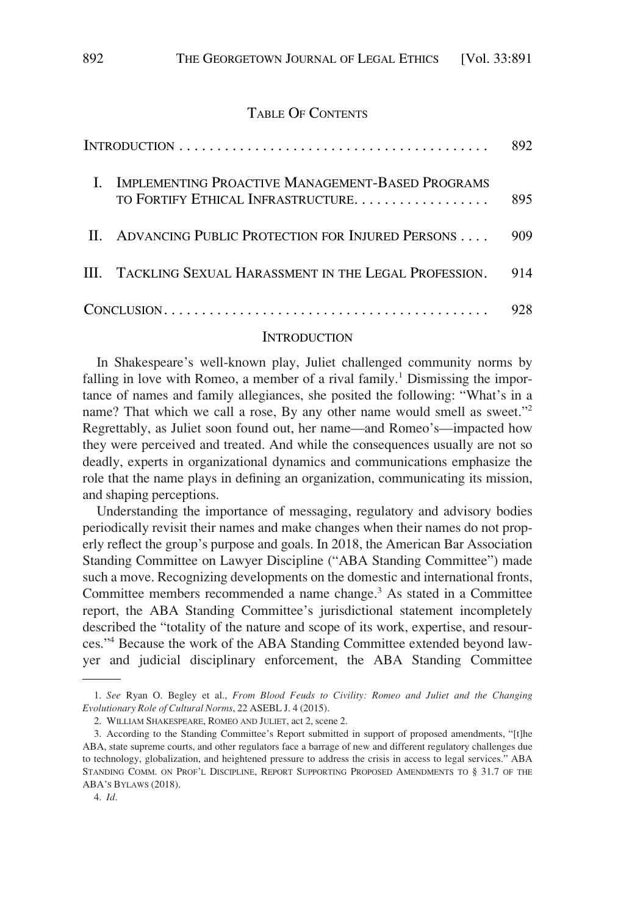### TABLE OF CONTENTS

|  |                                                                                        | 892. |
|--|----------------------------------------------------------------------------------------|------|
|  | IMPLEMENTING PROACTIVE MANAGEMENT-BASED PROGRAMS<br>TO FORTIFY ETHICAL INFRASTRUCTURE. | 895  |
|  | II. ADVANCING PUBLIC PROTECTION FOR INJURED PERSONS                                    | 909  |
|  | III. TACKLING SEXUAL HARASSMENT IN THE LEGAL PROFESSION.                               | 914  |
|  |                                                                                        | 928. |

### **INTRODUCTION**

In Shakespeare's well-known play, Juliet challenged community norms by falling in love with Romeo, a member of a rival family.<sup>1</sup> Dismissing the importance of names and family allegiances, she posited the following: "What's in a name? That which we call a rose, By any other name would smell as sweet."<sup>2</sup> Regrettably, as Juliet soon found out, her name—and Romeo's—impacted how they were perceived and treated. And while the consequences usually are not so deadly, experts in organizational dynamics and communications emphasize the role that the name plays in defining an organization, communicating its mission, and shaping perceptions.

Understanding the importance of messaging, regulatory and advisory bodies periodically revisit their names and make changes when their names do not properly reflect the group's purpose and goals. In 2018, the American Bar Association Standing Committee on Lawyer Discipline ("ABA Standing Committee") made such a move. Recognizing developments on the domestic and international fronts, Committee members recommended a name change.<sup>3</sup> As stated in a Committee report, the ABA Standing Committee's jurisdictional statement incompletely described the "totality of the nature and scope of its work, expertise, and resources."4 Because the work of the ABA Standing Committee extended beyond lawyer and judicial disciplinary enforcement, the ABA Standing Committee

<sup>1.</sup> *See* Ryan O. Begley et al., *From Blood Feuds to Civility: Romeo and Juliet and the Changing Evolutionary Role of Cultural Norms*, 22 ASEBL J. 4 (2015).

<sup>2.</sup> WILLIAM SHAKESPEARE, ROMEO AND JULIET, act 2, scene 2.

<sup>3.</sup> According to the Standing Committee's Report submitted in support of proposed amendments, "[t]he ABA, state supreme courts, and other regulators face a barrage of new and different regulatory challenges due to technology, globalization, and heightened pressure to address the crisis in access to legal services." ABA STANDING COMM. ON PROF'L DISCIPLINE, REPORT SUPPORTING PROPOSED AMENDMENTS TO § 31.7 OF THE ABA'S BYLAWS (2018).

<sup>4.</sup> *Id*.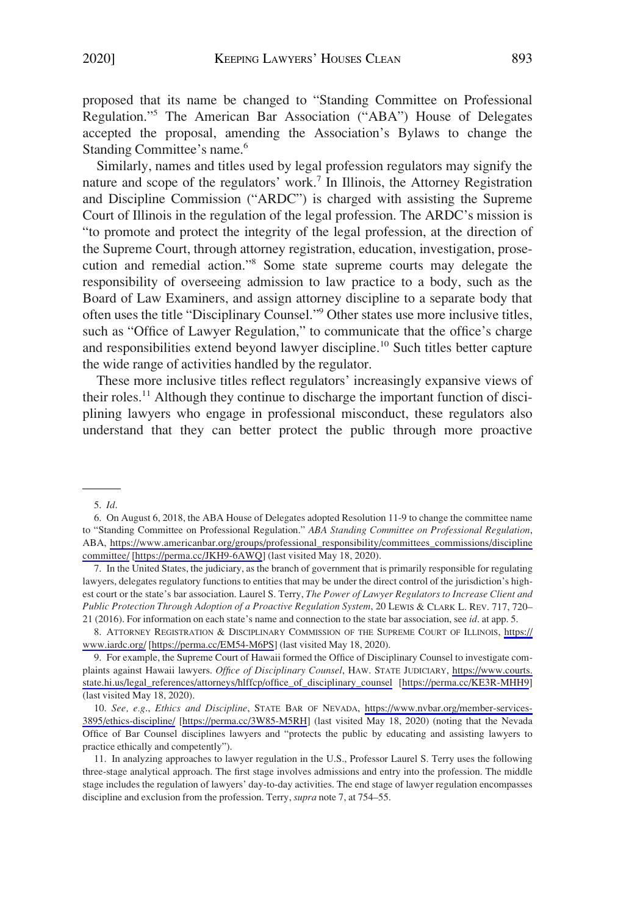proposed that its name be changed to "Standing Committee on Professional Regulation."5 The American Bar Association ("ABA") House of Delegates accepted the proposal, amending the Association's Bylaws to change the Standing Committee's name.<sup>6</sup>

Similarly, names and titles used by legal profession regulators may signify the nature and scope of the regulators' work.7 In Illinois, the Attorney Registration and Discipline Commission ("ARDC") is charged with assisting the Supreme Court of Illinois in the regulation of the legal profession. The ARDC's mission is "to promote and protect the integrity of the legal profession, at the direction of the Supreme Court, through attorney registration, education, investigation, prosecution and remedial action."8 Some state supreme courts may delegate the responsibility of overseeing admission to law practice to a body, such as the Board of Law Examiners, and assign attorney discipline to a separate body that often uses the title "Disciplinary Counsel."9 Other states use more inclusive titles, such as "Office of Lawyer Regulation," to communicate that the office's charge and responsibilities extend beyond lawyer discipline.<sup>10</sup> Such titles better capture the wide range of activities handled by the regulator.

These more inclusive titles reflect regulators' increasingly expansive views of their roles.11 Although they continue to discharge the important function of disciplining lawyers who engage in professional misconduct, these regulators also understand that they can better protect the public through more proactive

ATTORNEY REGISTRATION & DISCIPLINARY COMMISSION OF THE SUPREME COURT OF ILLINOIS, [https://](https://www.iardc.org/) 8. [www.iardc.org/](https://www.iardc.org/) [\[https://perma.cc/EM54-M6PS](https://perma.cc/EM54-M6PS)] (last visited May 18, 2020).

9. For example, the Supreme Court of Hawaii formed the Office of Disciplinary Counsel to investigate complaints against Hawaii lawyers. *Office of Disciplinary Counsel*, HAW. STATE JUDICIARY, [https://www.courts.](https://www.courts.state.hi.us/legal_references/attorneys/hlffcp/office_of_disciplinary_counsel) [state.hi.us/legal\\_references/attorneys/hlffcp/office\\_of\\_disciplinary\\_counsel](https://www.courts.state.hi.us/legal_references/attorneys/hlffcp/office_of_disciplinary_counsel) [\[https://perma.cc/KE3R-MHH9](https://perma.cc/KE3R-MHH9)] (last visited May 18, 2020).

*See, e.g*., *Ethics and Discipline*, STATE BAR OF NEVADA, [https://www.nvbar.org/member-services-](https://www.nvbar.org/member-services-3895/ethics-discipline/)10. [3895/ethics-discipline/](https://www.nvbar.org/member-services-3895/ethics-discipline/) [\[https://perma.cc/3W85-M5RH](https://perma.cc/3W85-M5RH)] (last visited May 18, 2020) (noting that the Nevada Office of Bar Counsel disciplines lawyers and "protects the public by educating and assisting lawyers to practice ethically and competently").

11. In analyzing approaches to lawyer regulation in the U.S., Professor Laurel S. Terry uses the following three-stage analytical approach. The first stage involves admissions and entry into the profession. The middle stage includes the regulation of lawyers' day-to-day activities. The end stage of lawyer regulation encompasses discipline and exclusion from the profession. Terry, *supra* note 7, at 754–55.

<sup>5.</sup> *Id*.

<sup>6.</sup> On August 6, 2018, the ABA House of Delegates adopted Resolution 11-9 to change the committee name to "Standing Committee on Professional Regulation." *ABA Standing Committee on Professional Regulation*, ABA, [https://www.americanbar.org/groups/professional\\_responsibility/committees\\_commissions/discipline](https://www.americanbar.org/groups/professional_responsibility/committees_commissions/disciplinecommittee/) [committee/](https://www.americanbar.org/groups/professional_responsibility/committees_commissions/disciplinecommittee/) [\[https://perma.cc/JKH9-6AWQ](https://perma.cc/JKH9-6AWQ)] (last visited May 18, 2020).

<sup>7.</sup> In the United States, the judiciary, as the branch of government that is primarily responsible for regulating lawyers, delegates regulatory functions to entities that may be under the direct control of the jurisdiction's highest court or the state's bar association. Laurel S. Terry, *The Power of Lawyer Regulators to Increase Client and Public Protection Through Adoption of a Proactive Regulation System*, 20 LEWIS & CLARK L. REV. 717, 720– 21 (2016). For information on each state's name and connection to the state bar association, see *id*. at app. 5.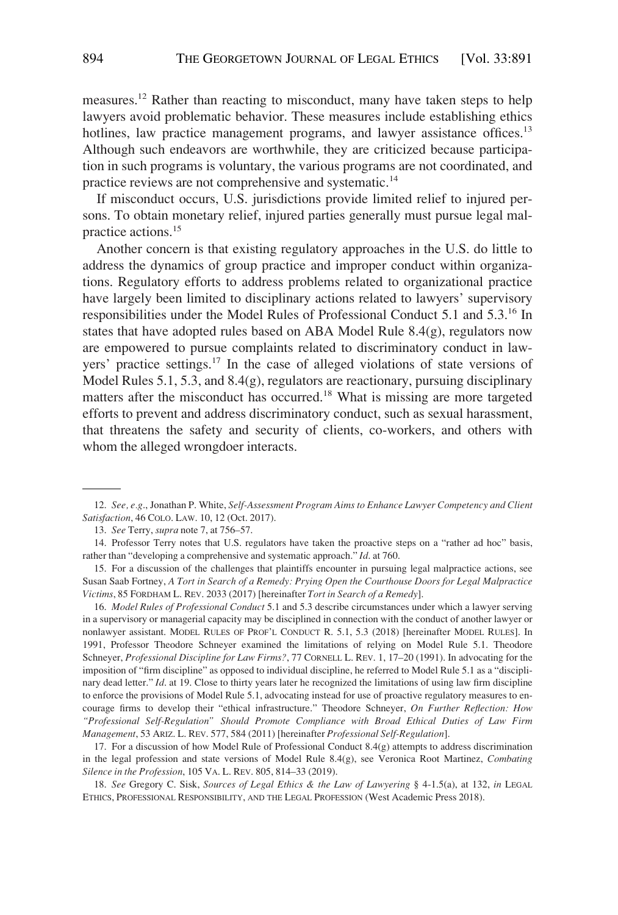measures.<sup>12</sup> Rather than reacting to misconduct, many have taken steps to help lawyers avoid problematic behavior. These measures include establishing ethics hotlines, law practice management programs, and lawyer assistance offices.<sup>13</sup> Although such endeavors are worthwhile, they are criticized because participation in such programs is voluntary, the various programs are not coordinated, and practice reviews are not comprehensive and systematic.14

If misconduct occurs, U.S. jurisdictions provide limited relief to injured persons. To obtain monetary relief, injured parties generally must pursue legal malpractice actions.15

Another concern is that existing regulatory approaches in the U.S. do little to address the dynamics of group practice and improper conduct within organizations. Regulatory efforts to address problems related to organizational practice have largely been limited to disciplinary actions related to lawyers' supervisory responsibilities under the Model Rules of Professional Conduct 5.1 and 5.3.16 In states that have adopted rules based on ABA Model Rule 8.4(g), regulators now are empowered to pursue complaints related to discriminatory conduct in lawyers' practice settings. $17$  In the case of alleged violations of state versions of Model Rules 5.1, 5.3, and 8.4(g), regulators are reactionary, pursuing disciplinary matters after the misconduct has occurred.<sup>18</sup> What is missing are more targeted efforts to prevent and address discriminatory conduct, such as sexual harassment, that threatens the safety and security of clients, co-workers, and others with whom the alleged wrongdoer interacts.

16. *Model Rules of Professional Conduct* 5.1 and 5.3 describe circumstances under which a lawyer serving in a supervisory or managerial capacity may be disciplined in connection with the conduct of another lawyer or nonlawyer assistant. MODEL RULES OF PROF'L CONDUCT R. 5.1, 5.3 (2018) [hereinafter MODEL RULES]. In 1991, Professor Theodore Schneyer examined the limitations of relying on Model Rule 5.1. Theodore Schneyer, *Professional Discipline for Law Firms?*, 77 CORNELL L. REV. 1, 17–20 (1991). In advocating for the imposition of "firm discipline" as opposed to individual discipline, he referred to Model Rule 5.1 as a "disciplinary dead letter." *Id.* at 19. Close to thirty years later he recognized the limitations of using law firm discipline to enforce the provisions of Model Rule 5.1, advocating instead for use of proactive regulatory measures to encourage firms to develop their "ethical infrastructure." Theodore Schneyer, *On Further Reflection: How "Professional Self-Regulation" Should Promote Compliance with Broad Ethical Duties of Law Firm Management*, 53 ARIZ. L. REV. 577, 584 (2011) [hereinafter *Professional Self-Regulation*].

17. For a discussion of how Model Rule of Professional Conduct 8.4(g) attempts to address discrimination in the legal profession and state versions of Model Rule 8.4(g), see Veronica Root Martinez, *Combating Silence in the Profession*, 105 VA. L. REV. 805, 814–33 (2019).

18. *See* Gregory C. Sisk, *Sources of Legal Ethics & the Law of Lawyering* § 4-1.5(a), at 132, *in* LEGAL ETHICS, PROFESSIONAL RESPONSIBILITY, AND THE LEGAL PROFESSION (West Academic Press 2018).

<sup>12.</sup> *See, e.g*., Jonathan P. White, *Self-Assessment Program Aims to Enhance Lawyer Competency and Client Satisfaction*, 46 COLO. LAW. 10, 12 (Oct. 2017).

<sup>13.</sup> *See* Terry, *supra* note 7, at 756–57.

<sup>14.</sup> Professor Terry notes that U.S. regulators have taken the proactive steps on a "rather ad hoc" basis, rather than "developing a comprehensive and systematic approach." *Id*. at 760.

<sup>15.</sup> For a discussion of the challenges that plaintiffs encounter in pursuing legal malpractice actions, see Susan Saab Fortney, *A Tort in Search of a Remedy: Prying Open the Courthouse Doors for Legal Malpractice Victims*, 85 FORDHAM L. REV. 2033 (2017) [hereinafter *Tort in Search of a Remedy*].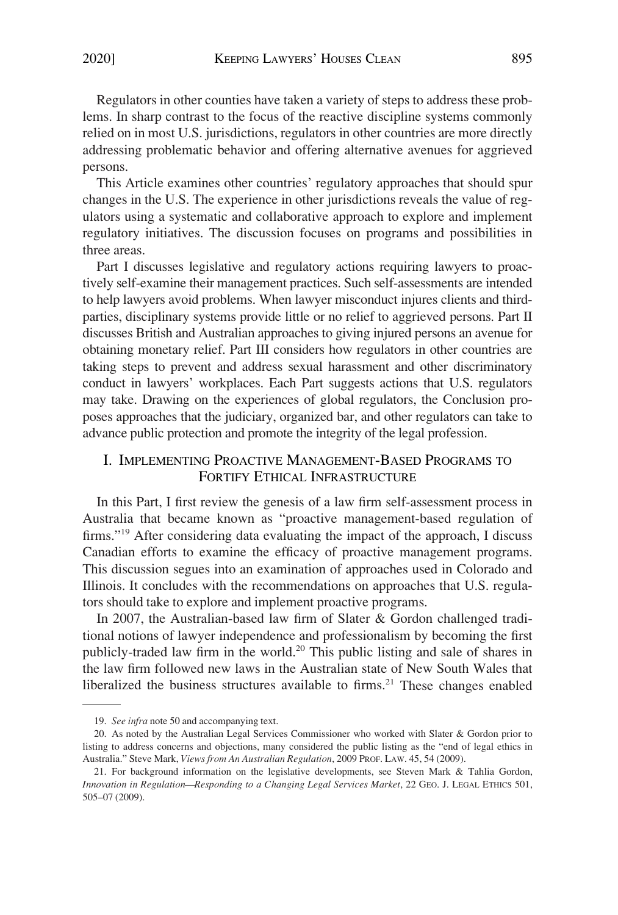<span id="page-4-0"></span>Regulators in other counties have taken a variety of steps to address these problems. In sharp contrast to the focus of the reactive discipline systems commonly relied on in most U.S. jurisdictions, regulators in other countries are more directly addressing problematic behavior and offering alternative avenues for aggrieved persons.

This Article examines other countries' regulatory approaches that should spur changes in the U.S. The experience in other jurisdictions reveals the value of regulators using a systematic and collaborative approach to explore and implement regulatory initiatives. The discussion focuses on programs and possibilities in three areas.

Part I discusses legislative and regulatory actions requiring lawyers to proactively self-examine their management practices. Such self-assessments are intended to help lawyers avoid problems. When lawyer misconduct injures clients and thirdparties, disciplinary systems provide little or no relief to aggrieved persons. Part II discusses British and Australian approaches to giving injured persons an avenue for obtaining monetary relief. Part III considers how regulators in other countries are taking steps to prevent and address sexual harassment and other discriminatory conduct in lawyers' workplaces. Each Part suggests actions that U.S. regulators may take. Drawing on the experiences of global regulators, the Conclusion proposes approaches that the judiciary, organized bar, and other regulators can take to advance public protection and promote the integrity of the legal profession.

# I. IMPLEMENTING PROACTIVE MANAGEMENT-BASED PROGRAMS TO FORTIFY ETHICAL INFRASTRUCTURE

In this Part, I first review the genesis of a law firm self-assessment process in Australia that became known as "proactive management-based regulation of firms."19 After considering data evaluating the impact of the approach, I discuss Canadian efforts to examine the efficacy of proactive management programs. This discussion segues into an examination of approaches used in Colorado and Illinois. It concludes with the recommendations on approaches that U.S. regulators should take to explore and implement proactive programs.

In 2007, the Australian-based law firm of Slater & Gordon challenged traditional notions of lawyer independence and professionalism by becoming the first publicly-traded law firm in the world.<sup>20</sup> This public listing and sale of shares in the law firm followed new laws in the Australian state of New South Wales that liberalized the business structures available to firms.<sup>21</sup> These changes enabled

<sup>19.</sup> *See infra* note 50 and accompanying text.

<sup>20.</sup> As noted by the Australian Legal Services Commissioner who worked with Slater & Gordon prior to listing to address concerns and objections, many considered the public listing as the "end of legal ethics in Australia." Steve Mark, *Views from An Australian Regulation*, 2009 PROF. LAW. 45, 54 (2009).

<sup>21.</sup> For background information on the legislative developments, see Steven Mark & Tahlia Gordon, *Innovation in Regulation—Responding to a Changing Legal Services Market*, 22 GEO. J. LEGAL ETHICS 501, 505–07 (2009).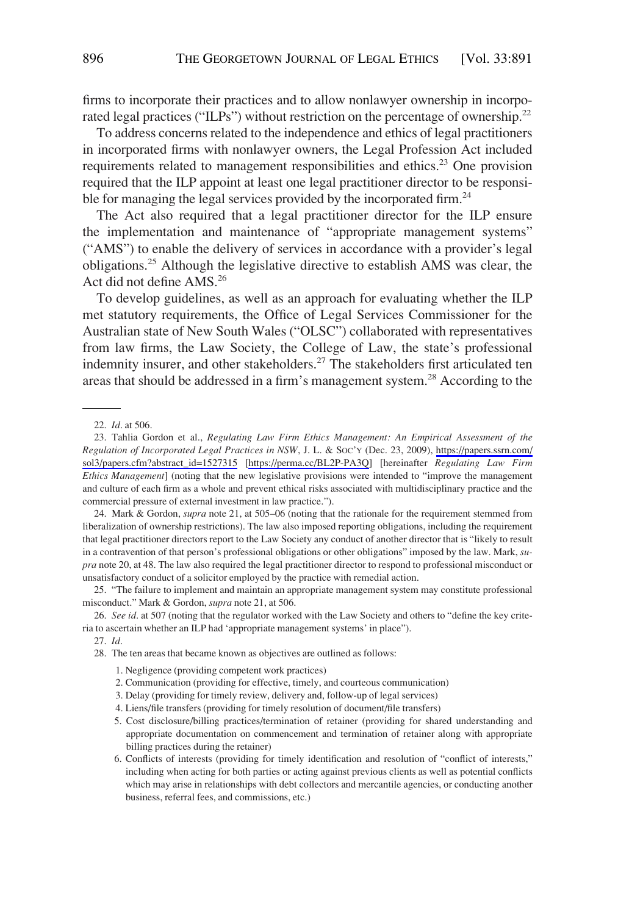firms to incorporate their practices and to allow nonlawyer ownership in incorporated legal practices ("ILPs") without restriction on the percentage of ownership.<sup>22</sup>

To address concerns related to the independence and ethics of legal practitioners in incorporated firms with nonlawyer owners, the Legal Profession Act included requirements related to management responsibilities and ethics.<sup>23</sup> One provision required that the ILP appoint at least one legal practitioner director to be responsible for managing the legal services provided by the incorporated firm.<sup>24</sup>

The Act also required that a legal practitioner director for the ILP ensure the implementation and maintenance of "appropriate management systems" ("AMS") to enable the delivery of services in accordance with a provider's legal obligations.25 Although the legislative directive to establish AMS was clear, the Act did not define AMS.26

To develop guidelines, as well as an approach for evaluating whether the ILP met statutory requirements, the Office of Legal Services Commissioner for the Australian state of New South Wales ("OLSC") collaborated with representatives from law firms, the Law Society, the College of Law, the state's professional indemnity insurer, and other stakeholders.<sup>27</sup> The stakeholders first articulated ten areas that should be addressed in a firm's management system.<sup>28</sup> According to the

25. "The failure to implement and maintain an appropriate management system may constitute professional misconduct." Mark & Gordon, *supra* note 21, at 506.

26. *See id*. at 507 (noting that the regulator worked with the Law Society and others to "define the key criteria to ascertain whether an ILP had 'appropriate management systems' in place").

1. Negligence (providing competent work practices)

- 3. Delay (providing for timely review, delivery and, follow-up of legal services)
- 4. Liens/file transfers (providing for timely resolution of document/file transfers)
- 5. Cost disclosure/billing practices/termination of retainer (providing for shared understanding and appropriate documentation on commencement and termination of retainer along with appropriate billing practices during the retainer)
- 6. Conflicts of interests (providing for timely identification and resolution of "conflict of interests," including when acting for both parties or acting against previous clients as well as potential conflicts which may arise in relationships with debt collectors and mercantile agencies, or conducting another business, referral fees, and commissions, etc.)

<sup>22.</sup> *Id*. at 506.

<sup>23.</sup> Tahlia Gordon et al., *Regulating Law Firm Ethics Management: An Empirical Assessment of the Regulation of Incorporated Legal Practices in NSW*, J. L. & SOC'Y (Dec. 23, 2009), [https://papers.ssrn.com/](https://papers.ssrn.com/sol3/papers.cfm?abstract_id=1527315) [sol3/papers.cfm?abstract\\_id=1527315](https://papers.ssrn.com/sol3/papers.cfm?abstract_id=1527315) [\[https://perma.cc/BL2P-PA3Q](https://perma.cc/BL2P-PA3Q)] [hereinafter *Regulating Law Firm Ethics Management*] (noting that the new legislative provisions were intended to "improve the management and culture of each firm as a whole and prevent ethical risks associated with multidisciplinary practice and the commercial pressure of external investment in law practice.").

<sup>24.</sup> Mark & Gordon, *supra* note 21, at 505–06 (noting that the rationale for the requirement stemmed from liberalization of ownership restrictions). The law also imposed reporting obligations, including the requirement that legal practitioner directors report to the Law Society any conduct of another director that is "likely to result in a contravention of that person's professional obligations or other obligations" imposed by the law. Mark, *supra* note 20, at 48. The law also required the legal practitioner director to respond to professional misconduct or unsatisfactory conduct of a solicitor employed by the practice with remedial action.

<sup>27.</sup> *Id*.

<sup>28.</sup> The ten areas that became known as objectives are outlined as follows:

<sup>2.</sup> Communication (providing for effective, timely, and courteous communication)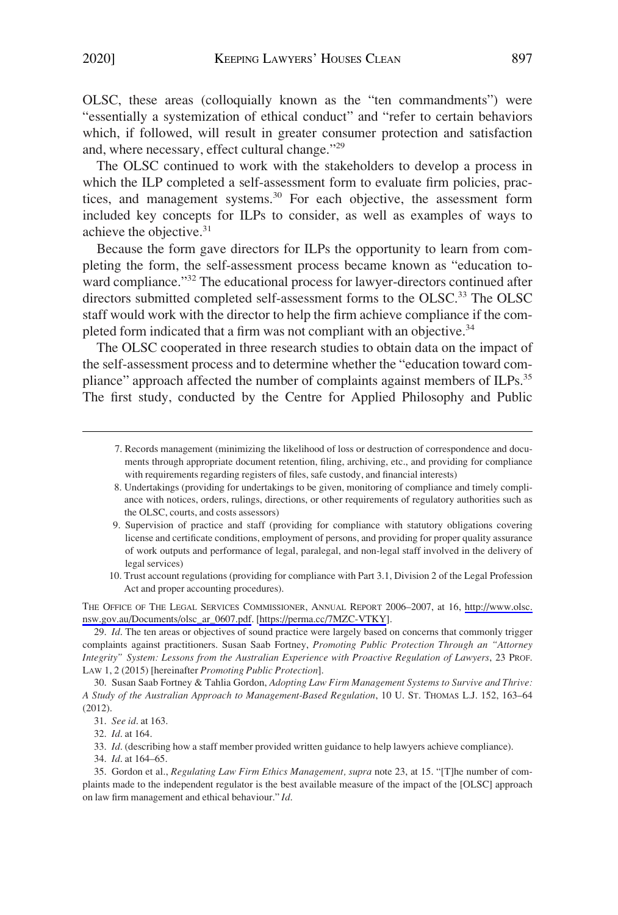OLSC, these areas (colloquially known as the "ten commandments") were "essentially a systemization of ethical conduct" and "refer to certain behaviors which, if followed, will result in greater consumer protection and satisfaction and, where necessary, effect cultural change."29

The OLSC continued to work with the stakeholders to develop a process in which the ILP completed a self-assessment form to evaluate firm policies, practices, and management systems.<sup>30</sup> For each objective, the assessment form included key concepts for ILPs to consider, as well as examples of ways to achieve the objective.<sup>31</sup>

Because the form gave directors for ILPs the opportunity to learn from completing the form, the self-assessment process became known as "education toward compliance."<sup>32</sup> The educational process for lawyer-directors continued after directors submitted completed self-assessment forms to the OLSC.<sup>33</sup> The OLSC staff would work with the director to help the firm achieve compliance if the completed form indicated that a firm was not compliant with an objective.<sup>34</sup>

The OLSC cooperated in three research studies to obtain data on the impact of the self-assessment process and to determine whether the "education toward compliance" approach affected the number of complaints against members of ILPs.<sup>35</sup> The first study, conducted by the Centre for Applied Philosophy and Public

- 9. Supervision of practice and staff (providing for compliance with statutory obligations covering license and certificate conditions, employment of persons, and providing for proper quality assurance of work outputs and performance of legal, paralegal, and non-legal staff involved in the delivery of legal services)
- 10. Trust account regulations (providing for compliance with Part 3.1, Division 2 of the Legal Profession Act and proper accounting procedures).

THE OFFICE OF THE LEGAL SERVICES COMMISSIONER, ANNUAL REPORT 2006–2007, at 16, [http://www.olsc.](http://www.olsc.nsw.gov.au/Documents/olsc_ar_0607.pdf) [nsw.gov.au/Documents/olsc\\_ar\\_0607.pdf.](http://www.olsc.nsw.gov.au/Documents/olsc_ar_0607.pdf) [\[https://perma.cc/7MZC-VTKY\]](https://perma.cc/7MZC-VTKY).

29. *Id*. The ten areas or objectives of sound practice were largely based on concerns that commonly trigger complaints against practitioners. Susan Saab Fortney, *Promoting Public Protection Through an "Attorney Integrity" System: Lessons from the Australian Experience with Proactive Regulation of Lawyers*, 23 PROF. LAW 1, 2 (2015) [hereinafter *Promoting Public Protection*].

30. Susan Saab Fortney & Tahlia Gordon, *Adopting Law Firm Management Systems to Survive and Thrive: A Study of the Australian Approach to Management-Based Regulation*, 10 U. ST. THOMAS L.J. 152, 163–64 (2012).

32. *Id*. at 164.

33. *Id*. (describing how a staff member provided written guidance to help lawyers achieve compliance).

34. *Id*. at 164–65.

35. Gordon et al., *Regulating Law Firm Ethics Management, supra* note 23, at 15. "[T]he number of complaints made to the independent regulator is the best available measure of the impact of the [OLSC] approach on law firm management and ethical behaviour." *Id*.

<sup>7.</sup> Records management (minimizing the likelihood of loss or destruction of correspondence and documents through appropriate document retention, filing, archiving, etc., and providing for compliance with requirements regarding registers of files, safe custody, and financial interests)

<sup>8.</sup> Undertakings (providing for undertakings to be given, monitoring of compliance and timely compliance with notices, orders, rulings, directions, or other requirements of regulatory authorities such as the OLSC, courts, and costs assessors)

<sup>31.</sup> *See id*. at 163.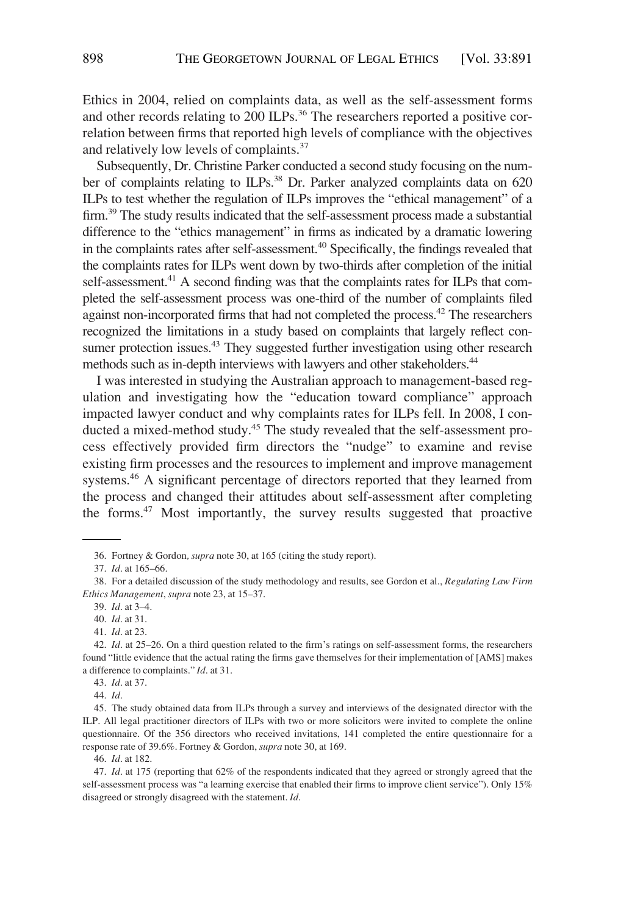Ethics in 2004, relied on complaints data, as well as the self-assessment forms and other records relating to  $200$  ILPs.<sup>36</sup> The researchers reported a positive correlation between firms that reported high levels of compliance with the objectives and relatively low levels of complaints.37

Subsequently, Dr. Christine Parker conducted a second study focusing on the number of complaints relating to ILPs.<sup>38</sup> Dr. Parker analyzed complaints data on 620 ILPs to test whether the regulation of ILPs improves the "ethical management" of a firm.<sup>39</sup> The study results indicated that the self-assessment process made a substantial difference to the "ethics management" in firms as indicated by a dramatic lowering in the complaints rates after self-assessment.<sup>40</sup> Specifically, the findings revealed that the complaints rates for ILPs went down by two-thirds after completion of the initial self-assessment.<sup>41</sup> A second finding was that the complaints rates for ILPs that completed the self-assessment process was one-third of the number of complaints filed against non-incorporated firms that had not completed the process.<sup>42</sup> The researchers recognized the limitations in a study based on complaints that largely reflect consumer protection issues.<sup>43</sup> They suggested further investigation using other research methods such as in-depth interviews with lawyers and other stakeholders.<sup>44</sup>

I was interested in studying the Australian approach to management-based regulation and investigating how the "education toward compliance" approach impacted lawyer conduct and why complaints rates for ILPs fell. In 2008, I conducted a mixed-method study.<sup>45</sup> The study revealed that the self-assessment process effectively provided firm directors the "nudge" to examine and revise existing firm processes and the resources to implement and improve management systems.<sup>46</sup> A significant percentage of directors reported that they learned from the process and changed their attitudes about self-assessment after completing the forms.<sup>47</sup> Most importantly, the survey results suggested that proactive

43. *Id*. at 37.

44. *Id*.

45. The study obtained data from ILPs through a survey and interviews of the designated director with the ILP. All legal practitioner directors of ILPs with two or more solicitors were invited to complete the online questionnaire. Of the 356 directors who received invitations, 141 completed the entire questionnaire for a response rate of 39.6%. Fortney & Gordon, *supra* note 30, at 169.

46. *Id*. at 182.

47. *Id*. at 175 (reporting that 62% of the respondents indicated that they agreed or strongly agreed that the self-assessment process was "a learning exercise that enabled their firms to improve client service"). Only 15% disagreed or strongly disagreed with the statement. *Id*.

<sup>36.</sup> Fortney & Gordon*, supra* note 30, at 165 (citing the study report).

<sup>37.</sup> *Id*. at 165–66.

<sup>38.</sup> For a detailed discussion of the study methodology and results, see Gordon et al., *Regulating Law Firm Ethics Management*, *supra* note 23, at 15–37.

<sup>39.</sup> *Id*. at 3–4.

<sup>40.</sup> *Id*. at 31. 41. *Id*. at 23.

<sup>42.</sup> *Id*. at 25–26. On a third question related to the firm's ratings on self-assessment forms, the researchers found "little evidence that the actual rating the firms gave themselves for their implementation of [AMS] makes a difference to complaints." *Id*. at 31.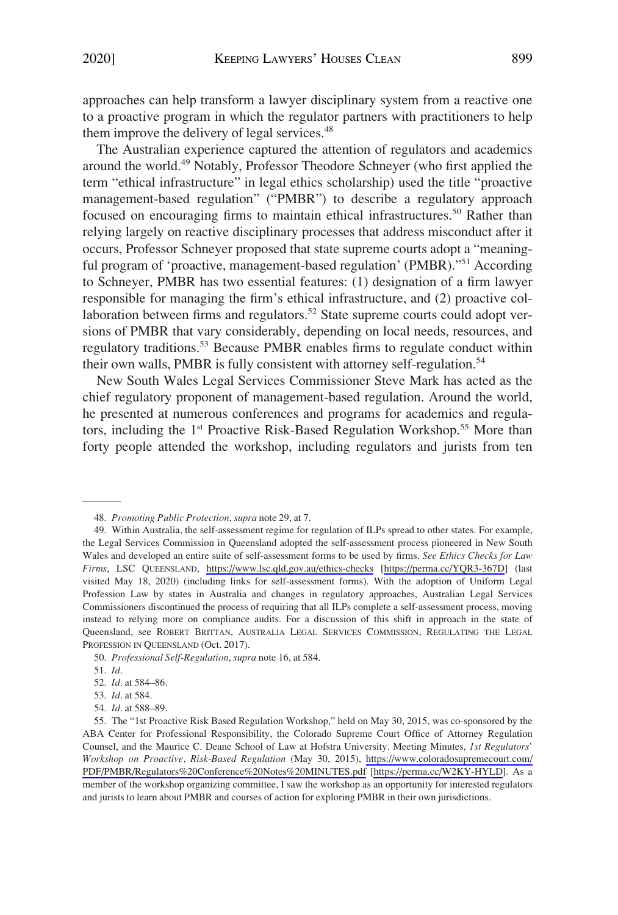approaches can help transform a lawyer disciplinary system from a reactive one to a proactive program in which the regulator partners with practitioners to help them improve the delivery of legal services.<sup>48</sup>

The Australian experience captured the attention of regulators and academics around the world.<sup>49</sup> Notably, Professor Theodore Schneyer (who first applied the term "ethical infrastructure" in legal ethics scholarship) used the title "proactive management-based regulation" ("PMBR") to describe a regulatory approach focused on encouraging firms to maintain ethical infrastructures.50 Rather than relying largely on reactive disciplinary processes that address misconduct after it occurs, Professor Schneyer proposed that state supreme courts adopt a "meaningful program of 'proactive, management-based regulation' (PMBR)."51 According to Schneyer, PMBR has two essential features: (1) designation of a firm lawyer responsible for managing the firm's ethical infrastructure, and (2) proactive collaboration between firms and regulators.<sup>52</sup> State supreme courts could adopt versions of PMBR that vary considerably, depending on local needs, resources, and regulatory traditions.53 Because PMBR enables firms to regulate conduct within their own walls, PMBR is fully consistent with attorney self-regulation.<sup>54</sup>

New South Wales Legal Services Commissioner Steve Mark has acted as the chief regulatory proponent of management-based regulation. Around the world, he presented at numerous conferences and programs for academics and regulators, including the 1<sup>st</sup> Proactive Risk-Based Regulation Workshop.<sup>55</sup> More than forty people attended the workshop, including regulators and jurists from ten

54. *Id*. at 588–89.

<sup>48.</sup> *Promoting Public Protection*, *supra* note 29, at 7.

Within Australia, the self-assessment regime for regulation of ILPs spread to other states. For example, 49. the Legal Services Commission in Queensland adopted the self-assessment process pioneered in New South Wales and developed an entire suite of self-assessment forms to be used by firms. *See Ethics Checks for Law Firms*, LSC QUEENSLAND, <https://www.lsc.qld.gov.au/ethics-checks>[\[https://perma.cc/YQR3-367D](https://perma.cc/YQR3-367D)] (last visited May 18, 2020) (including links for self-assessment forms). With the adoption of Uniform Legal Profession Law by states in Australia and changes in regulatory approaches, Australian Legal Services Commissioners discontinued the process of requiring that all ILPs complete a self-assessment process, moving instead to relying more on compliance audits. For a discussion of this shift in approach in the state of Queensland, see ROBERT BRITTAN, AUSTRALIA LEGAL SERVICES COMMISSION, REGULATING THE LEGAL PROFESSION IN QUEENSLAND (Oct. 2017).

<sup>50.</sup> *Professional Self-Regulation*, *supra* note 16, at 584.

<sup>51.</sup> *Id*.

<sup>52.</sup> *Id*. at 584–86.

<sup>53.</sup> *Id*. at 584.

<sup>55.</sup> The "1st Proactive Risk Based Regulation Workshop," held on May 30, 2015, was co-sponsored by the ABA Center for Professional Responsibility, the Colorado Supreme Court Office of Attorney Regulation Counsel, and the Maurice C. Deane School of Law at Hofstra University. Meeting Minutes, *1st Regulators' Workshop on Proactive, Risk-Based Regulation* (May 30, 2015), [https://www.coloradosupremecourt.com/](https://www.coloradosupremecourt.com/PDF/PMBR/Regulators%20Conference%20Notes%20MINUTES.pdf) [PDF/PMBR/Regulators%20Conference%20Notes%20MINUTES.pdf](https://www.coloradosupremecourt.com/PDF/PMBR/Regulators%20Conference%20Notes%20MINUTES.pdf) [\[https://perma.cc/W2KY-HYLD](https://perma.cc/W2KY-HYLD)]. As a member of the workshop organizing committee, I saw the workshop as an opportunity for interested regulators and jurists to learn about PMBR and courses of action for exploring PMBR in their own jurisdictions.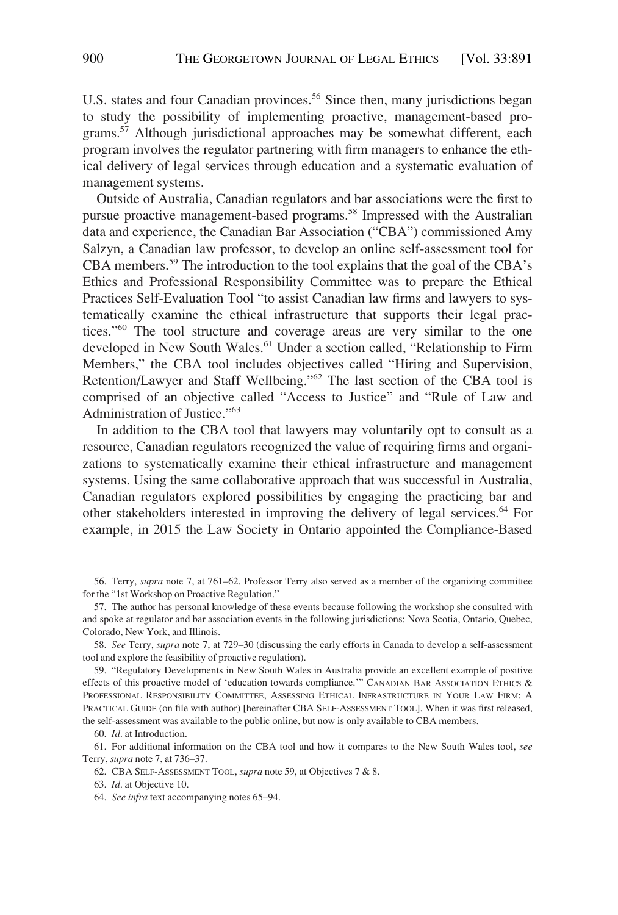U.S. states and four Canadian provinces.<sup>56</sup> Since then, many jurisdictions began to study the possibility of implementing proactive, management-based programs.<sup>57</sup> Although jurisdictional approaches may be somewhat different, each program involves the regulator partnering with firm managers to enhance the ethical delivery of legal services through education and a systematic evaluation of management systems.

Outside of Australia, Canadian regulators and bar associations were the first to pursue proactive management-based programs.58 Impressed with the Australian data and experience, the Canadian Bar Association ("CBA") commissioned Amy Salzyn, a Canadian law professor, to develop an online self-assessment tool for CBA members.59 The introduction to the tool explains that the goal of the CBA's Ethics and Professional Responsibility Committee was to prepare the Ethical Practices Self-Evaluation Tool "to assist Canadian law firms and lawyers to systematically examine the ethical infrastructure that supports their legal practices."60 The tool structure and coverage areas are very similar to the one developed in New South Wales.<sup>61</sup> Under a section called, "Relationship to Firm Members," the CBA tool includes objectives called "Hiring and Supervision, Retention/Lawyer and Staff Wellbeing."62 The last section of the CBA tool is comprised of an objective called "Access to Justice" and "Rule of Law and Administration of Justice."63

In addition to the CBA tool that lawyers may voluntarily opt to consult as a resource, Canadian regulators recognized the value of requiring firms and organizations to systematically examine their ethical infrastructure and management systems. Using the same collaborative approach that was successful in Australia, Canadian regulators explored possibilities by engaging the practicing bar and other stakeholders interested in improving the delivery of legal services.64 For example, in 2015 the Law Society in Ontario appointed the Compliance-Based

<sup>56.</sup> Terry, *supra* note 7, at 761–62. Professor Terry also served as a member of the organizing committee for the "1st Workshop on Proactive Regulation."

<sup>57.</sup> The author has personal knowledge of these events because following the workshop she consulted with and spoke at regulator and bar association events in the following jurisdictions: Nova Scotia, Ontario, Quebec, Colorado, New York, and Illinois.

<sup>58.</sup> *See* Terry, *supra* note 7, at 729–30 (discussing the early efforts in Canada to develop a self-assessment tool and explore the feasibility of proactive regulation).

<sup>59. &</sup>quot;Regulatory Developments in New South Wales in Australia provide an excellent example of positive effects of this proactive model of 'education towards compliance.'" CANADIAN BAR ASSOCIATION ETHICS & PROFESSIONAL RESPONSIBILITY COMMITTEE, ASSESSING ETHICAL INFRASTRUCTURE IN YOUR LAW FIRM: A PRACTICAL GUIDE (on file with author) [hereinafter CBA SELF-ASSESSMENT TOOL]. When it was first released, the self-assessment was available to the public online, but now is only available to CBA members.

<sup>60.</sup> *Id*. at Introduction.

<sup>61.</sup> For additional information on the CBA tool and how it compares to the New South Wales tool, *see*  Terry, *supra* note 7, at 736–37.

<sup>62.</sup> CBA SELF-ASSESSMENT TOOL, *supra* note 59, at Objectives 7 & 8.

<sup>63.</sup> *Id*. at Objective 10.

<sup>64.</sup> *See infra* text accompanying notes 65–94.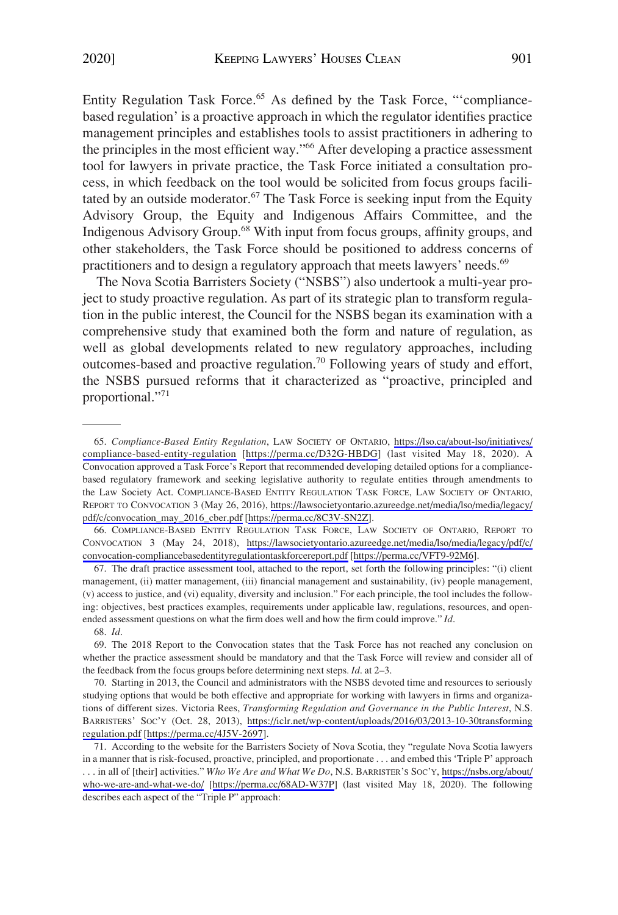Entity Regulation Task Force.<sup>65</sup> As defined by the Task Force, "'compliancebased regulation' is a proactive approach in which the regulator identifies practice management principles and establishes tools to assist practitioners in adhering to the principles in the most efficient way."<sup>66</sup> After developing a practice assessment tool for lawyers in private practice, the Task Force initiated a consultation process, in which feedback on the tool would be solicited from focus groups facilitated by an outside moderator. $67$  The Task Force is seeking input from the Equity Advisory Group, the Equity and Indigenous Affairs Committee, and the Indigenous Advisory Group.68 With input from focus groups, affinity groups, and other stakeholders, the Task Force should be positioned to address concerns of practitioners and to design a regulatory approach that meets lawyers' needs.<sup>69</sup>

The Nova Scotia Barristers Society ("NSBS") also undertook a multi-year project to study proactive regulation. As part of its strategic plan to transform regulation in the public interest, the Council for the NSBS began its examination with a comprehensive study that examined both the form and nature of regulation, as well as global developments related to new regulatory approaches, including outcomes-based and proactive regulation.<sup>70</sup> Following years of study and effort, the NSBS pursued reforms that it characterized as "proactive, principled and proportional."71

66. COMPLIANCE-BASED ENTITY REGULATION TASK FORCE, LAW SOCIETY OF ONTARIO, REPORT TO CONVOCATION 3 (May 24, 2018), [https://lawsocietyontario.azureedge.net/media/lso/media/legacy/pdf/c/](https://lawsocietyontario.azureedge.net/media/lso/media/legacy/pdf/c/convocation-compliancebasedentityregulationtaskforcereport.pdf) [convocation-compliancebasedentityregulationtaskforcereport.pdf](https://lawsocietyontario.azureedge.net/media/lso/media/legacy/pdf/c/convocation-compliancebasedentityregulationtaskforcereport.pdf) [\[https://perma.cc/VFT9-92M6\]](https://perma.cc/VFT9-92M6).

67. The draft practice assessment tool, attached to the report, set forth the following principles: "(i) client management, (ii) matter management, (iii) financial management and sustainability, (iv) people management, (v) access to justice, and (vi) equality, diversity and inclusion." For each principle, the tool includes the following: objectives, best practices examples, requirements under applicable law, regulations, resources, and openended assessment questions on what the firm does well and how the firm could improve." *Id*.

70. Starting in 2013, the Council and administrators with the NSBS devoted time and resources to seriously studying options that would be both effective and appropriate for working with lawyers in firms and organizations of different sizes. Victoria Rees, *Transforming Regulation and Governance in the Public Interest*, N.S. BARRISTERS' SOC'Y (Oct. 28, 2013), [https://iclr.net/wp-content/uploads/2016/03/2013-10-30transforming](https://iclr.net/wp-content/uploads/2016/03/2013-10-30transformingregulation.pdf) [regulation.pdf](https://iclr.net/wp-content/uploads/2016/03/2013-10-30transformingregulation.pdf) [[https://perma.cc/4J5V-2697\]](https://perma.cc/4J5V-2697).

*Compliance-Based Entity Regulation*, LAW SOCIETY OF ONTARIO, [https://lso.ca/about-lso/initiatives/](https://lso.ca/about-lso/initiatives/compliance-based-entity-regulation)  65. [compliance-based-entity-regulation](https://lso.ca/about-lso/initiatives/compliance-based-entity-regulation) [<https://perma.cc/D32G-HBDG>] (last visited May 18, 2020). A Convocation approved a Task Force's Report that recommended developing detailed options for a compliancebased regulatory framework and seeking legislative authority to regulate entities through amendments to the Law Society Act. COMPLIANCE-BASED ENTITY REGULATION TASK FORCE, LAW SOCIETY OF ONTARIO, REPORT TO CONVOCATION 3 (May 26, 2016), [https://lawsocietyontario.azureedge.net/media/lso/media/legacy/](https://lawsocietyontario.azureedge.net/media/lso/media/legacy/pdf/c/convocation_may_2016_cber.pdf)  [pdf/c/convocation\\_may\\_2016\\_cber.pdf](https://lawsocietyontario.azureedge.net/media/lso/media/legacy/pdf/c/convocation_may_2016_cber.pdf) [\[https://perma.cc/8C3V-SN2Z\]](https://perma.cc/8C3V-SN2Z).

<sup>68.</sup> *Id*.

<sup>69.</sup> The 2018 Report to the Convocation states that the Task Force has not reached any conclusion on whether the practice assessment should be mandatory and that the Task Force will review and consider all of the feedback from the focus groups before determining next steps*. Id*. at 2–3.

<sup>71.</sup> According to the website for the Barristers Society of Nova Scotia, they "regulate Nova Scotia lawyers in a manner that is risk-focused, proactive, principled, and proportionate . . . and embed this 'Triple P' approach . . . in all of [their] activities." *Who We Are and What We Do*, N.S. BARRISTER'S SOC'Y, [https://nsbs.org/about/](https://nsbs.org/about/who-we-are-and-what-we-do/) [who-we-are-and-what-we-do/](https://nsbs.org/about/who-we-are-and-what-we-do/) [\[https://perma.cc/68AD-W37P\]](https://perma.cc/68AD-W37P) (last visited May 18, 2020). The following describes each aspect of the "Triple P" approach: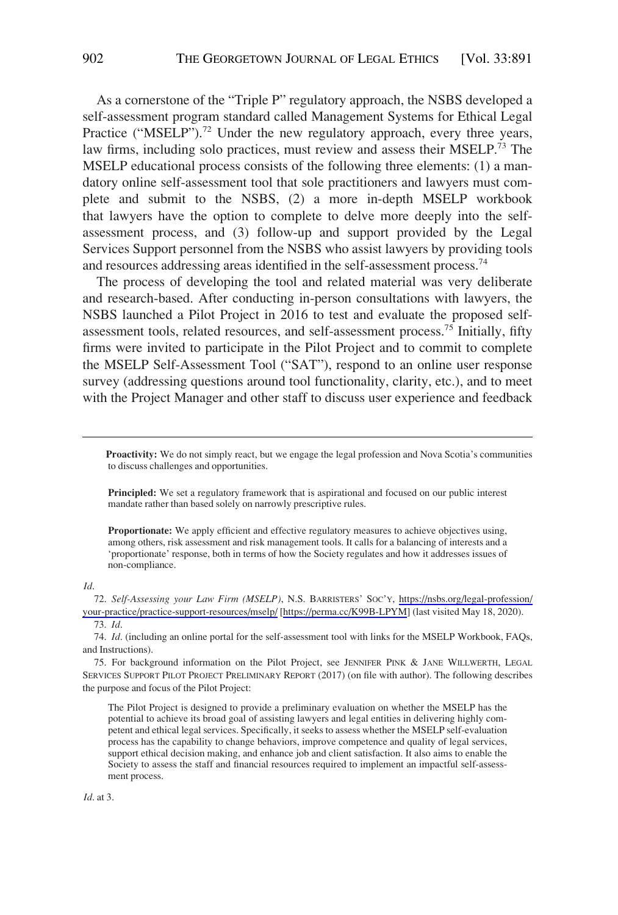As a cornerstone of the "Triple P" regulatory approach, the NSBS developed a self-assessment program standard called Management Systems for Ethical Legal Practice ("MSELP").<sup>72</sup> Under the new regulatory approach, every three years, law firms, including solo practices, must review and assess their MSELP.73 The MSELP educational process consists of the following three elements: (1) a mandatory online self-assessment tool that sole practitioners and lawyers must complete and submit to the NSBS, (2) a more in-depth MSELP workbook that lawyers have the option to complete to delve more deeply into the selfassessment process, and (3) follow-up and support provided by the Legal Services Support personnel from the NSBS who assist lawyers by providing tools and resources addressing areas identified in the self-assessment process.<sup>74</sup>

The process of developing the tool and related material was very deliberate and research-based. After conducting in-person consultations with lawyers, the NSBS launched a Pilot Project in 2016 to test and evaluate the proposed selfassessment tools, related resources, and self-assessment process.75 Initially, fifty firms were invited to participate in the Pilot Project and to commit to complete the MSELP Self-Assessment Tool ("SAT"), respond to an online user response survey (addressing questions around tool functionality, clarity, etc.), and to meet with the Project Manager and other staff to discuss user experience and feedback

**Proactivity:** We do not simply react, but we engage the legal profession and Nova Scotia's communities to discuss challenges and opportunities.

Principled: We set a regulatory framework that is aspirational and focused on our public interest mandate rather than based solely on narrowly prescriptive rules.

**Proportionate:** We apply efficient and effective regulatory measures to achieve objectives using, among others, risk assessment and risk management tools. It calls for a balancing of interests and a 'proportionate' response, both in terms of how the Society regulates and how it addresses issues of non-compliance.

*Id*.

*Self-Assessing your Law Firm (MSELP)*, N.S. BARRISTERS' SOC'Y, [https://nsbs.org/legal-profession/](https://nsbs.org/legal-profession/your-practice/practice-support-resources/mselp/) 72. [your-practice/practice-support-resources/mselp/](https://nsbs.org/legal-profession/your-practice/practice-support-resources/mselp/) [<https://perma.cc/K99B-LPYM>] (last visited May 18, 2020).

73. *Id*.

74. *Id*. (including an online portal for the self-assessment tool with links for the MSELP Workbook, FAQs, and Instructions).

75. For background information on the Pilot Project, see JENNIFER PINK & JANE WILLWERTH, LEGAL SERVICES SUPPORT PILOT PROJECT PRELIMINARY REPORT (2017) (on file with author). The following describes the purpose and focus of the Pilot Project:

The Pilot Project is designed to provide a preliminary evaluation on whether the MSELP has the potential to achieve its broad goal of assisting lawyers and legal entities in delivering highly competent and ethical legal services. Specifically, it seeks to assess whether the MSELP self-evaluation process has the capability to change behaviors, improve competence and quality of legal services, support ethical decision making, and enhance job and client satisfaction. It also aims to enable the Society to assess the staff and financial resources required to implement an impactful self-assessment process.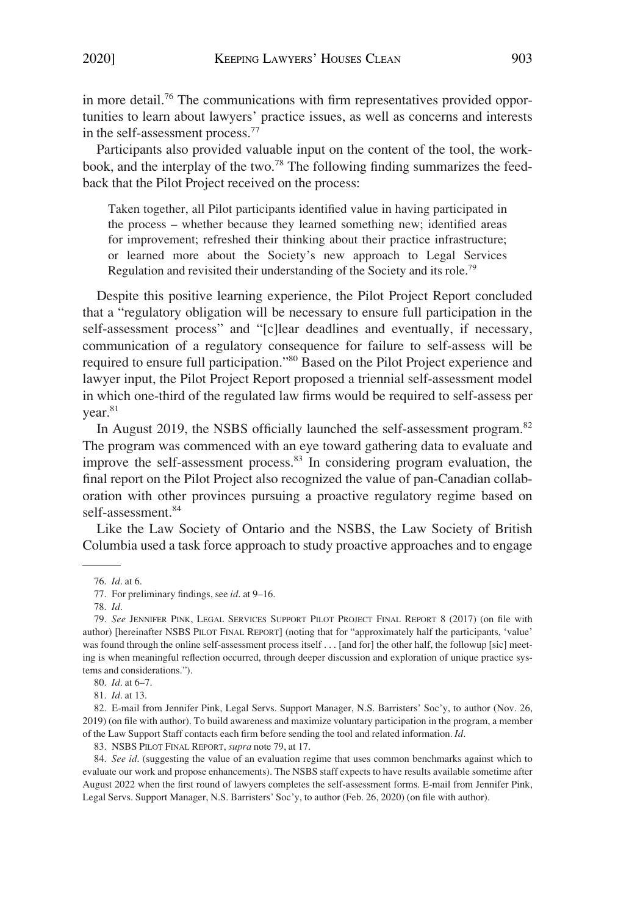in more detail.<sup>76</sup> The communications with firm representatives provided opportunities to learn about lawyers' practice issues, as well as concerns and interests in the self-assessment process.77

Participants also provided valuable input on the content of the tool, the workbook, and the interplay of the two.<sup>78</sup> The following finding summarizes the feedback that the Pilot Project received on the process:

Taken together, all Pilot participants identified value in having participated in the process – whether because they learned something new; identified areas for improvement; refreshed their thinking about their practice infrastructure; or learned more about the Society's new approach to Legal Services Regulation and revisited their understanding of the Society and its role.<sup>79</sup>

Despite this positive learning experience, the Pilot Project Report concluded that a "regulatory obligation will be necessary to ensure full participation in the self-assessment process" and "[c]lear deadlines and eventually, if necessary, communication of a regulatory consequence for failure to self-assess will be required to ensure full participation."80 Based on the Pilot Project experience and lawyer input, the Pilot Project Report proposed a triennial self-assessment model in which one-third of the regulated law firms would be required to self-assess per year.<sup>81</sup>

In August 2019, the NSBS officially launched the self-assessment program.<sup>82</sup> The program was commenced with an eye toward gathering data to evaluate and improve the self-assessment process.<sup>83</sup> In considering program evaluation, the final report on the Pilot Project also recognized the value of pan-Canadian collaboration with other provinces pursuing a proactive regulatory regime based on self-assessment.<sup>84</sup>

Like the Law Society of Ontario and the NSBS, the Law Society of British Columbia used a task force approach to study proactive approaches and to engage

81. *Id*. at 13.

82. E-mail from Jennifer Pink, Legal Servs. Support Manager, N.S. Barristers' Soc'y, to author (Nov. 26, 2019) (on file with author). To build awareness and maximize voluntary participation in the program, a member of the Law Support Staff contacts each firm before sending the tool and related information*. Id*.

83. NSBS PILOT FINAL REPORT, *supra* note 79, at 17.

84. *See id*. (suggesting the value of an evaluation regime that uses common benchmarks against which to evaluate our work and propose enhancements). The NSBS staff expects to have results available sometime after August 2022 when the first round of lawyers completes the self-assessment forms. E-mail from Jennifer Pink, Legal Servs. Support Manager, N.S. Barristers' Soc'y, to author (Feb. 26, 2020) (on file with author).

<sup>76.</sup> *Id*. at 6.

<sup>77.</sup> For preliminary findings, see *id*. at 9–16.

<sup>78.</sup> *Id*.

<sup>79.</sup> *See* JENNIFER PINK, LEGAL SERVICES SUPPORT PILOT PROJECT FINAL REPORT 8 (2017) (on file with author) [hereinafter NSBS PILOT FINAL REPORT] (noting that for "approximately half the participants, 'value' was found through the online self-assessment process itself . . . [and for] the other half, the followup [sic] meeting is when meaningful reflection occurred, through deeper discussion and exploration of unique practice systems and considerations.").

<sup>80.</sup> *Id*. at 6–7.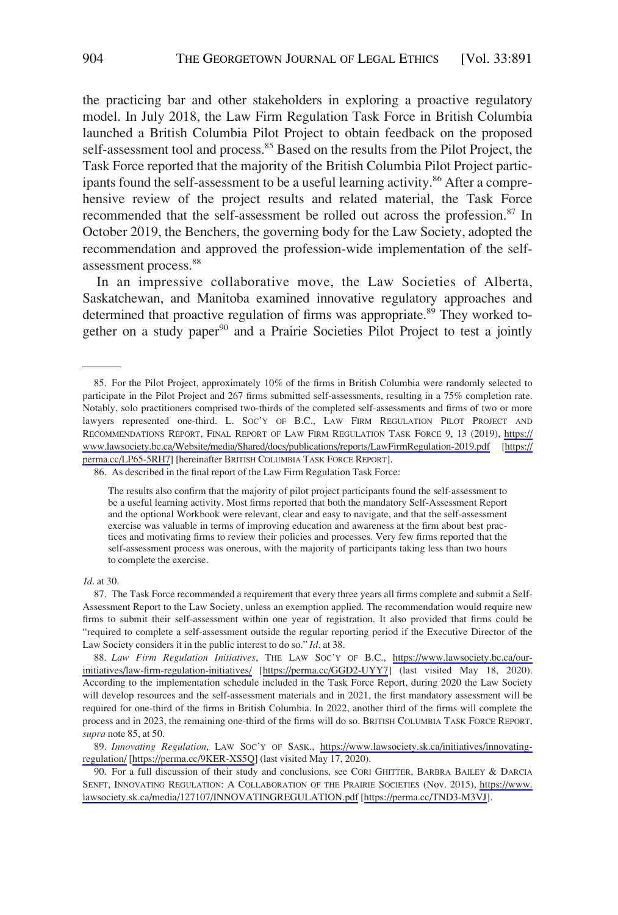the practicing bar and other stakeholders in exploring a proactive regulatory model. In July 2018, the Law Firm Regulation Task Force in British Columbia launched a British Columbia Pilot Project to obtain feedback on the proposed self-assessment tool and process.<sup>85</sup> Based on the results from the Pilot Project, the Task Force reported that the majority of the British Columbia Pilot Project participants found the self-assessment to be a useful learning activity.<sup>86</sup> After a comprehensive review of the project results and related material, the Task Force recommended that the self-assessment be rolled out across the profession.<sup>87</sup> In October 2019, the Benchers, the governing body for the Law Society, adopted the recommendation and approved the profession-wide implementation of the selfassessment process.<sup>88</sup>

In an impressive collaborative move, the Law Societies of Alberta, Saskatchewan, and Manitoba examined innovative regulatory approaches and determined that proactive regulation of firms was appropriate.<sup>89</sup> They worked together on a study paper<sup>90</sup> and a Prairie Societies Pilot Project to test a jointly

86. As described in the final report of the Law Firm Regulation Task Force:

The results also confirm that the majority of pilot project participants found the self-assessment to be a useful learning activity. Most firms reported that both the mandatory Self-Assessment Report and the optional Workbook were relevant, clear and easy to navigate, and that the self-assessment exercise was valuable in terms of improving education and awareness at the firm about best practices and motivating firms to review their policies and processes. Very few firms reported that the self-assessment process was onerous, with the majority of participants taking less than two hours to complete the exercise.

*Id*. at 30.

<sup>85.</sup> For the Pilot Project, approximately 10% of the firms in British Columbia were randomly selected to participate in the Pilot Project and 267 firms submitted self-assessments, resulting in a 75% completion rate. Notably, solo practitioners comprised two-thirds of the completed self-assessments and firms of two or more lawyers represented one-third. L. SOC'Y OF B.C., LAW FIRM REGULATION PILOT PROJECT AND RECOMMENDATIONS REPORT, FINAL REPORT OF LAW FIRM REGULATION TASK FORCE 9, 13 (2019), [https://](https://www.lawsociety.bc.ca/Website/media/Shared/docs/publications/reports/LawFirmRegulation-2019.pdf) [www.lawsociety.bc.ca/Website/media/Shared/docs/publications/reports/LawFirmRegulation-2019.pdf](https://www.lawsociety.bc.ca/Website/media/Shared/docs/publications/reports/LawFirmRegulation-2019.pdf) [\[https://](https://perma.cc/LP65-5RH7)  [perma.cc/LP65-5RH7\]](https://perma.cc/LP65-5RH7) [hereinafter BRITISH COLUMBIA TASK FORCE REPORT].

<sup>87.</sup> The Task Force recommended a requirement that every three years all firms complete and submit a Self-Assessment Report to the Law Society, unless an exemption applied. The recommendation would require new firms to submit their self-assessment within one year of registration. It also provided that firms could be "required to complete a self-assessment outside the regular reporting period if the Executive Director of the Law Society considers it in the public interest to do so." *Id*. at 38.

*Law Firm Regulation Initiatives*, THE LAW SOC'Y OF B.C., [https://www.lawsociety.bc.ca/our-](https://www.lawsociety.bc.ca/our-initiatives/law-firm-regulation-initiatives/)88. [initiatives/law-firm-regulation-initiatives/](https://www.lawsociety.bc.ca/our-initiatives/law-firm-regulation-initiatives/) [<https://perma.cc/GGD2-UYY7>] (last visited May 18, 2020). According to the implementation schedule included in the Task Force Report, during 2020 the Law Society will develop resources and the self-assessment materials and in 2021, the first mandatory assessment will be required for one-third of the firms in British Columbia. In 2022, another third of the firms will complete the process and in 2023, the remaining one-third of the firms will do so. BRITISH COLUMBIA TASK FORCE REPORT, *supra* note 85, at 50.

*Innovating Regulation*, LAW SOC'Y OF SASK., [https://www.lawsociety.sk.ca/initiatives/innovating-](https://www.lawsociety.sk.ca/initiatives/innovating-regulation/)89. [regulation/](https://www.lawsociety.sk.ca/initiatives/innovating-regulation/) [\[https://perma.cc/9KER-XS5Q](https://perma.cc/9KER-XS5Q)] (last visited May 17, 2020).

<sup>90.</sup> For a full discussion of their study and conclusions, see CORI GHITTER, BARBRA BAILEY & DARCIA SENFT, INNOVATING REGULATION: A COLLABORATION OF THE PRAIRIE SOCIETIES (Nov. 2015), [https://www.](https://www.lawsociety.sk.ca/media/127107/INNOVATINGREGULATION.pdf)  [lawsociety.sk.ca/media/127107/INNOVATINGREGULATION.pdf](https://www.lawsociety.sk.ca/media/127107/INNOVATINGREGULATION.pdf) [\[https://perma.cc/TND3-M3VJ\]](https://perma.cc/TND3-M3VJ).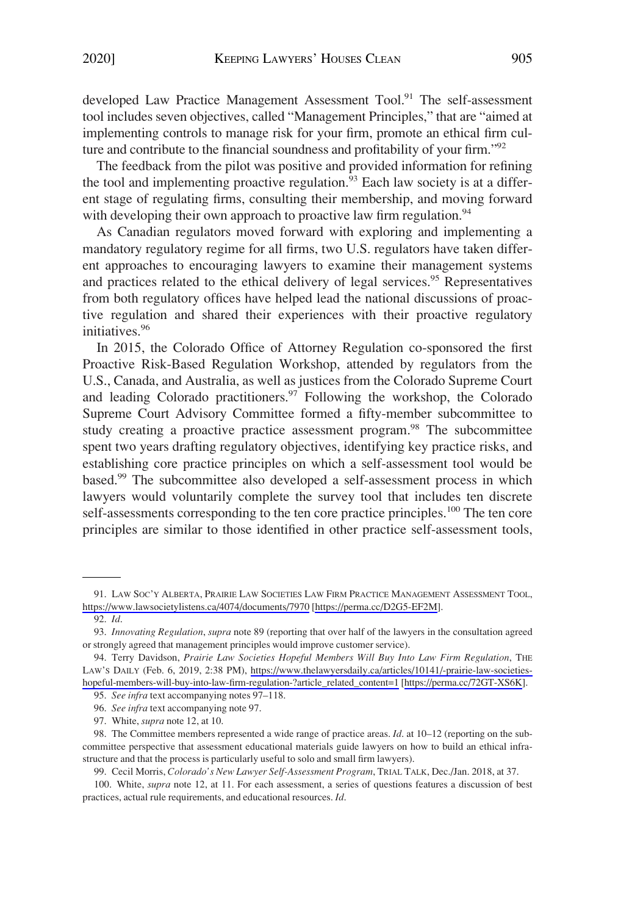developed Law Practice Management Assessment Tool.<sup>91</sup> The self-assessment tool includes seven objectives, called "Management Principles," that are "aimed at implementing controls to manage risk for your firm, promote an ethical firm culture and contribute to the financial soundness and profitability of your firm."<sup>92</sup>

The feedback from the pilot was positive and provided information for refining the tool and implementing proactive regulation.<sup>93</sup> Each law society is at a different stage of regulating firms, consulting their membership, and moving forward with developing their own approach to proactive law firm regulation.<sup>94</sup>

As Canadian regulators moved forward with exploring and implementing a mandatory regulatory regime for all firms, two U.S. regulators have taken different approaches to encouraging lawyers to examine their management systems and practices related to the ethical delivery of legal services.<sup>95</sup> Representatives from both regulatory offices have helped lead the national discussions of proactive regulation and shared their experiences with their proactive regulatory initiatives.96

In 2015, the Colorado Office of Attorney Regulation co-sponsored the first Proactive Risk-Based Regulation Workshop, attended by regulators from the U.S., Canada, and Australia, as well as justices from the Colorado Supreme Court and leading Colorado practitioners.<sup>97</sup> Following the workshop, the Colorado Supreme Court Advisory Committee formed a fifty-member subcommittee to study creating a proactive practice assessment program.<sup>98</sup> The subcommittee spent two years drafting regulatory objectives, identifying key practice risks, and establishing core practice principles on which a self-assessment tool would be based.99 The subcommittee also developed a self-assessment process in which lawyers would voluntarily complete the survey tool that includes ten discrete self-assessments corresponding to the ten core practice principles.<sup>100</sup> The ten core principles are similar to those identified in other practice self-assessment tools,

99. Cecil Morris, *Colorado's New Lawyer Self-Assessment Program*, TRIAL TALK, Dec./Jan. 2018, at 37.

<sup>91.</sup> LAW SOC'Y ALBERTA, PRAIRIE LAW SOCIETIES LAW FIRM PRACTICE MANAGEMENT ASSESSMENT TOOL, <https://www.lawsocietylistens.ca/4074/documents/7970> [<https://perma.cc/D2G5-EF2M>].

<sup>92.</sup> *Id*.

<sup>93.</sup> *Innovating Regulation*, *supra* note 89 (reporting that over half of the lawyers in the consultation agreed or strongly agreed that management principles would improve customer service).

Terry Davidson, *Prairie Law Societies Hopeful Members Will Buy Into Law Firm Regulation*, THE 94. LAW'S DAILY (Feb. 6, 2019, 2:38 PM), [https://www.thelawyersdaily.ca/articles/10141/-prairie-law-societies](https://www.thelawyersdaily.ca/articles/10141/-prairie-law-societies-hopeful-members-will-buy-into-law-firm-regulation-?article_related_content=1)[hopeful-members-will-buy-into-law-firm-regulation-?article\\_related\\_content=1](https://www.thelawyersdaily.ca/articles/10141/-prairie-law-societies-hopeful-members-will-buy-into-law-firm-regulation-?article_related_content=1) [\[https://perma.cc/72GT-XS6K\]](https://perma.cc/72GT-XS6K).

<sup>95.</sup> *See infra* text accompanying notes 97–118.

<sup>96.</sup> *See infra* text accompanying note 97.

<sup>97.</sup> White, *supra* note 12, at 10.

<sup>98.</sup> The Committee members represented a wide range of practice areas. *Id*. at 10–12 (reporting on the subcommittee perspective that assessment educational materials guide lawyers on how to build an ethical infrastructure and that the process is particularly useful to solo and small firm lawyers).

<sup>100.</sup> White, *supra* note 12, at 11. For each assessment, a series of questions features a discussion of best practices, actual rule requirements, and educational resources. *Id*.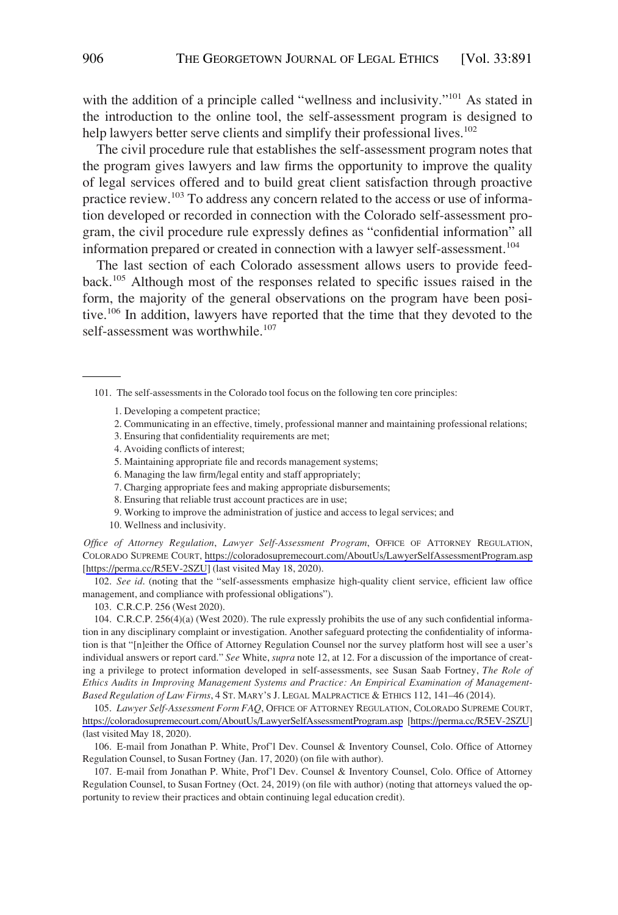with the addition of a principle called "wellness and inclusivity."<sup>101</sup> As stated in the introduction to the online tool, the self-assessment program is designed to help lawyers better serve clients and simplify their professional lives.<sup>102</sup>

The civil procedure rule that establishes the self-assessment program notes that the program gives lawyers and law firms the opportunity to improve the quality of legal services offered and to build great client satisfaction through proactive practice review.<sup>103</sup> To address any concern related to the access or use of information developed or recorded in connection with the Colorado self-assessment program, the civil procedure rule expressly defines as "confidential information" all information prepared or created in connection with a lawyer self-assessment.<sup>104</sup>

The last section of each Colorado assessment allows users to provide feedback.105 Although most of the responses related to specific issues raised in the form, the majority of the general observations on the program have been positive.<sup>106</sup> In addition, lawyers have reported that the time that they devoted to the self-assessment was worthwhile.<sup>107</sup>

101. The self-assessments in the Colorado tool focus on the following ten core principles:

- 1. Developing a competent practice;
- 2. Communicating in an effective, timely, professional manner and maintaining professional relations;
- 3. Ensuring that confidentiality requirements are met;
- 4. Avoiding conflicts of interest;
- 5. Maintaining appropriate file and records management systems;
- 6. Managing the law firm/legal entity and staff appropriately;
- 7. Charging appropriate fees and making appropriate disbursements;
- 8. Ensuring that reliable trust account practices are in use;
- 9. Working to improve the administration of justice and access to legal services; and
- 10. Wellness and inclusivity.

*Office of Attorney Regulation*, *Lawyer Self-Assessment Program*, OFFICE OF ATTORNEY REGULATION, COLORADO SUPREME COURT, <https://coloradosupremecourt.com/AboutUs/LawyerSelfAssessmentProgram.asp> [[https://perma.cc/R5EV-2SZU\]](https://perma.cc/R5EV-2SZU) (last visited May 18, 2020).

102. *See id*. (noting that the "self-assessments emphasize high-quality client service, efficient law office management, and compliance with professional obligations").

103. C.R.C.P. 256 (West 2020).

104. C.R.C.P. 256(4)(a) (West 2020). The rule expressly prohibits the use of any such confidential information in any disciplinary complaint or investigation. Another safeguard protecting the confidentiality of information is that "[n]either the Office of Attorney Regulation Counsel nor the survey platform host will see a user's individual answers or report card." *See* White, *supra* note 12, at 12. For a discussion of the importance of creating a privilege to protect information developed in self-assessments, see Susan Saab Fortney, *The Role of Ethics Audits in Improving Management Systems and Practice: An Empirical Examination of Management-Based Regulation of Law Firms*, 4 ST. MARY'S J. LEGAL MALPRACTICE & ETHICS 112, 141–46 (2014).

*Lawyer Self-Assessment Form FAQ*, OFFICE OF ATTORNEY REGULATION, COLORADO SUPREME COURT, 105. <https://coloradosupremecourt.com/AboutUs/LawyerSelfAssessmentProgram.asp> [\[https://perma.cc/R5EV-2SZU](https://perma.cc/R5EV-2SZU)] (last visited May 18, 2020).

106. E-mail from Jonathan P. White, Prof'l Dev. Counsel & Inventory Counsel, Colo. Office of Attorney Regulation Counsel, to Susan Fortney (Jan. 17, 2020) (on file with author).

107. E-mail from Jonathan P. White, Prof'l Dev. Counsel & Inventory Counsel, Colo. Office of Attorney Regulation Counsel, to Susan Fortney (Oct. 24, 2019) (on file with author) (noting that attorneys valued the opportunity to review their practices and obtain continuing legal education credit).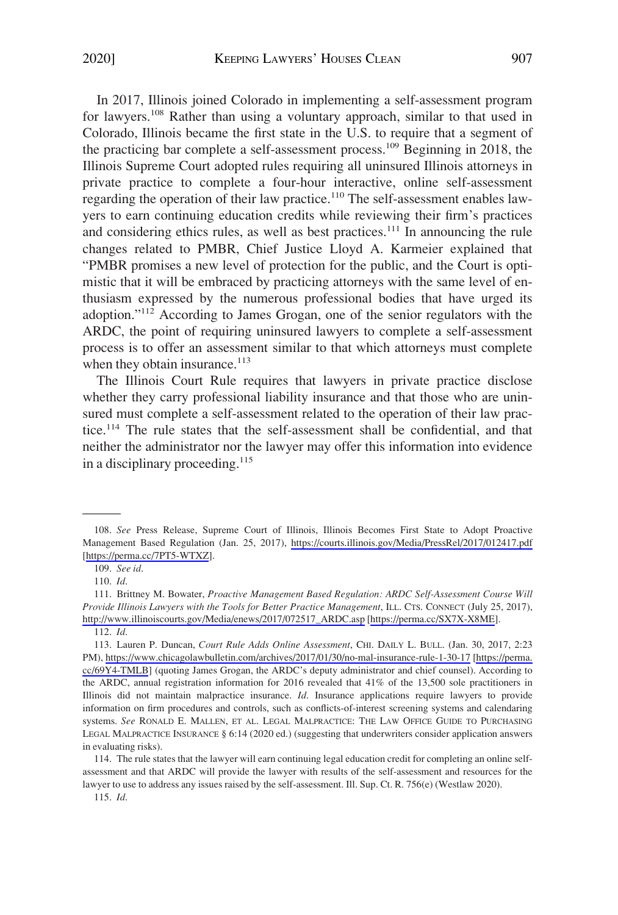In 2017, Illinois joined Colorado in implementing a self-assessment program for lawyers.<sup>108</sup> Rather than using a voluntary approach, similar to that used in Colorado, Illinois became the first state in the U.S. to require that a segment of the practicing bar complete a self-assessment process.109 Beginning in 2018, the Illinois Supreme Court adopted rules requiring all uninsured Illinois attorneys in private practice to complete a four-hour interactive, online self-assessment regarding the operation of their law practice.<sup>110</sup> The self-assessment enables lawyers to earn continuing education credits while reviewing their firm's practices and considering ethics rules, as well as best practices.<sup>111</sup> In announcing the rule changes related to PMBR, Chief Justice Lloyd A. Karmeier explained that "PMBR promises a new level of protection for the public, and the Court is optimistic that it will be embraced by practicing attorneys with the same level of enthusiasm expressed by the numerous professional bodies that have urged its adoption."112 According to James Grogan, one of the senior regulators with the ARDC, the point of requiring uninsured lawyers to complete a self-assessment process is to offer an assessment similar to that which attorneys must complete when they obtain insurance. $113$ 

The Illinois Court Rule requires that lawyers in private practice disclose whether they carry professional liability insurance and that those who are uninsured must complete a self-assessment related to the operation of their law practice.114 The rule states that the self-assessment shall be confidential, and that neither the administrator nor the lawyer may offer this information into evidence in a disciplinary proceeding. $^{115}$ 

114. The rule states that the lawyer will earn continuing legal education credit for completing an online selfassessment and that ARDC will provide the lawyer with results of the self-assessment and resources for the lawyer to use to address any issues raised by the self-assessment. Ill. Sup. Ct. R. 756(e) (Westlaw 2020).

115. *Id*.

<sup>108.</sup> See Press Release, Supreme Court of Illinois, Illinois Becomes First State to Adopt Proactive Management Based Regulation (Jan. 25, 2017), <https://courts.illinois.gov/Media/PressRel/2017/012417.pdf> [<https://perma.cc/7PT5-WTXZ>].

<sup>109.</sup> *See id*.

<sup>110.</sup> *Id*.

<sup>111.</sup> Brittney M. Bowater, Proactive Management Based Regulation: ARDC Self-Assessment Course Will *Provide Illinois Lawyers with the Tools for Better Practice Management*, ILL. CTS. CONNECT (July 25, 2017), [http://www.illinoiscourts.gov/Media/enews/2017/072517\\_ARDC.asp](http://www.illinoiscourts.gov/Media/enews/2017/072517_ARDC.asp) [\[https://perma.cc/SX7X-X8ME](https://perma.cc/SX7X-X8ME)].

<sup>112.</sup> *Id*.

Lauren P. Duncan, *Court Rule Adds Online Assessment*, CHI. DAILY L. BULL. (Jan. 30, 2017, 2:23 113. PM),<https://www.chicagolawbulletin.com/archives/2017/01/30/no-mal-insurance-rule-1-30-17> [[https://perma.](https://perma.cc/69Y4-TMLB)  [cc/69Y4-TMLB\]](https://perma.cc/69Y4-TMLB) (quoting James Grogan, the ARDC's deputy administrator and chief counsel). According to the ARDC, annual registration information for 2016 revealed that 41% of the 13,500 sole practitioners in Illinois did not maintain malpractice insurance. *Id*. Insurance applications require lawyers to provide information on firm procedures and controls, such as conflicts-of-interest screening systems and calendaring systems. *See* RONALD E. MALLEN, ET AL. LEGAL MALPRACTICE: THE LAW OFFICE GUIDE TO PURCHASING LEGAL MALPRACTICE INSURANCE § 6:14 (2020 ed.) (suggesting that underwriters consider application answers in evaluating risks).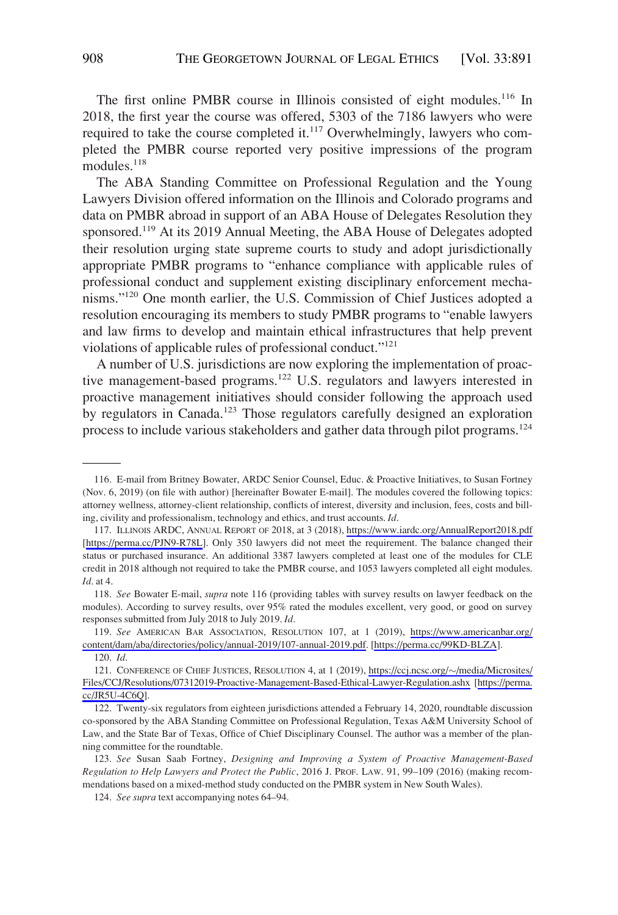The first online PMBR course in Illinois consisted of eight modules.<sup>116</sup> In 2018, the first year the course was offered, 5303 of the 7186 lawyers who were required to take the course completed it. $117$  Overwhelmingly, lawyers who completed the PMBR course reported very positive impressions of the program modules.<sup>118</sup>

The ABA Standing Committee on Professional Regulation and the Young Lawyers Division offered information on the Illinois and Colorado programs and data on PMBR abroad in support of an ABA House of Delegates Resolution they sponsored.<sup>119</sup> At its 2019 Annual Meeting, the ABA House of Delegates adopted their resolution urging state supreme courts to study and adopt jurisdictionally appropriate PMBR programs to "enhance compliance with applicable rules of professional conduct and supplement existing disciplinary enforcement mechanisms."120 One month earlier, the U.S. Commission of Chief Justices adopted a resolution encouraging its members to study PMBR programs to "enable lawyers and law firms to develop and maintain ethical infrastructures that help prevent violations of applicable rules of professional conduct."121

A number of U.S. jurisdictions are now exploring the implementation of proactive management-based programs.122 U.S. regulators and lawyers interested in proactive management initiatives should consider following the approach used by regulators in Canada.<sup>123</sup> Those regulators carefully designed an exploration process to include various stakeholders and gather data through pilot programs.124

<sup>116.</sup> E-mail from Britney Bowater, ARDC Senior Counsel, Educ. & Proactive Initiatives, to Susan Fortney (Nov. 6, 2019) (on file with author) [hereinafter Bowater E-mail]. The modules covered the following topics: attorney wellness, attorney-client relationship, conflicts of interest, diversity and inclusion, fees, costs and billing, civility and professionalism, technology and ethics, and trust accounts. *Id*.

<sup>117.</sup> ILLINOIS ARDC, ANNUAL REPORT OF 2018, at 3 (2018), <https://www.iardc.org/AnnualReport2018.pdf> [<https://perma.cc/PJN9-R78L>]. Only 350 lawyers did not meet the requirement. The balance changed their status or purchased insurance. An additional 3387 lawyers completed at least one of the modules for CLE credit in 2018 although not required to take the PMBR course, and 1053 lawyers completed all eight modules. *Id*. at 4.

<sup>118.</sup> *See* Bowater E-mail, *supra* note 116 (providing tables with survey results on lawyer feedback on the modules). According to survey results, over 95% rated the modules excellent, very good, or good on survey responses submitted from July 2018 to July 2019. *Id*.

*See* AMERICAN BAR ASSOCIATION, RESOLUTION 107, at 1 (2019), [https://www.americanbar.org/](https://www.americanbar.org/content/dam/aba/directories/policy/annual-2019/107-annual-2019.pdf) 119. [content/dam/aba/directories/policy/annual-2019/107-annual-2019.pdf.](https://www.americanbar.org/content/dam/aba/directories/policy/annual-2019/107-annual-2019.pdf) [\[https://perma.cc/99KD-BLZA](https://perma.cc/99KD-BLZA)].

<sup>120.</sup> *Id*.

<sup>121.</sup> CONFERENCE OF CHIEF JUSTICES, RESOLUTION 4, at 1 (2019), [https://ccj.ncsc.org/](https://ccj.ncsc.org/~/media/Microsites/Files/CCJ/Resolutions/07312019-Proactive-Management-Based-Ethical-Lawyer-Regulation.ashx)~/media/Microsites/ [Files/CCJ/Resolutions/07312019-Proactive-Management-Based-Ethical-Lawyer-Regulation.ashx](https://ccj.ncsc.org/~/media/Microsites/Files/CCJ/Resolutions/07312019-Proactive-Management-Based-Ethical-Lawyer-Regulation.ashx) [[https://perma.](https://perma.cc/JR5U-4C6Q)  [cc/JR5U-4C6Q](https://perma.cc/JR5U-4C6Q)].

<sup>122.</sup> Twenty-six regulators from eighteen jurisdictions attended a February 14, 2020, roundtable discussion co-sponsored by the ABA Standing Committee on Professional Regulation, Texas A&M University School of Law, and the State Bar of Texas, Office of Chief Disciplinary Counsel. The author was a member of the planning committee for the roundtable.

<sup>123.</sup> *See* Susan Saab Fortney, *Designing and Improving a System of Proactive Management-Based Regulation to Help Lawyers and Protect the Public*, 2016 J. PROF. LAW. 91, 99–109 (2016) (making recommendations based on a mixed-method study conducted on the PMBR system in New South Wales).

<sup>124.</sup> *See supra* text accompanying notes 64–94.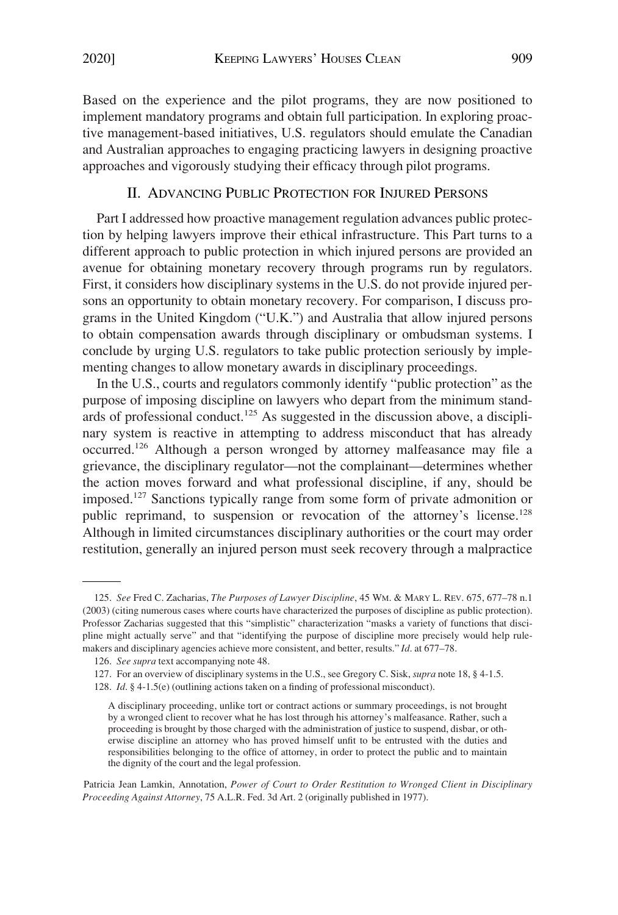<span id="page-18-0"></span>Based on the experience and the pilot programs, they are now positioned to implement mandatory programs and obtain full participation. In exploring proactive management-based initiatives, U.S. regulators should emulate the Canadian and Australian approaches to engaging practicing lawyers in designing proactive approaches and vigorously studying their efficacy through pilot programs.

## II. ADVANCING PUBLIC PROTECTION FOR INJURED PERSONS

Part I addressed how proactive management regulation advances public protection by helping lawyers improve their ethical infrastructure. This Part turns to a different approach to public protection in which injured persons are provided an avenue for obtaining monetary recovery through programs run by regulators. First, it considers how disciplinary systems in the U.S. do not provide injured persons an opportunity to obtain monetary recovery. For comparison, I discuss programs in the United Kingdom ("U.K.") and Australia that allow injured persons to obtain compensation awards through disciplinary or ombudsman systems. I conclude by urging U.S. regulators to take public protection seriously by implementing changes to allow monetary awards in disciplinary proceedings.

In the U.S., courts and regulators commonly identify "public protection" as the purpose of imposing discipline on lawyers who depart from the minimum standards of professional conduct.<sup>125</sup> As suggested in the discussion above, a disciplinary system is reactive in attempting to address misconduct that has already occurred.126 Although a person wronged by attorney malfeasance may file a grievance, the disciplinary regulator—not the complainant—determines whether the action moves forward and what professional discipline, if any, should be imposed.127 Sanctions typically range from some form of private admonition or public reprimand, to suspension or revocation of the attorney's license.<sup>128</sup> Although in limited circumstances disciplinary authorities or the court may order restitution, generally an injured person must seek recovery through a malpractice

Patricia Jean Lamkin, Annotation, *Power of Court to Order Restitution to Wronged Client in Disciplinary Proceeding Against Attorney*, 75 A.L.R. Fed. 3d Art. 2 (originally published in 1977).

<sup>125.</sup> *See* Fred C. Zacharias, *The Purposes of Lawyer Discipline*, 45 WM. & MARY L. REV. 675, 677–78 n.1 (2003) (citing numerous cases where courts have characterized the purposes of discipline as public protection). Professor Zacharias suggested that this "simplistic" characterization "masks a variety of functions that discipline might actually serve" and that "identifying the purpose of discipline more precisely would help rulemakers and disciplinary agencies achieve more consistent, and better, results." *Id*. at 677–78.

<sup>126.</sup> *See supra* text accompanying note 48.

<sup>127.</sup> For an overview of disciplinary systems in the U.S., see Gregory C. Sisk, *supra* note 18, § 4-1.5.

<sup>128.</sup> *Id*. § 4-1.5(e) (outlining actions taken on a finding of professional misconduct).

A disciplinary proceeding, unlike tort or contract actions or summary proceedings, is not brought by a wronged client to recover what he has lost through his attorney's malfeasance. Rather, such a proceeding is brought by those charged with the administration of justice to suspend, disbar, or otherwise discipline an attorney who has proved himself unfit to be entrusted with the duties and responsibilities belonging to the office of attorney, in order to protect the public and to maintain the dignity of the court and the legal profession.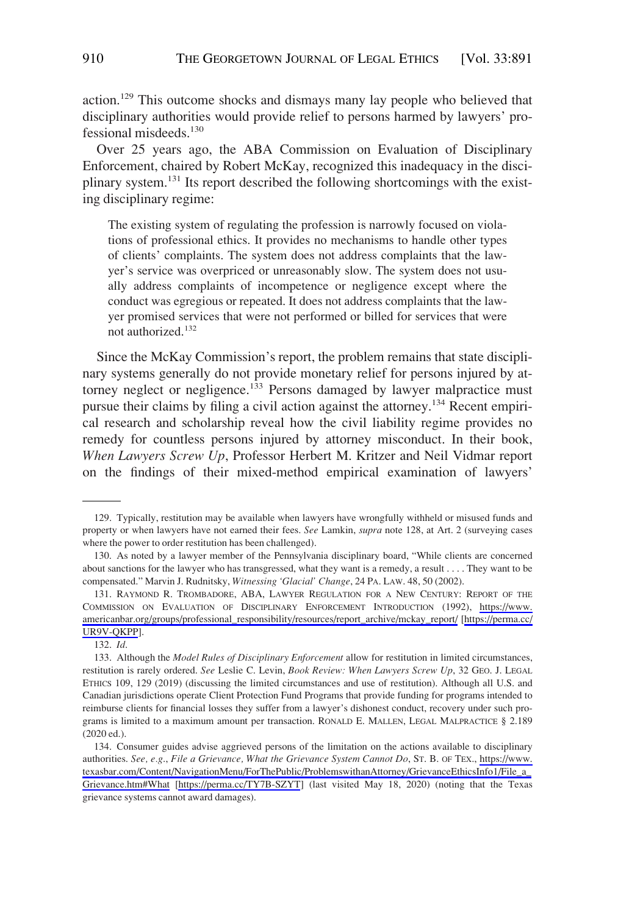action.<sup>129</sup> This outcome shocks and dismays many lay people who believed that disciplinary authorities would provide relief to persons harmed by lawyers' professional misdeeds.<sup>130</sup>

Over 25 years ago, the ABA Commission on Evaluation of Disciplinary Enforcement, chaired by Robert McKay, recognized this inadequacy in the disciplinary system.<sup>131</sup> Its report described the following shortcomings with the existing disciplinary regime:

The existing system of regulating the profession is narrowly focused on violations of professional ethics. It provides no mechanisms to handle other types of clients' complaints. The system does not address complaints that the lawyer's service was overpriced or unreasonably slow. The system does not usually address complaints of incompetence or negligence except where the conduct was egregious or repeated. It does not address complaints that the lawyer promised services that were not performed or billed for services that were not authorized.<sup>132</sup>

Since the McKay Commission's report, the problem remains that state disciplinary systems generally do not provide monetary relief for persons injured by attorney neglect or negligence.<sup>133</sup> Persons damaged by lawyer malpractice must pursue their claims by filing a civil action against the attorney.<sup>134</sup> Recent empirical research and scholarship reveal how the civil liability regime provides no remedy for countless persons injured by attorney misconduct. In their book, *When Lawyers Screw Up*, Professor Herbert M. Kritzer and Neil Vidmar report on the findings of their mixed-method empirical examination of lawyers'

132. *Id*.

<sup>129.</sup> Typically, restitution may be available when lawyers have wrongfully withheld or misused funds and property or when lawyers have not earned their fees. *See* Lamkin, *supra* note 128, at Art. 2 (surveying cases where the power to order restitution has been challenged).

<sup>130.</sup> As noted by a lawyer member of the Pennsylvania disciplinary board, "While clients are concerned about sanctions for the lawyer who has transgressed, what they want is a remedy, a result . . . . They want to be compensated." Marvin J. Rudnitsky, *Witnessing 'Glacial' Change*, 24 PA. LAW. 48, 50 (2002).

<sup>131.</sup> RAYMOND R. TROMBADORE, ABA, LAWYER REGULATION FOR A NEW CENTURY: REPORT OF THE COMMISSION ON EVALUATION OF DISCIPLINARY ENFORCEMENT INTRODUCTION (1992), [https://www.](https://www.americanbar.org/groups/professional_responsibility/resources/report_archive/mckay_report/)  [americanbar.org/groups/professional\\_responsibility/resources/report\\_archive/mckay\\_report/](https://www.americanbar.org/groups/professional_responsibility/resources/report_archive/mckay_report/) [\[https://perma.cc/](https://perma.cc/UR9V-QKPP) [UR9V-QKPP\]](https://perma.cc/UR9V-QKPP).

<sup>133.</sup> Although the *Model Rules of Disciplinary Enforcement* allow for restitution in limited circumstances, restitution is rarely ordered. *See* Leslie C. Levin, *Book Review: When Lawyers Screw Up*, 32 GEO. J. LEGAL ETHICS 109, 129 (2019) (discussing the limited circumstances and use of restitution). Although all U.S. and Canadian jurisdictions operate Client Protection Fund Programs that provide funding for programs intended to reimburse clients for financial losses they suffer from a lawyer's dishonest conduct, recovery under such programs is limited to a maximum amount per transaction. RONALD E. MALLEN, LEGAL MALPRACTICE § 2.189 (2020 ed.).

<sup>134.</sup> Consumer guides advise aggrieved persons of the limitation on the actions available to disciplinary authorities. *See, e.g*., *File a Grievance, What the Grievance System Cannot Do*, ST. B. OF TEX., [https://www.](https://www.texasbar.com/Content/NavigationMenu/ForThePublic/ProblemswithanAttorney/GrievanceEthicsInfo1/File_a_Grievance.htm#What)  [texasbar.com/Content/NavigationMenu/ForThePublic/ProblemswithanAttorney/GrievanceEthicsInfo1/File\\_a\\_](https://www.texasbar.com/Content/NavigationMenu/ForThePublic/ProblemswithanAttorney/GrievanceEthicsInfo1/File_a_Grievance.htm#What) [Grievance.htm#What](https://www.texasbar.com/Content/NavigationMenu/ForThePublic/ProblemswithanAttorney/GrievanceEthicsInfo1/File_a_Grievance.htm#What) [\[https://perma.cc/TY7B-SZYT](https://perma.cc/TY7B-SZYT)] (last visited May 18, 2020) (noting that the Texas grievance systems cannot award damages).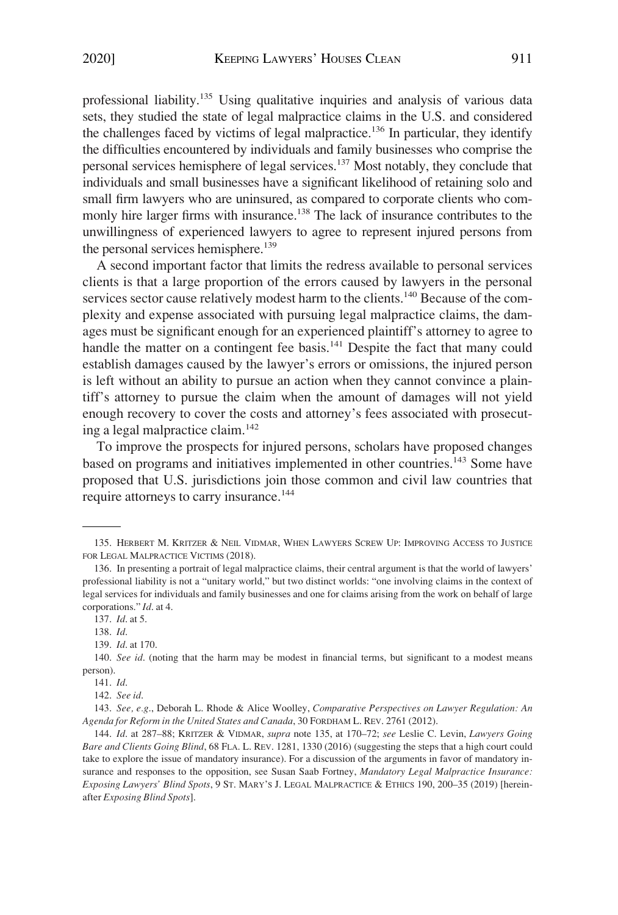professional liability.135 Using qualitative inquiries and analysis of various data sets, they studied the state of legal malpractice claims in the U.S. and considered the challenges faced by victims of legal malpractice.<sup>136</sup> In particular, they identify the difficulties encountered by individuals and family businesses who comprise the personal services hemisphere of legal services.137 Most notably, they conclude that individuals and small businesses have a significant likelihood of retaining solo and small firm lawyers who are uninsured, as compared to corporate clients who commonly hire larger firms with insurance.<sup>138</sup> The lack of insurance contributes to the unwillingness of experienced lawyers to agree to represent injured persons from the personal services hemisphere.<sup>139</sup>

A second important factor that limits the redress available to personal services clients is that a large proportion of the errors caused by lawyers in the personal services sector cause relatively modest harm to the clients.<sup>140</sup> Because of the complexity and expense associated with pursuing legal malpractice claims, the damages must be significant enough for an experienced plaintiff's attorney to agree to handle the matter on a contingent fee basis.<sup>141</sup> Despite the fact that many could establish damages caused by the lawyer's errors or omissions, the injured person is left without an ability to pursue an action when they cannot convince a plaintiff's attorney to pursue the claim when the amount of damages will not yield enough recovery to cover the costs and attorney's fees associated with prosecuting a legal malpractice claim.<sup>142</sup>

To improve the prospects for injured persons, scholars have proposed changes based on programs and initiatives implemented in other countries.<sup>143</sup> Some have proposed that U.S. jurisdictions join those common and civil law countries that require attorneys to carry insurance.<sup>144</sup>

<sup>135.</sup> HERBERT M. KRITZER & NEIL VIDMAR, WHEN LAWYERS SCREW UP: IMPROVING ACCESS TO JUSTICE FOR LEGAL MALPRACTICE VICTIMS (2018).

<sup>136.</sup> In presenting a portrait of legal malpractice claims, their central argument is that the world of lawyers' professional liability is not a "unitary world," but two distinct worlds: "one involving claims in the context of legal services for individuals and family businesses and one for claims arising from the work on behalf of large corporations." *Id*. at 4.

<sup>137.</sup> *Id*. at 5.

<sup>138.</sup> *Id*.

<sup>139.</sup> *Id*. at 170.

<sup>140.</sup> *See id.* (noting that the harm may be modest in financial terms, but significant to a modest means person).

<sup>141.</sup> *Id*.

<sup>142.</sup> *See id*.

<sup>143.</sup> *See, e.g*., Deborah L. Rhode & Alice Woolley, *Comparative Perspectives on Lawyer Regulation: An Agenda for Reform in the United States and Canada*, 30 FORDHAM L. REV. 2761 (2012).

<sup>144.</sup> *Id*. at 287–88; KRITZER & VIDMAR, *supra* note 135, at 170–72; *see* Leslie C. Levin, *Lawyers Going Bare and Clients Going Blind*, 68 FLA. L. REV. 1281, 1330 (2016) (suggesting the steps that a high court could take to explore the issue of mandatory insurance). For a discussion of the arguments in favor of mandatory insurance and responses to the opposition, see Susan Saab Fortney, *Mandatory Legal Malpractice Insurance: Exposing Lawyers' Blind Spots*, 9 ST. MARY'S J. LEGAL MALPRACTICE & ETHICS 190, 200–35 (2019) [hereinafter *Exposing Blind Spots*].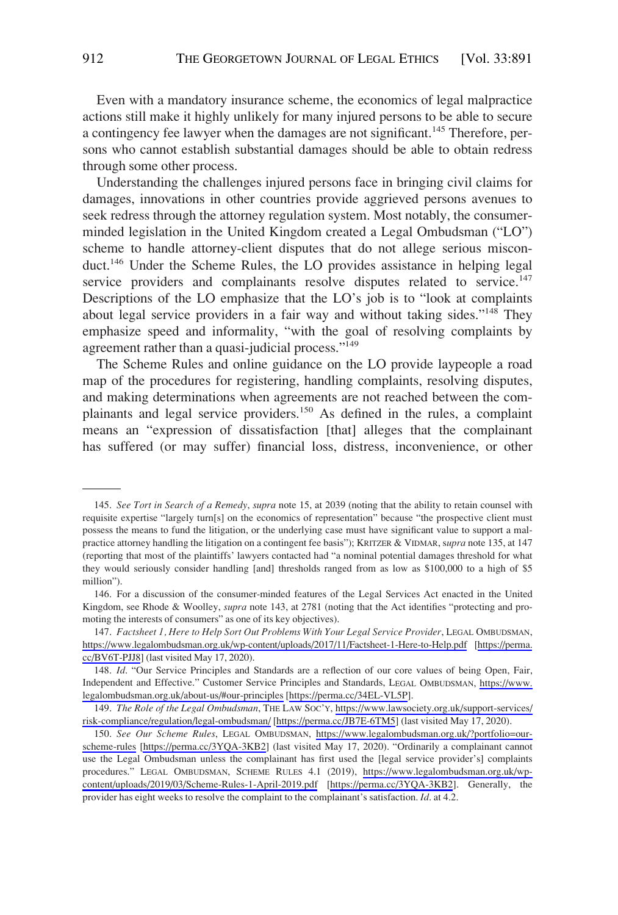Even with a mandatory insurance scheme, the economics of legal malpractice actions still make it highly unlikely for many injured persons to be able to secure a contingency fee lawyer when the damages are not significant.<sup>145</sup> Therefore, persons who cannot establish substantial damages should be able to obtain redress through some other process.

Understanding the challenges injured persons face in bringing civil claims for damages, innovations in other countries provide aggrieved persons avenues to seek redress through the attorney regulation system. Most notably, the consumerminded legislation in the United Kingdom created a Legal Ombudsman ("LO") scheme to handle attorney-client disputes that do not allege serious misconduct.146 Under the Scheme Rules, the LO provides assistance in helping legal service providers and complainants resolve disputes related to service.<sup>147</sup> Descriptions of the LO emphasize that the LO's job is to "look at complaints about legal service providers in a fair way and without taking sides."<sup>148</sup> They emphasize speed and informality, "with the goal of resolving complaints by agreement rather than a quasi-judicial process."149

The Scheme Rules and online guidance on the LO provide laypeople a road map of the procedures for registering, handling complaints, resolving disputes, and making determinations when agreements are not reached between the complainants and legal service providers.<sup>150</sup> As defined in the rules, a complaint means an "expression of dissatisfaction [that] alleges that the complainant has suffered (or may suffer) financial loss, distress, inconvenience, or other

<sup>145.</sup> *See Tort in Search of a Remedy*, *supra* note 15, at 2039 (noting that the ability to retain counsel with requisite expertise "largely turn[s] on the economics of representation" because "the prospective client must possess the means to fund the litigation, or the underlying case must have significant value to support a malpractice attorney handling the litigation on a contingent fee basis"); KRITZER & VIDMAR, s*upra* note 135, at 147 (reporting that most of the plaintiffs' lawyers contacted had "a nominal potential damages threshold for what they would seriously consider handling [and] thresholds ranged from as low as \$100,000 to a high of \$5 million").

<sup>146.</sup> For a discussion of the consumer-minded features of the Legal Services Act enacted in the United Kingdom, see Rhode & Woolley, *supra* note 143, at 2781 (noting that the Act identifies "protecting and promoting the interests of consumers" as one of its key objectives).

<sup>147.</sup> Factsheet 1, Here to Help Sort Out Problems With Your Legal Service Provider, LEGAL OMBUDSMAN, <https://www.legalombudsman.org.uk/wp-content/uploads/2017/11/Factsheet-1-Here-to-Help.pdf> [[https://perma.](https://perma.cc/BV6T-PJJ8)  [cc/BV6T-PJJ8](https://perma.cc/BV6T-PJJ8)] (last visited May 17, 2020).

<sup>148.</sup> *Id.* "Our Service Principles and Standards are a reflection of our core values of being Open, Fair, Independent and Effective." Customer Service Principles and Standards, LEGAL OMBUDSMAN, [https://www.](https://www.legalombudsman.org.uk/about-us/#our-principles)  [legalombudsman.org.uk/about-us/#our-principles](https://www.legalombudsman.org.uk/about-us/#our-principles) [\[https://perma.cc/34EL-VL5P](https://perma.cc/34EL-VL5P)].

<sup>149.</sup> The Role of the Legal Ombudsman, THE LAW SOC'Y, [https://www.lawsociety.org.uk/support-services/](https://www.lawsociety.org.uk/support-services/risk-compliance/regulation/legal-ombudsman/) [risk-compliance/regulation/legal-ombudsman/](https://www.lawsociety.org.uk/support-services/risk-compliance/regulation/legal-ombudsman/) [\[https://perma.cc/JB7E-6TM5](https://perma.cc/JB7E-6TM5)] (last visited May 17, 2020).

<sup>150.</sup> See Our Scheme Rules, LEGAL OMBUDSMAN, [https://www.legalombudsman.org.uk/?portfolio=our](https://www.legalombudsman.org.uk/?portfolio=our-scheme-rules)[scheme-rules](https://www.legalombudsman.org.uk/?portfolio=our-scheme-rules) [<https://perma.cc/3YQA-3KB2>] (last visited May 17, 2020). "Ordinarily a complainant cannot use the Legal Ombudsman unless the complainant has first used the [legal service provider's] complaints procedures." LEGAL OMBUDSMAN, SCHEME RULES 4.1 (2019), [https://www.legalombudsman.org.uk/wp](https://www.legalombudsman.org.uk/wp-content/uploads/2019/03/Scheme-Rules-1-April-2019.pdf)[content/uploads/2019/03/Scheme-Rules-1-April-2019.pdf](https://www.legalombudsman.org.uk/wp-content/uploads/2019/03/Scheme-Rules-1-April-2019.pdf) [<https://perma.cc/3YQA-3KB2>]. Generally, the provider has eight weeks to resolve the complaint to the complainant's satisfaction. *Id*. at 4.2.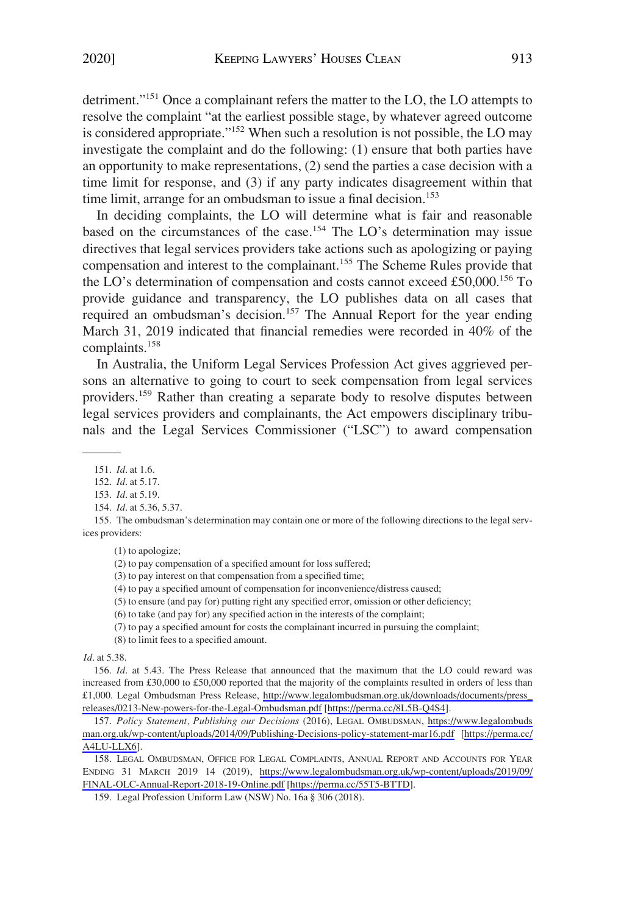detriment."151 Once a complainant refers the matter to the LO, the LO attempts to resolve the complaint "at the earliest possible stage, by whatever agreed outcome is considered appropriate."152 When such a resolution is not possible, the LO may investigate the complaint and do the following: (1) ensure that both parties have an opportunity to make representations, (2) send the parties a case decision with a time limit for response, and (3) if any party indicates disagreement within that time limit, arrange for an ombudsman to issue a final decision.<sup>153</sup>

In deciding complaints, the LO will determine what is fair and reasonable based on the circumstances of the case.<sup>154</sup> The LO's determination may issue directives that legal services providers take actions such as apologizing or paying compensation and interest to the complainant.<sup>155</sup> The Scheme Rules provide that the LO's determination of compensation and costs cannot exceed £50,000.<sup>156</sup> To provide guidance and transparency, the LO publishes data on all cases that required an ombudsman's decision.<sup>157</sup> The Annual Report for the year ending March 31, 2019 indicated that financial remedies were recorded in 40% of the complaints.158

In Australia, the Uniform Legal Services Profession Act gives aggrieved persons an alternative to going to court to seek compensation from legal services providers.159 Rather than creating a separate body to resolve disputes between legal services providers and complainants, the Act empowers disciplinary tribunals and the Legal Services Commissioner ("LSC") to award compensation

(1) to apologize;

(2) to pay compensation of a specified amount for loss suffered;

(3) to pay interest on that compensation from a specified time;

(4) to pay a specified amount of compensation for inconvenience/distress caused;

(5) to ensure (and pay for) putting right any specified error, omission or other deficiency;

(6) to take (and pay for) any specified action in the interests of the complaint;

(7) to pay a specified amount for costs the complainant incurred in pursuing the complaint;

(8) to limit fees to a specified amount.

*Id*. at 5.38.

156. *Id.* at 5.43. The Press Release that announced that the maximum that the LO could reward was increased from £30,000 to £50,000 reported that the majority of the complaints resulted in orders of less than £1,000. Legal Ombudsman Press Release, [http://www.legalombudsman.org.uk/downloads/documents/press\\_](http://www.legalombudsman.org.uk/downloads/documents/press_releases/0213-New-powers-for-the-Legal-Ombudsman.pdf) [releases/0213-New-powers-for-the-Legal-Ombudsman.pdf](http://www.legalombudsman.org.uk/downloads/documents/press_releases/0213-New-powers-for-the-Legal-Ombudsman.pdf) [<https://perma.cc/8L5B-Q4S4>].

157. Policy Statement, Publishing our Decisions (2016), LEGAL OMBUDSMAN, https://www.legalombuds [man.org.uk/wp-content/uploads/2014/09/Publishing-Decisions-policy-statement-mar16.pdf](https://www.legalombudsman.org.uk/wp-content/uploads/2014/09/Publishing-Decisions-policy-statement-mar16.pdf) [\[https://perma.cc/](https://perma.cc/A4LU-LLX6) [A4LU-LLX6\]](https://perma.cc/A4LU-LLX6).

158. LEGAL OMBUDSMAN, OFFICE FOR LEGAL COMPLAINTS, ANNUAL REPORT AND ACCOUNTS FOR YEAR ENDING 31 MARCH 2019 14 (2019), [https://www.legalombudsman.org.uk/wp-content/uploads/2019/09/](https://www.legalombudsman.org.uk/wp-content/uploads/2019/09/FINAL-OLC-Annual-Report-2018-19-Online.pdf) [FINAL-OLC-Annual-Report-2018-19-Online.pdf](https://www.legalombudsman.org.uk/wp-content/uploads/2019/09/FINAL-OLC-Annual-Report-2018-19-Online.pdf) [\[https://perma.cc/55T5-BTTD](https://perma.cc/55T5-BTTD)].

159. Legal Profession Uniform Law (NSW) No. 16a § 306 (2018).

<sup>151.</sup> *Id*. at 1.6.

<sup>152.</sup> *Id*. at 5.17.

<sup>153.</sup> *Id*. at 5.19.

<sup>154.</sup> *Id*. at 5.36, 5.37.

<sup>155.</sup> The ombudsman's determination may contain one or more of the following directions to the legal services providers: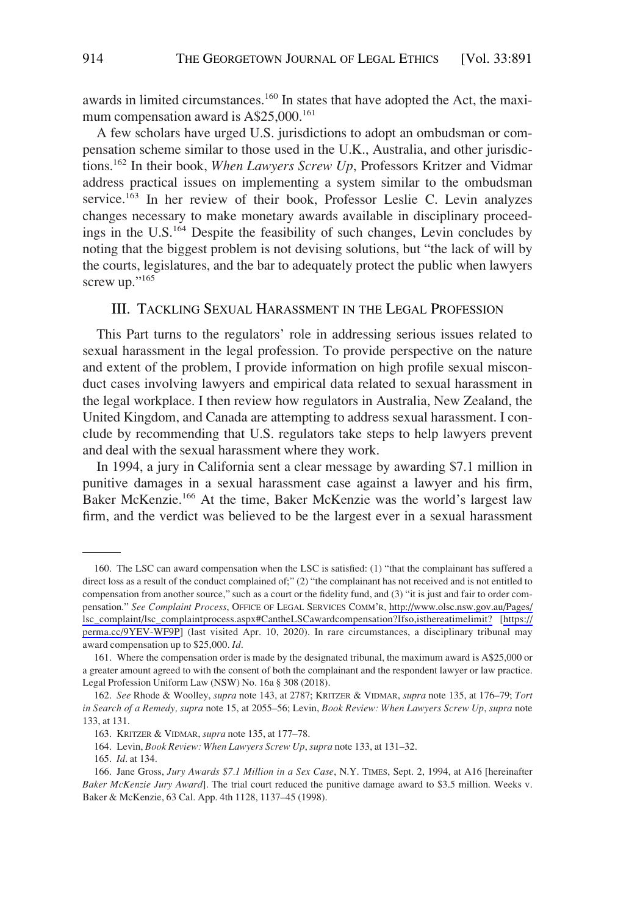<span id="page-23-0"></span>awards in limited circumstances.<sup>160</sup> In states that have adopted the Act, the maximum compensation award is  $A$25,000.<sup>161</sup>$ 

A few scholars have urged U.S. jurisdictions to adopt an ombudsman or compensation scheme similar to those used in the U.K., Australia, and other jurisdictions.162 In their book, *When Lawyers Screw Up*, Professors Kritzer and Vidmar address practical issues on implementing a system similar to the ombudsman service.<sup>163</sup> In her review of their book, Professor Leslie C. Levin analyzes changes necessary to make monetary awards available in disciplinary proceedings in the U.S.164 Despite the feasibility of such changes, Levin concludes by noting that the biggest problem is not devising solutions, but "the lack of will by the courts, legislatures, and the bar to adequately protect the public when lawyers screw up."165

# III. TACKLING SEXUAL HARASSMENT IN THE LEGAL PROFESSION

This Part turns to the regulators' role in addressing serious issues related to sexual harassment in the legal profession. To provide perspective on the nature and extent of the problem, I provide information on high profile sexual misconduct cases involving lawyers and empirical data related to sexual harassment in the legal workplace. I then review how regulators in Australia, New Zealand, the United Kingdom, and Canada are attempting to address sexual harassment. I conclude by recommending that U.S. regulators take steps to help lawyers prevent and deal with the sexual harassment where they work.

In 1994, a jury in California sent a clear message by awarding \$7.1 million in punitive damages in a sexual harassment case against a lawyer and his firm, Baker McKenzie.166 At the time, Baker McKenzie was the world's largest law firm, and the verdict was believed to be the largest ever in a sexual harassment

<sup>160.</sup> The LSC can award compensation when the LSC is satisfied: (1) "that the complainant has suffered a direct loss as a result of the conduct complained of;" (2) "the complainant has not received and is not entitled to compensation from another source," such as a court or the fidelity fund, and (3) "it is just and fair to order compensation." *See Complaint Process*, OFFICE OF LEGAL SERVICES COMM'R, [http://www.olsc.nsw.gov.au/Pages/](http://www.olsc.nsw.gov.au/Pages/lsc_complaint/lsc_complaintprocess.aspx#CantheLSCawardcompensation?Ifso,isthereatimelimit?) [lsc\\_complaint/lsc\\_complaintprocess.aspx#CantheLSCawardcompensation?Ifso,isthereatimelimit?](http://www.olsc.nsw.gov.au/Pages/lsc_complaint/lsc_complaintprocess.aspx#CantheLSCawardcompensation?Ifso,isthereatimelimit?) [[https://](https://perma.cc/9YEV-WF9P) [perma.cc/9YEV-WF9P\]](https://perma.cc/9YEV-WF9P) (last visited Apr. 10, 2020). In rare circumstances, a disciplinary tribunal may award compensation up to \$25,000*. Id*.

<sup>161.</sup> Where the compensation order is made by the designated tribunal, the maximum award is A\$25,000 or a greater amount agreed to with the consent of both the complainant and the respondent lawyer or law practice. Legal Profession Uniform Law (NSW) No. 16a § 308 (2018).

<sup>162.</sup> *See* Rhode & Woolley, *supra* note 143, at 2787; KRITZER & VIDMAR, *supra* note 135, at 176–79; *Tort in Search of a Remedy, supra* note 15, at 2055–56; Levin, *Book Review: When Lawyers Screw Up*, *supra* note 133, at 131.

<sup>163.</sup> KRITZER & VIDMAR, *supra* note 135, at 177–78.

<sup>164.</sup> Levin, *Book Review: When Lawyers Screw Up*, *supra* note 133, at 131–32.

<sup>165.</sup> *Id*. at 134.

<sup>166.</sup> Jane Gross, *Jury Awards \$7.1 Million in a Sex Case*, N.Y. TIMES, Sept. 2, 1994, at A16 [hereinafter *Baker McKenzie Jury Award*]. The trial court reduced the punitive damage award to \$3.5 million. Weeks v. Baker & McKenzie, 63 Cal. App. 4th 1128, 1137–45 (1998).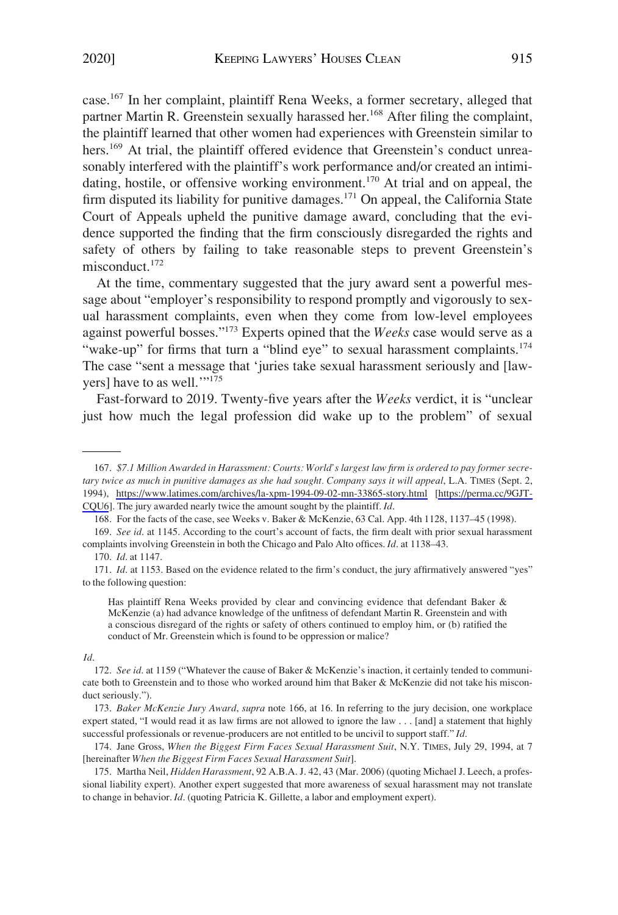case.<sup>167</sup> In her complaint, plaintiff Rena Weeks, a former secretary, alleged that partner Martin R. Greenstein sexually harassed her.<sup>168</sup> After filing the complaint, the plaintiff learned that other women had experiences with Greenstein similar to hers.<sup>169</sup> At trial, the plaintiff offered evidence that Greenstein's conduct unreasonably interfered with the plaintiff's work performance and/or created an intimidating, hostile, or offensive working environment.<sup>170</sup> At trial and on appeal, the firm disputed its liability for punitive damages.<sup>171</sup> On appeal, the California State Court of Appeals upheld the punitive damage award, concluding that the evidence supported the finding that the firm consciously disregarded the rights and safety of others by failing to take reasonable steps to prevent Greenstein's misconduct.172

At the time, commentary suggested that the jury award sent a powerful message about "employer's responsibility to respond promptly and vigorously to sexual harassment complaints, even when they come from low-level employees against powerful bosses."173 Experts opined that the *Weeks* case would serve as a "wake-up" for firms that turn a "blind eye" to sexual harassment complaints. $174$ The case "sent a message that 'juries take sexual harassment seriously and [lawyers] have to as well.'"175

Fast-forward to 2019. Twenty-five years after the *Weeks* verdict, it is "unclear just how much the legal profession did wake up to the problem" of sexual

168. For the facts of the case, see Weeks v. Baker & McKenzie, 63 Cal. App. 4th 1128, 1137–45 (1998).

Has plaintiff Rena Weeks provided by clear and convincing evidence that defendant Baker & McKenzie (a) had advance knowledge of the unfitness of defendant Martin R. Greenstein and with a conscious disregard of the rights or safety of others continued to employ him, or (b) ratified the conduct of Mr. Greenstein which is found to be oppression or malice?

#### *Id*.

174. Jane Gross, *When the Biggest Firm Faces Sexual Harassment Suit*, N.Y. TIMES, July 29, 1994, at 7 [hereinafter *When the Biggest Firm Faces Sexual Harassment Suit*].

175. Martha Neil, *Hidden Harassment*, 92 A.B.A. J. 42, 43 (Mar. 2006) (quoting Michael J. Leech, a professional liability expert). Another expert suggested that more awareness of sexual harassment may not translate to change in behavior. *Id*. (quoting Patricia K. Gillette, a labor and employment expert).

*<sup>\$7.1</sup> Million Awarded in Harassment: Courts: World's largest law firm is ordered to pay former secre-*167. *tary twice as much in punitive damages as she had sought. Company says it will appeal*, L.A. TIMES (Sept. 2, 1994), <https://www.latimes.com/archives/la-xpm-1994-09-02-mn-33865-story.html> [[https://perma.cc/9GJT-](https://perma.cc/9GJT-CQU6)[CQU6\]](https://perma.cc/9GJT-CQU6). The jury awarded nearly twice the amount sought by the plaintiff. *Id*.

<sup>169.</sup> *See id*. at 1145. According to the court's account of facts, the firm dealt with prior sexual harassment complaints involving Greenstein in both the Chicago and Palo Alto offices. *Id*. at 1138–43.

<sup>170.</sup> *Id*. at 1147.

<sup>171.</sup> *Id*. at 1153. Based on the evidence related to the firm's conduct, the jury affirmatively answered "yes" to the following question:

<sup>172.</sup> *See id*. at 1159 ("Whatever the cause of Baker & McKenzie's inaction, it certainly tended to communicate both to Greenstein and to those who worked around him that Baker & McKenzie did not take his misconduct seriously.").

<sup>173.</sup> *Baker McKenzie Jury Award*, *supra* note 166, at 16. In referring to the jury decision, one workplace expert stated, "I would read it as law firms are not allowed to ignore the law . . . [and] a statement that highly successful professionals or revenue-producers are not entitled to be uncivil to support staff." *Id*.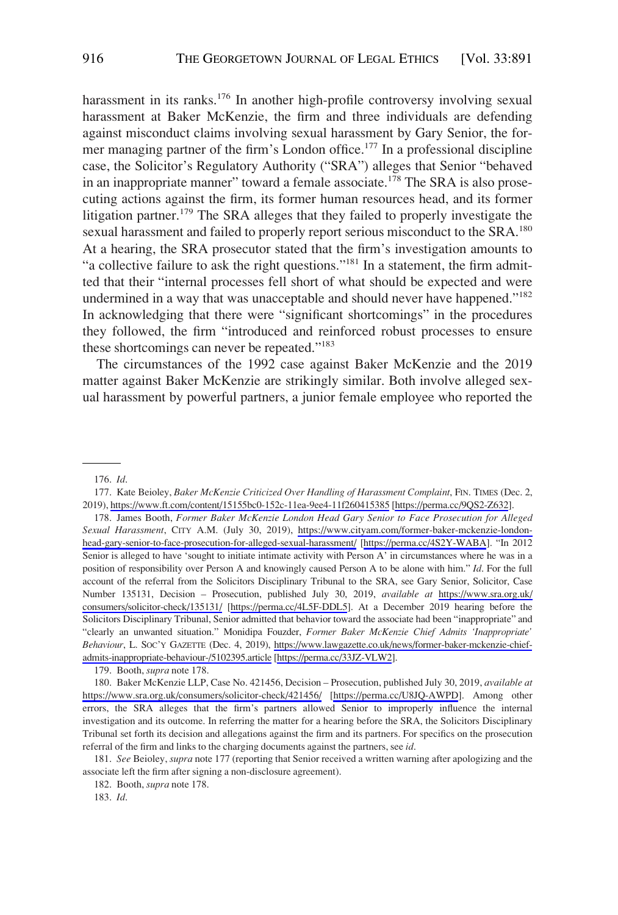harassment in its ranks.<sup>176</sup> In another high-profile controversy involving sexual harassment at Baker McKenzie, the firm and three individuals are defending against misconduct claims involving sexual harassment by Gary Senior, the former managing partner of the firm's London office.<sup>177</sup> In a professional discipline case, the Solicitor's Regulatory Authority ("SRA") alleges that Senior "behaved in an inappropriate manner" toward a female associate.<sup>178</sup> The SRA is also prosecuting actions against the firm, its former human resources head, and its former litigation partner.<sup>179</sup> The SRA alleges that they failed to properly investigate the sexual harassment and failed to properly report serious misconduct to the SRA.<sup>180</sup> At a hearing, the SRA prosecutor stated that the firm's investigation amounts to "a collective failure to ask the right questions."181 In a statement, the firm admitted that their "internal processes fell short of what should be expected and were undermined in a way that was unacceptable and should never have happened."<sup>182</sup> In acknowledging that there were "significant shortcomings" in the procedures they followed, the firm "introduced and reinforced robust processes to ensure these shortcomings can never be repeated."183

The circumstances of the 1992 case against Baker McKenzie and the 2019 matter against Baker McKenzie are strikingly similar. Both involve alleged sexual harassment by powerful partners, a junior female employee who reported the

179. Booth, *supra* note 178.

<sup>176.</sup> *Id*.

<sup>177.</sup> Kate Beioley, *Baker McKenzie Criticized Over Handling of Harassment Complaint*, FIN. TIMES (Dec. 2, 2019),<https://www.ft.com/content/15155bc0-152c-11ea-9ee4-11f260415385> [<https://perma.cc/9QS2-Z632>].

<sup>178.</sup> James Booth, Former Baker McKenzie London Head Gary Senior to Face Prosecution for Alleged *Sexual Harassment*, CITY A.M. (July 30, 2019), [https://www.cityam.com/former-baker-mckenzie-london](https://www.cityam.com/former-baker-mckenzie-london-head-gary-senior-to-face-prosecution-for-alleged-sexual-harassment/)[head-gary-senior-to-face-prosecution-for-alleged-sexual-harassment/](https://www.cityam.com/former-baker-mckenzie-london-head-gary-senior-to-face-prosecution-for-alleged-sexual-harassment/) [\[https://perma.cc/4S2Y-WABA\]](https://perma.cc/4S2Y-WABA). "In 2012 Senior is alleged to have 'sought to initiate intimate activity with Person A' in circumstances where he was in a position of responsibility over Person A and knowingly caused Person A to be alone with him." *Id*. For the full account of the referral from the Solicitors Disciplinary Tribunal to the SRA, see Gary Senior, Solicitor, Case Number 135131, Decision – Prosecution, published July 30, 2019, *available at* [https://www.sra.org.uk/](https://www.sra.org.uk/consumers/solicitor-check/135131/)  [consumers/solicitor-check/135131/](https://www.sra.org.uk/consumers/solicitor-check/135131/) [\[https://perma.cc/4L5F-DDL5](https://perma.cc/4L5F-DDL5)]. At a December 2019 hearing before the Solicitors Disciplinary Tribunal, Senior admitted that behavior toward the associate had been "inappropriate" and "clearly an unwanted situation." Monidipa Fouzder, *Former Baker McKenzie Chief Admits 'Inappropriate' Behaviour*, L. SOC'Y GAZETTE (Dec. 4, 2019), [https://www.lawgazette.co.uk/news/former-baker-mckenzie-chief](https://www.lawgazette.co.uk/news/former-baker-mckenzie-chief-admits-inappropriate-behaviour-/5102395.article)[admits-inappropriate-behaviour-/5102395.article](https://www.lawgazette.co.uk/news/former-baker-mckenzie-chief-admits-inappropriate-behaviour-/5102395.article) [\[https://perma.cc/33JZ-VLW2](https://perma.cc/33JZ-VLW2)].

<sup>180.</sup> Baker McKenzie LLP, Case No. 421456, Decision - Prosecution, published July 30, 2019, *available at* <https://www.sra.org.uk/consumers/solicitor-check/421456/> [\[https://perma.cc/U8JQ-AWPD\]](https://perma.cc/U8JQ-AWPD). Among other errors, the SRA alleges that the firm's partners allowed Senior to improperly influence the internal investigation and its outcome. In referring the matter for a hearing before the SRA, the Solicitors Disciplinary Tribunal set forth its decision and allegations against the firm and its partners. For specifics on the prosecution referral of the firm and links to the charging documents against the partners, see *id*.

<sup>181.</sup> *See* Beioley, *supra* note 177 (reporting that Senior received a written warning after apologizing and the associate left the firm after signing a non-disclosure agreement).

<sup>182.</sup> Booth, *supra* note 178.

<sup>183.</sup> *Id*.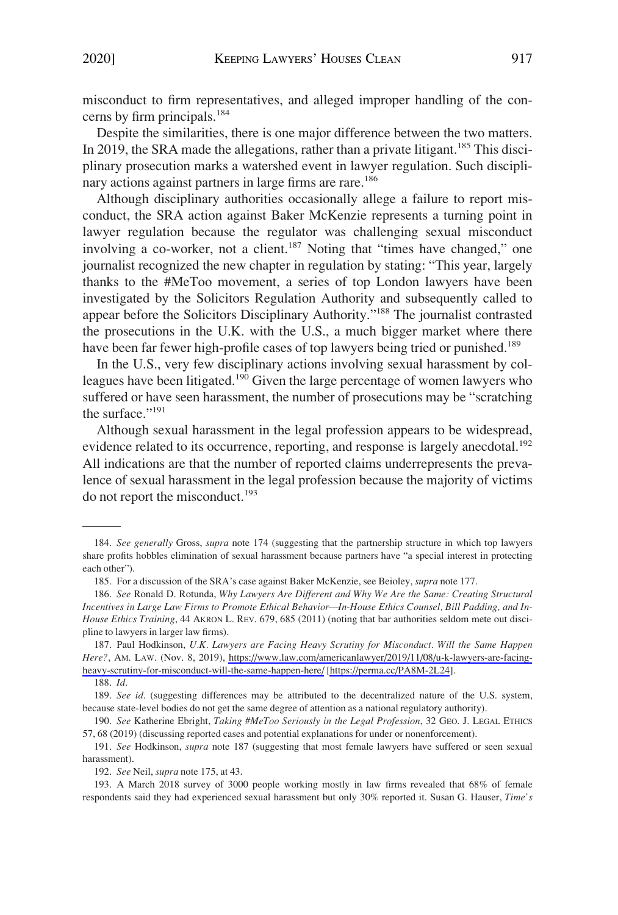misconduct to firm representatives, and alleged improper handling of the concerns by firm principals.<sup>184</sup>

Despite the similarities, there is one major difference between the two matters. In 2019, the SRA made the allegations, rather than a private litigant.<sup>185</sup> This disciplinary prosecution marks a watershed event in lawyer regulation. Such disciplinary actions against partners in large firms are rare.<sup>186</sup>

Although disciplinary authorities occasionally allege a failure to report misconduct, the SRA action against Baker McKenzie represents a turning point in lawyer regulation because the regulator was challenging sexual misconduct involving a co-worker, not a client.<sup>187</sup> Noting that "times have changed," one journalist recognized the new chapter in regulation by stating: "This year, largely thanks to the #MeToo movement, a series of top London lawyers have been investigated by the Solicitors Regulation Authority and subsequently called to appear before the Solicitors Disciplinary Authority."188 The journalist contrasted the prosecutions in the U.K. with the U.S., a much bigger market where there have been far fewer high-profile cases of top lawyers being tried or punished.<sup>189</sup>

In the U.S., very few disciplinary actions involving sexual harassment by colleagues have been litigated.<sup>190</sup> Given the large percentage of women lawyers who suffered or have seen harassment, the number of prosecutions may be "scratching the surface."<sup>191</sup>

Although sexual harassment in the legal profession appears to be widespread, evidence related to its occurrence, reporting, and response is largely anecdotal.<sup>192</sup> All indications are that the number of reported claims underrepresents the prevalence of sexual harassment in the legal profession because the majority of victims do not report the misconduct.<sup>193</sup>

<sup>184.</sup> *See generally* Gross, *supra* note 174 (suggesting that the partnership structure in which top lawyers share profits hobbles elimination of sexual harassment because partners have "a special interest in protecting each other").

<sup>185.</sup> For a discussion of the SRA's case against Baker McKenzie, see Beioley, *supra* note 177.

<sup>186.</sup> *See* Ronald D. Rotunda, *Why Lawyers Are Different and Why We Are the Same: Creating Structural Incentives in Large Law Firms to Promote Ethical Behavior—In-House Ethics Counsel, Bill Padding, and In-House Ethics Training*, 44 AKRON L. REV. 679, 685 (2011) (noting that bar authorities seldom mete out discipline to lawyers in larger law firms).

<sup>187.</sup> Paul Hodkinson, U.K. Lawyers are Facing Heavy Scrutiny for Misconduct. Will the Same Happen *Here?*, AM. LAW. (Nov. 8, 2019), [https://www.law.com/americanlawyer/2019/11/08/u-k-lawyers-are-facing](https://www.law.com/americanlawyer/2019/11/08/u-k-lawyers-are-facing-heavy-scrutiny-for-misconduct-will-the-same-happen-here/)[heavy-scrutiny-for-misconduct-will-the-same-happen-here/](https://www.law.com/americanlawyer/2019/11/08/u-k-lawyers-are-facing-heavy-scrutiny-for-misconduct-will-the-same-happen-here/) [\[https://perma.cc/PA8M-2L24\]](https://perma.cc/PA8M-2L24).

<sup>188.</sup> *Id*.

<sup>189.</sup> See id. (suggesting differences may be attributed to the decentralized nature of the U.S. system, because state-level bodies do not get the same degree of attention as a national regulatory authority).

<sup>190.</sup> *See* Katherine Ebright, *Taking #MeToo Seriously in the Legal Profession*, 32 GEO. J. LEGAL ETHICS 57, 68 (2019) (discussing reported cases and potential explanations for under or nonenforcement).

<sup>191.</sup> *See* Hodkinson, *supra* note 187 (suggesting that most female lawyers have suffered or seen sexual harassment).

<sup>192.</sup> *See* Neil, *supra* note 175, at 43.

<sup>193.</sup> A March 2018 survey of 3000 people working mostly in law firms revealed that 68% of female respondents said they had experienced sexual harassment but only 30% reported it. Susan G. Hauser, *Time's*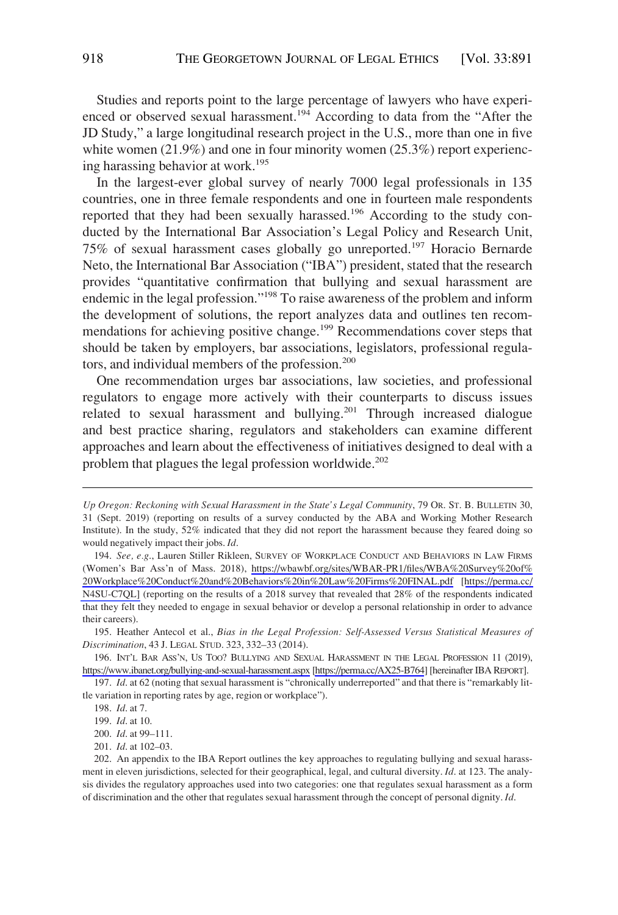Studies and reports point to the large percentage of lawyers who have experienced or observed sexual harassment.<sup>194</sup> According to data from the "After the JD Study," a large longitudinal research project in the U.S., more than one in five white women (21.9%) and one in four minority women (25.3%) report experiencing harassing behavior at work.195

In the largest-ever global survey of nearly 7000 legal professionals in 135 countries, one in three female respondents and one in fourteen male respondents reported that they had been sexually harassed.<sup>196</sup> According to the study conducted by the International Bar Association's Legal Policy and Research Unit, 75% of sexual harassment cases globally go unreported.197 Horacio Bernarde Neto, the International Bar Association ("IBA") president, stated that the research provides "quantitative confirmation that bullying and sexual harassment are endemic in the legal profession."198 To raise awareness of the problem and inform the development of solutions, the report analyzes data and outlines ten recommendations for achieving positive change.<sup>199</sup> Recommendations cover steps that should be taken by employers, bar associations, legislators, professional regulators, and individual members of the profession.<sup>200</sup>

One recommendation urges bar associations, law societies, and professional regulators to engage more actively with their counterparts to discuss issues related to sexual harassment and bullying.<sup>201</sup> Through increased dialogue and best practice sharing, regulators and stakeholders can examine different approaches and learn about the effectiveness of initiatives designed to deal with a problem that plagues the legal profession worldwide.<sup>202</sup>

195. Heather Antecol et al., *Bias in the Legal Profession: Self-Assessed Versus Statistical Measures of Discrimination*, 43 J. LEGAL STUD. 323, 332–33 (2014).

196. INT'L BAR ASS'N, US TOO? BULLYING AND SEXUAL HARASSMENT IN THE LEGAL PROFESSION 11 (2019), <https://www.ibanet.org/bullying-and-sexual-harassment.aspx>[\[https://perma.cc/AX25-B764\]](https://perma.cc/AX25-B764) [hereinafter IBA REPORT].

197. *Id*. at 62 (noting that sexual harassment is "chronically underreported" and that there is "remarkably little variation in reporting rates by age, region or workplace").

*Up Oregon: Reckoning with Sexual Harassment in the State's Legal Community*, 79 OR. ST. B. BULLETIN 30, 31 (Sept. 2019) (reporting on results of a survey conducted by the ABA and Working Mother Research Institute). In the study, 52% indicated that they did not report the harassment because they feared doing so would negatively impact their jobs. *Id*.

<sup>194.</sup> See, e.g., Lauren Stiller Rikleen, SURVEY OF WORKPLACE CONDUCT AND BEHAVIORS IN LAW FIRMS (Women's Bar Ass'n of Mass. 2018), [https://wbawbf.org/sites/WBAR-PR1/files/WBA%20Survey%20of%](https://wbawbf.org/sites/WBAR-PR1/files/WBA%20Survey%20of%20Workplace%20Conduct%20and%20Behaviors%20in%20Law%20Firms%20FINAL.pdf) [20Workplace%20Conduct%20and%20Behaviors%20in%20Law%20Firms%20FINAL.pdf](https://wbawbf.org/sites/WBAR-PR1/files/WBA%20Survey%20of%20Workplace%20Conduct%20and%20Behaviors%20in%20Law%20Firms%20FINAL.pdf) [[https://perma.cc/](https://perma.cc/N4SU-C7QL)  [N4SU-C7QL\]](https://perma.cc/N4SU-C7QL) (reporting on the results of a 2018 survey that revealed that 28% of the respondents indicated that they felt they needed to engage in sexual behavior or develop a personal relationship in order to advance their careers).

<sup>198.</sup> *Id*. at 7.

<sup>199.</sup> *Id*. at 10.

<sup>200.</sup> *Id*. at 99–111.

<sup>201.</sup> *Id*. at 102–03.

<sup>202.</sup> An appendix to the IBA Report outlines the key approaches to regulating bullying and sexual harassment in eleven jurisdictions, selected for their geographical, legal, and cultural diversity. *Id*. at 123. The analysis divides the regulatory approaches used into two categories: one that regulates sexual harassment as a form of discrimination and the other that regulates sexual harassment through the concept of personal dignity. *Id*.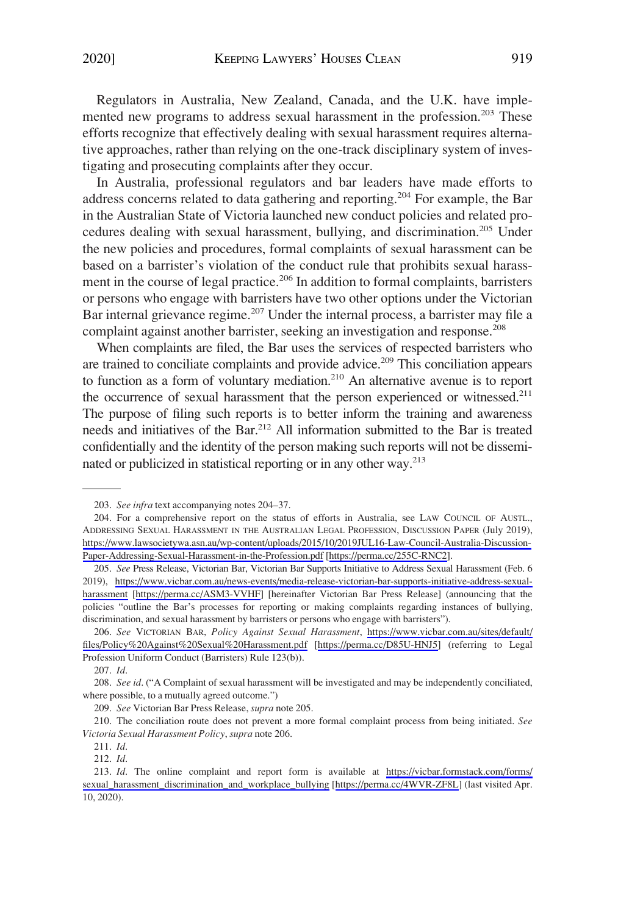Regulators in Australia, New Zealand, Canada, and the U.K. have implemented new programs to address sexual harassment in the profession.<sup>203</sup> These efforts recognize that effectively dealing with sexual harassment requires alternative approaches, rather than relying on the one-track disciplinary system of investigating and prosecuting complaints after they occur.

In Australia, professional regulators and bar leaders have made efforts to address concerns related to data gathering and reporting.<sup>204</sup> For example, the Bar in the Australian State of Victoria launched new conduct policies and related procedures dealing with sexual harassment, bullying, and discrimination.<sup>205</sup> Under the new policies and procedures, formal complaints of sexual harassment can be based on a barrister's violation of the conduct rule that prohibits sexual harassment in the course of legal practice.<sup>206</sup> In addition to formal complaints, barristers or persons who engage with barristers have two other options under the Victorian Bar internal grievance regime.<sup>207</sup> Under the internal process, a barrister may file a complaint against another barrister, seeking an investigation and response.<sup>208</sup>

When complaints are filed, the Bar uses the services of respected barristers who are trained to conciliate complaints and provide advice.<sup>209</sup> This conciliation appears to function as a form of voluntary mediation.<sup>210</sup> An alternative avenue is to report the occurrence of sexual harassment that the person experienced or witnessed.<sup>211</sup> The purpose of filing such reports is to better inform the training and awareness needs and initiatives of the Bar.<sup>212</sup> All information submitted to the Bar is treated confidentially and the identity of the person making such reports will not be disseminated or publicized in statistical reporting or in any other way.213

<sup>203.</sup> *See infra* text accompanying notes 204–37.

<sup>204.</sup> For a comprehensive report on the status of efforts in Australia, see LAW COUNCIL OF AUSTL., ADDRESSING SEXUAL HARASSMENT IN THE AUSTRALIAN LEGAL PROFESSION, DISCUSSION PAPER (July 2019), [https://www.lawsocietywa.asn.au/wp-content/uploads/2015/10/2019JUL16-Law-Council-Australia-Discussion-](https://www.lawsocietywa.asn.au/wp-content/uploads/2015/10/2019JUL16-Law-Council-Australia-Discussion-Paper-Addressing-Sexual-Harassment-in-the-Profession.pdf)[Paper-Addressing-Sexual-Harassment-in-the-Profession.pdf](https://www.lawsocietywa.asn.au/wp-content/uploads/2015/10/2019JUL16-Law-Council-Australia-Discussion-Paper-Addressing-Sexual-Harassment-in-the-Profession.pdf) [[https://perma.cc/255C-RNC2\]](https://perma.cc/255C-RNC2).

<sup>205.</sup> See Press Release, Victorian Bar, Victorian Bar Supports Initiative to Address Sexual Harassment (Feb. 6 2019), [https://www.vicbar.com.au/news-events/media-release-victorian-bar-supports-initiative-address-sexual](https://www.vicbar.com.au/news-events/media-release-victorian-bar-supports-initiative-address-sexual-harassment)[harassment](https://www.vicbar.com.au/news-events/media-release-victorian-bar-supports-initiative-address-sexual-harassment) [[https://perma.cc/ASM3-VVHF\]](https://perma.cc/ASM3-VVHF) [hereinafter Victorian Bar Press Release] (announcing that the policies "outline the Bar's processes for reporting or making complaints regarding instances of bullying, discrimination, and sexual harassment by barristers or persons who engage with barristers").

*See* VICTORIAN BAR, *Policy Against Sexual Harassment*, [https://www.vicbar.com.au/sites/default/](https://www.vicbar.com.au/sites/default/files/Policy%20Against%20Sexual%20Harassment.pdf) 206. [files/Policy%20Against%20Sexual%20Harassment.pdf](https://www.vicbar.com.au/sites/default/files/Policy%20Against%20Sexual%20Harassment.pdf) [\[https://perma.cc/D85U-HNJ5](https://perma.cc/D85U-HNJ5)] (referring to Legal Profession Uniform Conduct (Barristers) Rule 123(b)).

<sup>207.</sup> *Id*.

<sup>208.</sup> *See id*. ("A Complaint of sexual harassment will be investigated and may be independently conciliated, where possible, to a mutually agreed outcome.")

<sup>209.</sup> *See* Victorian Bar Press Release, *supra* note 205.

<sup>210.</sup> The conciliation route does not prevent a more formal complaint process from being initiated. *See Victoria Sexual Harassment Policy*, *supra* note 206.

<sup>211.</sup> *Id*.

<sup>212.</sup> *Id*.

<sup>213.</sup> *Id*. The online complaint and report form is available at https://vicbar.formstack.com/forms/ [sexual\\_harassment\\_discrimination\\_and\\_workplace\\_bullying](https://vicbar.formstack.com/forms/sexual_harassment_discrimination_and_workplace_bullying) [[https://perma.cc/4WVR-ZF8L\]](https://perma.cc/4WVR-ZF8L) (last visited Apr. 10, 2020).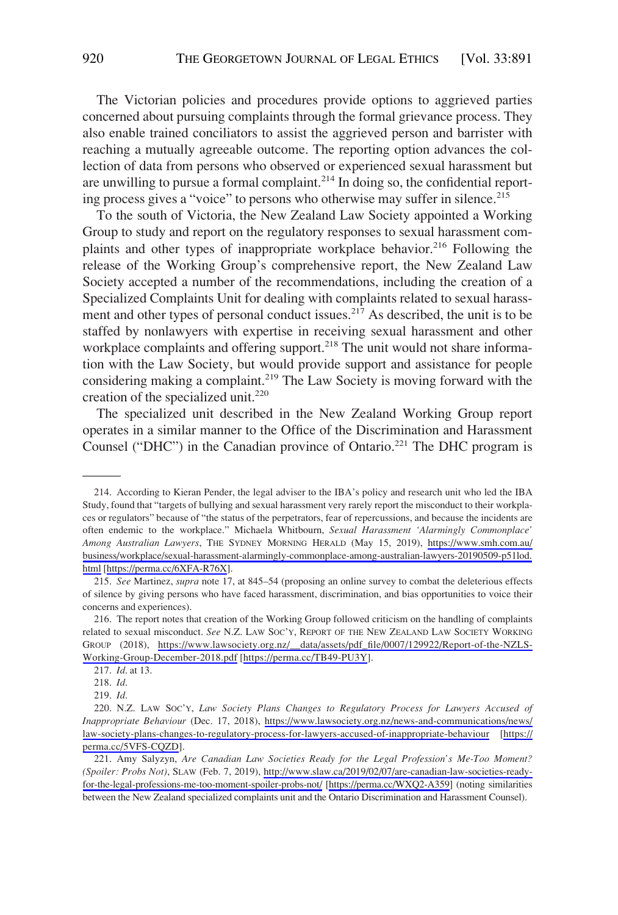The Victorian policies and procedures provide options to aggrieved parties concerned about pursuing complaints through the formal grievance process. They also enable trained conciliators to assist the aggrieved person and barrister with reaching a mutually agreeable outcome. The reporting option advances the collection of data from persons who observed or experienced sexual harassment but are unwilling to pursue a formal complaint.<sup>214</sup> In doing so, the confidential reporting process gives a "voice" to persons who otherwise may suffer in silence.<sup>215</sup>

To the south of Victoria, the New Zealand Law Society appointed a Working Group to study and report on the regulatory responses to sexual harassment complaints and other types of inappropriate workplace behavior.<sup>216</sup> Following the release of the Working Group's comprehensive report, the New Zealand Law Society accepted a number of the recommendations, including the creation of a Specialized Complaints Unit for dealing with complaints related to sexual harassment and other types of personal conduct issues.<sup>217</sup> As described, the unit is to be staffed by nonlawyers with expertise in receiving sexual harassment and other workplace complaints and offering support.<sup>218</sup> The unit would not share information with the Law Society, but would provide support and assistance for people considering making a complaint.219 The Law Society is moving forward with the creation of the specialized unit.<sup>220</sup>

The specialized unit described in the New Zealand Working Group report operates in a similar manner to the Office of the Discrimination and Harassment Counsel ("DHC") in the Canadian province of Ontario.<sup>221</sup> The DHC program is

217. *Id*. at 13.

218. *Id*.

219. *Id*.

<sup>214.</sup> According to Kieran Pender, the legal adviser to the IBA's policy and research unit who led the IBA Study, found that "targets of bullying and sexual harassment very rarely report the misconduct to their workplaces or regulators" because of "the status of the perpetrators, fear of repercussions, and because the incidents are often endemic to the workplace." Michaela Whitbourn, *Sexual Harassment 'Alarmingly Commonplace' Among Australian Lawyers*, THE SYDNEY MORNING HERALD (May 15, 2019), [https://www.smh.com.au/](https://www.smh.com.au/business/workplace/sexual-harassment-alarmingly-commonplace-among-australian-lawyers-20190509-p51lod.html)  [business/workplace/sexual-harassment-alarmingly-commonplace-among-australian-lawyers-20190509-p51lod.](https://www.smh.com.au/business/workplace/sexual-harassment-alarmingly-commonplace-among-australian-lawyers-20190509-p51lod.html)  [html](https://www.smh.com.au/business/workplace/sexual-harassment-alarmingly-commonplace-among-australian-lawyers-20190509-p51lod.html) [\[https://perma.cc/6XFA-R76X\]](https://perma.cc/6XFA-R76X).

<sup>215.</sup> *See* Martinez, *supra* note 17, at 845–54 (proposing an online survey to combat the deleterious effects of silence by giving persons who have faced harassment, discrimination, and bias opportunities to voice their concerns and experiences).

<sup>216.</sup> The report notes that creation of the Working Group followed criticism on the handling of complaints related to sexual misconduct. *See* N.Z. LAW SOC'Y, REPORT OF THE NEW ZEALAND LAW SOCIETY WORKING GROUP (2018), [https://www.lawsociety.org.nz/\\_\\_data/assets/pdf\\_file/0007/129922/Report-of-the-NZLS-](https://www.lawsociety.org.nz/__data/assets/pdf_file/0007/129922/Report-of-the-NZLS-Working-Group-December-2018.pdf)[Working-Group-December-2018.pdf](https://www.lawsociety.org.nz/__data/assets/pdf_file/0007/129922/Report-of-the-NZLS-Working-Group-December-2018.pdf) [\[https://perma.cc/TB49-PU3Y\]](https://perma.cc/TB49-PU3Y).

<sup>220.</sup> N.Z. LAW Soc'y, Law Society Plans Changes to Regulatory Process for Lawyers Accused of *Inappropriate Behaviour* (Dec. 17, 2018), [https://www.lawsociety.org.nz/news-and-communications/news/](https://www.lawsociety.org.nz/news-and-communications/news/law-society-plans-changes-to-regulatory-process-for-lawyers-accused-of-inappropriate-behaviour) [law-society-plans-changes-to-regulatory-process-for-lawyers-accused-of-inappropriate-behaviour](https://www.lawsociety.org.nz/news-and-communications/news/law-society-plans-changes-to-regulatory-process-for-lawyers-accused-of-inappropriate-behaviour) [\[https://](https://perma.cc/5VFS-CQZD) [perma.cc/5VFS-CQZD\]](https://perma.cc/5VFS-CQZD).

<sup>221.</sup> Amy Salyzyn, Are Canadian Law Societies Ready for the Legal Profession's Me-Too Moment? *(Spoiler: Probs Not)*, SLAW (Feb. 7, 2019), [http://www.slaw.ca/2019/02/07/are-canadian-law-societies-ready](http://www.slaw.ca/2019/02/07/are-canadian-law-societies-ready-for-the-legal-professions-me-too-moment-spoiler-probs-not/)[for-the-legal-professions-me-too-moment-spoiler-probs-not/](http://www.slaw.ca/2019/02/07/are-canadian-law-societies-ready-for-the-legal-professions-me-too-moment-spoiler-probs-not/) [[https://perma.cc/WXQ2-A359\]](https://perma.cc/WXQ2-A359) (noting similarities between the New Zealand specialized complaints unit and the Ontario Discrimination and Harassment Counsel).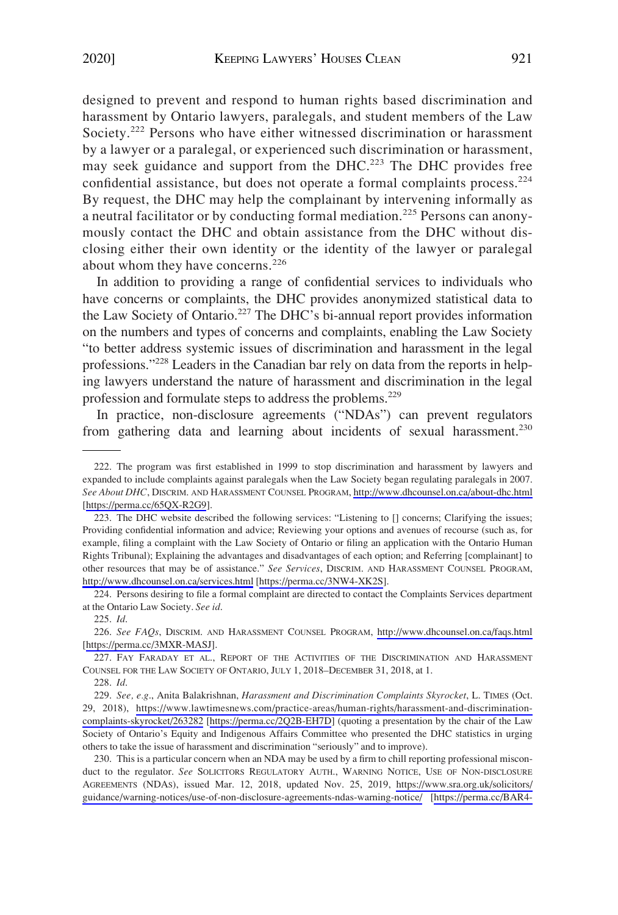designed to prevent and respond to human rights based discrimination and harassment by Ontario lawyers, paralegals, and student members of the Law Society.<sup>222</sup> Persons who have either witnessed discrimination or harassment by a lawyer or a paralegal, or experienced such discrimination or harassment, may seek guidance and support from the DHC.<sup>223</sup> The DHC provides free confidential assistance, but does not operate a formal complaints process.<sup>224</sup> By request, the DHC may help the complainant by intervening informally as a neutral facilitator or by conducting formal mediation.<sup>225</sup> Persons can anonymously contact the DHC and obtain assistance from the DHC without disclosing either their own identity or the identity of the lawyer or paralegal about whom they have concerns.<sup>226</sup>

In addition to providing a range of confidential services to individuals who have concerns or complaints, the DHC provides anonymized statistical data to the Law Society of Ontario.227 The DHC's bi-annual report provides information on the numbers and types of concerns and complaints, enabling the Law Society "to better address systemic issues of discrimination and harassment in the legal professions."228 Leaders in the Canadian bar rely on data from the reports in helping lawyers understand the nature of harassment and discrimination in the legal profession and formulate steps to address the problems.<sup>229</sup>

In practice, non-disclosure agreements ("NDAs") can prevent regulators from gathering data and learning about incidents of sexual harassment.<sup>230</sup>

224. Persons desiring to file a formal complaint are directed to contact the Complaints Services department at the Ontario Law Society. *See id*.

225. *Id*.

<sup>222.</sup> The program was first established in 1999 to stop discrimination and harassment by lawyers and expanded to include complaints against paralegals when the Law Society began regulating paralegals in 2007. *See About DHC*, DISCRIM. AND HARASSMENT COUNSEL PROGRAM,<http://www.dhcounsel.on.ca/about-dhc.html> [<https://perma.cc/65QX-R2G9>].

<sup>223.</sup> The DHC website described the following services: "Listening to [] concerns; Clarifying the issues; Providing confidential information and advice; Reviewing your options and avenues of recourse (such as, for example, filing a complaint with the Law Society of Ontario or filing an application with the Ontario Human Rights Tribunal); Explaining the advantages and disadvantages of each option; and Referring [complainant] to other resources that may be of assistance." *See Services*, DISCRIM. AND HARASSMENT COUNSEL PROGRAM, <http://www.dhcounsel.on.ca/services.html> [<https://perma.cc/3NW4-XK2S>] .

*See FAQs*, DISCRIM. AND HARASSMENT COUNSEL PROGRAM, <http://www.dhcounsel.on.ca/faqs.html> 226. [\[https://perma.cc/3MXR-MASJ](https://perma.cc/3MXR-MASJ)].

<sup>227.</sup> FAY FARADAY ET AL., REPORT OF THE ACTIVITIES OF THE DISCRIMINATION AND HARASSMENT COUNSEL FOR THE LAW SOCIETY OF ONTARIO, JULY 1, 2018–DECEMBER 31, 2018, at 1.

<sup>228.</sup> *Id*.

*See, e.g*., Anita Balakrishnan, *Harassment and Discrimination Complaints Skyrocket*, L. TIMES (Oct. 229. 29, 2018), [https://www.lawtimesnews.com/practice-areas/human-rights/harassment-and-discrimination](https://www.lawtimesnews.com/practice-areas/human-rights/harassment-and-discrimination-complaints-skyrocket/263282)[complaints-skyrocket/263282](https://www.lawtimesnews.com/practice-areas/human-rights/harassment-and-discrimination-complaints-skyrocket/263282) [\[https://perma.cc/2Q2B-EH7D\]](https://perma.cc/2Q2B-EH7D) (quoting a presentation by the chair of the Law Society of Ontario's Equity and Indigenous Affairs Committee who presented the DHC statistics in urging others to take the issue of harassment and discrimination "seriously" and to improve).

<sup>230.</sup> This is a particular concern when an NDA may be used by a firm to chill reporting professional misconduct to the regulator. See SOLICITORS REGULATORY AUTH., WARNING NOTICE, USE OF NON-DISCLOSURE AGREEMENTS (NDAS), issued Mar. 12, 2018, updated Nov. 25, 2019, [https://www.sra.org.uk/solicitors/](https://www.sra.org.uk/solicitors/guidance/warning-notices/use-of-non-disclosure-agreements-ndas-warning-notice/) [guidance/warning-notices/use-of-non-disclosure-agreements-ndas-warning-notice/](https://www.sra.org.uk/solicitors/guidance/warning-notices/use-of-non-disclosure-agreements-ndas-warning-notice/) [\[https://perma.cc/BAR4-](https://perma.cc/BAR4-H5T2)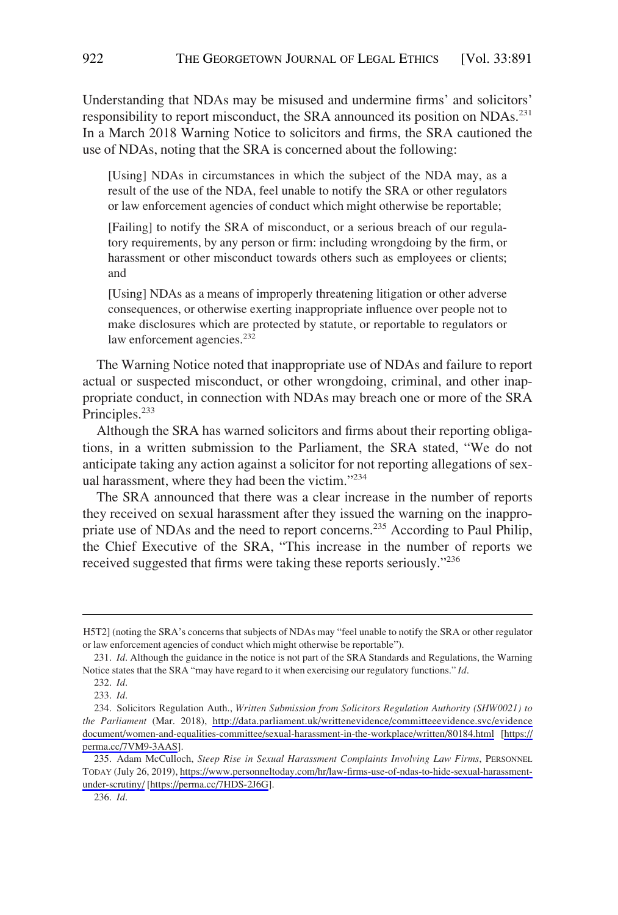Understanding that NDAs may be misused and undermine firms' and solicitors' responsibility to report misconduct, the SRA announced its position on NDAs.<sup>231</sup> In a March 2018 Warning Notice to solicitors and firms, the SRA cautioned the use of NDAs, noting that the SRA is concerned about the following:

[Using] NDAs in circumstances in which the subject of the NDA may, as a result of the use of the NDA, feel unable to notify the SRA or other regulators or law enforcement agencies of conduct which might otherwise be reportable;

[Failing] to notify the SRA of misconduct, or a serious breach of our regulatory requirements, by any person or firm: including wrongdoing by the firm, or harassment or other misconduct towards others such as employees or clients; and

[Using] NDAs as a means of improperly threatening litigation or other adverse consequences, or otherwise exerting inappropriate influence over people not to make disclosures which are protected by statute, or reportable to regulators or law enforcement agencies.<sup>232</sup>

The Warning Notice noted that inappropriate use of NDAs and failure to report actual or suspected misconduct, or other wrongdoing, criminal, and other inappropriate conduct, in connection with NDAs may breach one or more of the SRA Principles.<sup>233</sup>

Although the SRA has warned solicitors and firms about their reporting obligations, in a written submission to the Parliament, the SRA stated, "We do not anticipate taking any action against a solicitor for not reporting allegations of sexual harassment, where they had been the victim."<sup>234</sup>

The SRA announced that there was a clear increase in the number of reports they received on sexual harassment after they issued the warning on the inappropriate use of NDAs and the need to report concerns.<sup>235</sup> According to Paul Philip, the Chief Executive of the SRA, "This increase in the number of reports we received suggested that firms were taking these reports seriously."236

H5T2] (noting the SRA's concerns that subjects of NDAs may "feel unable to notify the SRA or other regulator or law enforcement agencies of conduct which might otherwise be reportable").

<sup>231.</sup> *Id*. Although the guidance in the notice is not part of the SRA Standards and Regulations, the Warning Notice states that the SRA "may have regard to it when exercising our regulatory functions." *Id*.

<sup>232.</sup> *Id*.

<sup>233.</sup> *Id*.

<sup>234.</sup> Solicitors Regulation Auth., *Written Submission from Solicitors Regulation Authority (SHW0021) to the Parliament* (Mar. 2018), [http://data.parliament.uk/writtenevidence/committeeevidence.svc/evidence](http://data.parliament.uk/writtenevidence/committeeevidence.svc/evidencedocument/women-and-equalities-committee/sexual-harassment-in-the-workplace/written/80184.html) [document/women-and-equalities-committee/sexual-harassment-in-the-workplace/written/80184.html](http://data.parliament.uk/writtenevidence/committeeevidence.svc/evidencedocument/women-and-equalities-committee/sexual-harassment-in-the-workplace/written/80184.html) [[https://](https://perma.cc/7VM9-3AAS) [perma.cc/7VM9-3AAS\]](https://perma.cc/7VM9-3AAS).

<sup>235.</sup> Adam McCulloch, Steep Rise in Sexual Harassment Complaints Involving Law Firms, PERSONNEL TODAY (July 26, 2019), [https://www.personneltoday.com/hr/law-firms-use-of-ndas-to-hide-sexual-harassment](https://www.personneltoday.com/hr/law-firms-use-of-ndas-to-hide-sexual-harassment-under-scrutiny/)[under-scrutiny/](https://www.personneltoday.com/hr/law-firms-use-of-ndas-to-hide-sexual-harassment-under-scrutiny/) [\[https://perma.cc/7HDS-2J6G](https://perma.cc/7HDS-2J6G)].

<sup>236.</sup> *Id*.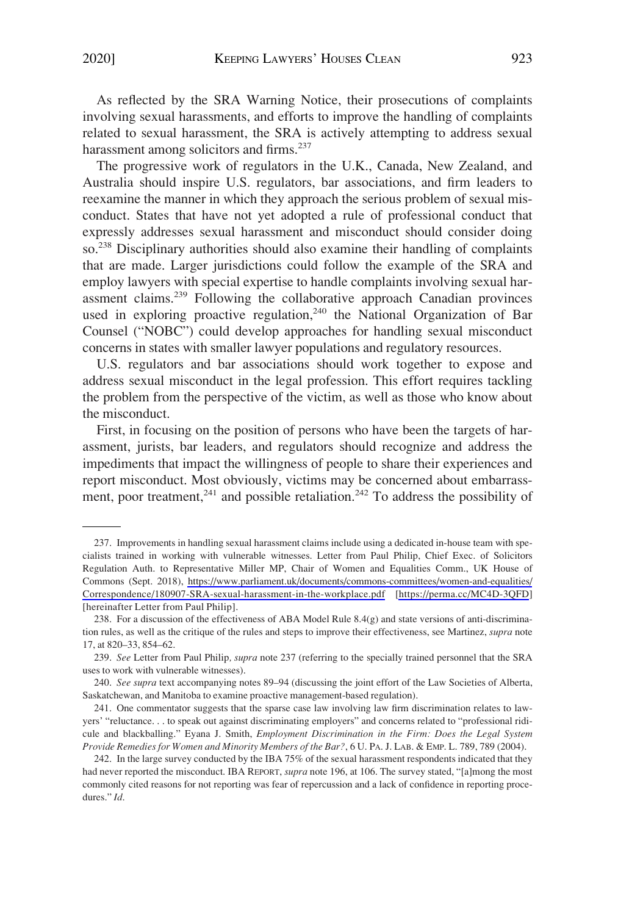As reflected by the SRA Warning Notice, their prosecutions of complaints involving sexual harassments, and efforts to improve the handling of complaints related to sexual harassment, the SRA is actively attempting to address sexual harassment among solicitors and firms.<sup>237</sup>

The progressive work of regulators in the U.K., Canada, New Zealand, and Australia should inspire U.S. regulators, bar associations, and firm leaders to reexamine the manner in which they approach the serious problem of sexual misconduct. States that have not yet adopted a rule of professional conduct that expressly addresses sexual harassment and misconduct should consider doing so.<sup>238</sup> Disciplinary authorities should also examine their handling of complaints that are made. Larger jurisdictions could follow the example of the SRA and employ lawyers with special expertise to handle complaints involving sexual harassment claims.239 Following the collaborative approach Canadian provinces used in exploring proactive regulation,<sup>240</sup> the National Organization of Bar Counsel ("NOBC") could develop approaches for handling sexual misconduct concerns in states with smaller lawyer populations and regulatory resources.

U.S. regulators and bar associations should work together to expose and address sexual misconduct in the legal profession. This effort requires tackling the problem from the perspective of the victim, as well as those who know about the misconduct.

First, in focusing on the position of persons who have been the targets of harassment, jurists, bar leaders, and regulators should recognize and address the impediments that impact the willingness of people to share their experiences and report misconduct. Most obviously, victims may be concerned about embarrassment, poor treatment,<sup>241</sup> and possible retaliation.<sup>242</sup> To address the possibility of

<sup>237.</sup> Improvements in handling sexual harassment claims include using a dedicated in-house team with specialists trained in working with vulnerable witnesses. Letter from Paul Philip, Chief Exec. of Solicitors Regulation Auth. to Representative Miller MP, Chair of Women and Equalities Comm., UK House of Commons (Sept. 2018), [https://www.parliament.uk/documents/commons-committees/women-and-equalities/](https://www.parliament.uk/documents/commons-committees/women-and-equalities/Correspondence/180907-SRA-sexual-harassment-in-the-workplace.pdf)  [Correspondence/180907-SRA-sexual-harassment-in-the-workplace.pdf](https://www.parliament.uk/documents/commons-committees/women-and-equalities/Correspondence/180907-SRA-sexual-harassment-in-the-workplace.pdf) [<https://perma.cc/MC4D-3QFD>] [hereinafter Letter from Paul Philip].

<sup>238.</sup> For a discussion of the effectiveness of ABA Model Rule  $8.4(g)$  and state versions of anti-discrimination rules, as well as the critique of the rules and steps to improve their effectiveness, see Martinez, *supra* note 17, at 820–33, 854–62.

<sup>239.</sup> *See* Letter from Paul Philip*, supra* note 237 (referring to the specially trained personnel that the SRA uses to work with vulnerable witnesses).

<sup>240.</sup> *See supra* text accompanying notes 89–94 (discussing the joint effort of the Law Societies of Alberta, Saskatchewan, and Manitoba to examine proactive management-based regulation).

<sup>241.</sup> One commentator suggests that the sparse case law involving law firm discrimination relates to lawyers' "reluctance. . . to speak out against discriminating employers" and concerns related to "professional ridicule and blackballing." Eyana J. Smith, *Employment Discrimination in the Firm: Does the Legal System Provide Remedies for Women and Minority Members of the Bar?*, 6 U. PA. J. LAB. & EMP. L. 789, 789 (2004).

<sup>242.</sup> In the large survey conducted by the IBA 75% of the sexual harassment respondents indicated that they had never reported the misconduct. IBA REPORT, *supra* note 196, at 106. The survey stated, "[a]mong the most commonly cited reasons for not reporting was fear of repercussion and a lack of confidence in reporting procedures." *Id*.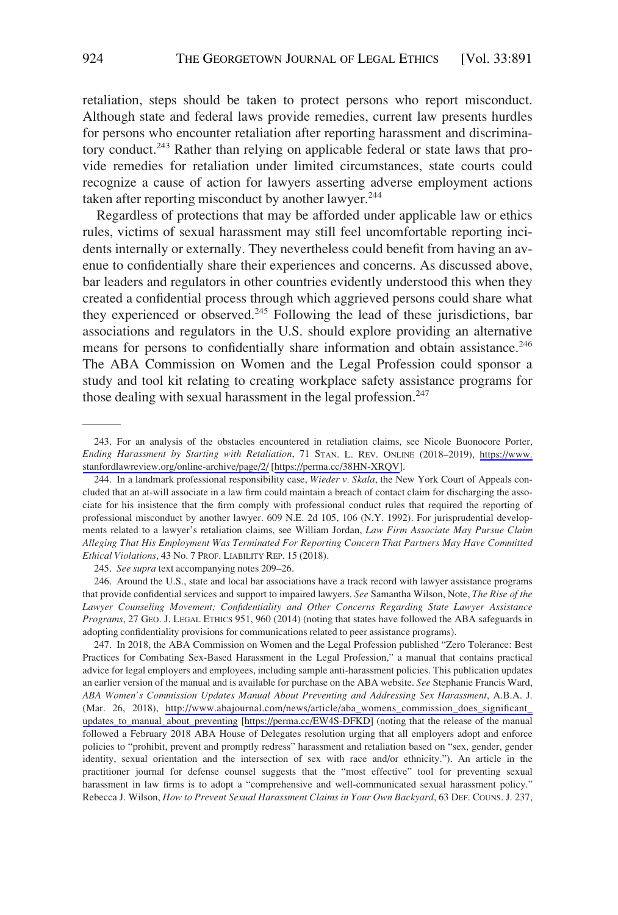retaliation, steps should be taken to protect persons who report misconduct. Although state and federal laws provide remedies, current law presents hurdles for persons who encounter retaliation after reporting harassment and discriminatory conduct.<sup>243</sup> Rather than relying on applicable federal or state laws that provide remedies for retaliation under limited circumstances, state courts could recognize a cause of action for lawyers asserting adverse employment actions taken after reporting misconduct by another lawyer.<sup>244</sup>

Regardless of protections that may be afforded under applicable law or ethics rules, victims of sexual harassment may still feel uncomfortable reporting incidents internally or externally. They nevertheless could benefit from having an avenue to confidentially share their experiences and concerns. As discussed above, bar leaders and regulators in other countries evidently understood this when they created a confidential process through which aggrieved persons could share what they experienced or observed.<sup>245</sup> Following the lead of these jurisdictions, bar associations and regulators in the U.S. should explore providing an alternative means for persons to confidentially share information and obtain assistance.<sup>246</sup> The ABA Commission on Women and the Legal Profession could sponsor a study and tool kit relating to creating workplace safety assistance programs for those dealing with sexual harassment in the legal profession.<sup>247</sup>

245. *See supra* text accompanying notes 209–26.

246. Around the U.S., state and local bar associations have a track record with lawyer assistance programs that provide confidential services and support to impaired lawyers. *See* Samantha Wilson, Note, *The Rise of the Lawyer Counseling Movement; Confidentiality and Other Concerns Regarding State Lawyer Assistance Programs*, 27 GEO. J. LEGAL ETHICS 951, 960 (2014) (noting that states have followed the ABA safeguards in adopting confidentiality provisions for communications related to peer assistance programs).

247. In 2018, the ABA Commission on Women and the Legal Profession published "Zero Tolerance: Best Practices for Combating Sex-Based Harassment in the Legal Profession," a manual that contains practical advice for legal employers and employees, including sample anti-harassment policies. This publication updates an earlier version of the manual and is available for purchase on the ABA website. *See* Stephanie Francis Ward, *ABA Women's Commission Updates Manual About Preventing and Addressing Sex Harassment*, A.B.A. J. (Mar. 26, 2018), [http://www.abajournal.com/news/article/aba\\_womens\\_commission\\_does\\_significant\\_](http://www.abajournal.com/news/article/aba_womens_commission_does_significant_updates_to_manual_about_preventing) [updates\\_to\\_manual\\_about\\_preventing](http://www.abajournal.com/news/article/aba_womens_commission_does_significant_updates_to_manual_about_preventing) [\[https://perma.cc/EW4S-DFKD](https://perma.cc/EW4S-DFKD)] (noting that the release of the manual followed a February 2018 ABA House of Delegates resolution urging that all employers adopt and enforce policies to "prohibit, prevent and promptly redress" harassment and retaliation based on "sex, gender, gender identity, sexual orientation and the intersection of sex with race and/or ethnicity."). An article in the practitioner journal for defense counsel suggests that the "most effective" tool for preventing sexual harassment in law firms is to adopt a "comprehensive and well-communicated sexual harassment policy." Rebecca J. Wilson, *How to Prevent Sexual Harassment Claims in Your Own Backyard*, 63 DEF. COUNS. J. 237,

<sup>243.</sup> For an analysis of the obstacles encountered in retaliation claims, see Nicole Buonocore Porter, *Ending Harassment by Starting with Retaliation*, 71 STAN. L. REV. ONLINE (2018–2019), [https://www.](https://www.stanfordlawreview.org/online-archive/page/2/)  [stanfordlawreview.org/online-archive/page/2/](https://www.stanfordlawreview.org/online-archive/page/2/) [<https://perma.cc/38HN-XRQV>].

<sup>244.</sup> In a landmark professional responsibility case, *Wieder v. Skala*, the New York Court of Appeals concluded that an at-will associate in a law firm could maintain a breach of contact claim for discharging the associate for his insistence that the firm comply with professional conduct rules that required the reporting of professional misconduct by another lawyer. 609 N.E. 2d 105, 106 (N.Y. 1992). For jurisprudential developments related to a lawyer's retaliation claims, see William Jordan, *Law Firm Associate May Pursue Claim Alleging That His Employment Was Terminated For Reporting Concern That Partners May Have Committed Ethical Violations*, 43 No. 7 PROF. LIABILITY REP. 15 (2018).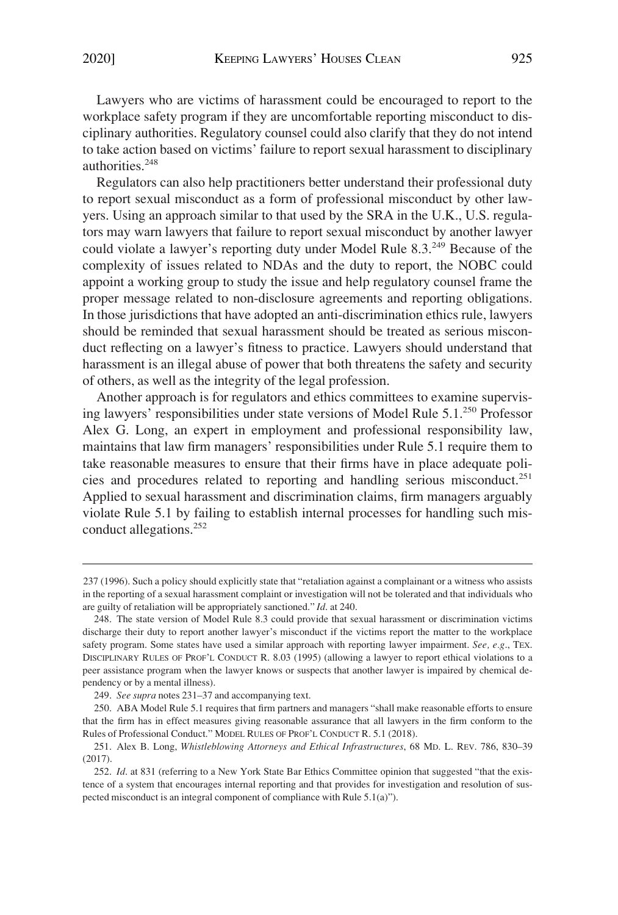Lawyers who are victims of harassment could be encouraged to report to the workplace safety program if they are uncomfortable reporting misconduct to disciplinary authorities. Regulatory counsel could also clarify that they do not intend to take action based on victims' failure to report sexual harassment to disciplinary authorities.248

Regulators can also help practitioners better understand their professional duty to report sexual misconduct as a form of professional misconduct by other lawyers. Using an approach similar to that used by the SRA in the U.K., U.S. regulators may warn lawyers that failure to report sexual misconduct by another lawyer could violate a lawyer's reporting duty under Model Rule 8.3.<sup>249</sup> Because of the complexity of issues related to NDAs and the duty to report, the NOBC could appoint a working group to study the issue and help regulatory counsel frame the proper message related to non-disclosure agreements and reporting obligations. In those jurisdictions that have adopted an anti-discrimination ethics rule, lawyers should be reminded that sexual harassment should be treated as serious misconduct reflecting on a lawyer's fitness to practice. Lawyers should understand that harassment is an illegal abuse of power that both threatens the safety and security of others, as well as the integrity of the legal profession.

Another approach is for regulators and ethics committees to examine supervising lawyers' responsibilities under state versions of Model Rule 5.1.<sup>250</sup> Professor Alex G. Long, an expert in employment and professional responsibility law, maintains that law firm managers' responsibilities under Rule 5.1 require them to take reasonable measures to ensure that their firms have in place adequate policies and procedures related to reporting and handling serious misconduct.<sup>251</sup> Applied to sexual harassment and discrimination claims, firm managers arguably violate Rule 5.1 by failing to establish internal processes for handling such misconduct allegations.<sup>252</sup>

<sup>237 (1996).</sup> Such a policy should explicitly state that "retaliation against a complainant or a witness who assists in the reporting of a sexual harassment complaint or investigation will not be tolerated and that individuals who are guilty of retaliation will be appropriately sanctioned." *Id*. at 240.

<sup>248.</sup> The state version of Model Rule 8.3 could provide that sexual harassment or discrimination victims discharge their duty to report another lawyer's misconduct if the victims report the matter to the workplace safety program. Some states have used a similar approach with reporting lawyer impairment. *See, e.g*., TEX. DISCIPLINARY RULES OF PROF'L CONDUCT R. 8.03 (1995) (allowing a lawyer to report ethical violations to a peer assistance program when the lawyer knows or suspects that another lawyer is impaired by chemical dependency or by a mental illness).

<sup>249.</sup> *See supra* notes 231–37 and accompanying text.

<sup>250.</sup> ABA Model Rule 5.1 requires that firm partners and managers "shall make reasonable efforts to ensure that the firm has in effect measures giving reasonable assurance that all lawyers in the firm conform to the Rules of Professional Conduct." MODEL RULES OF PROF'L CONDUCT R. 5.1 (2018).

<sup>251.</sup> Alex B. Long, *Whistleblowing Attorneys and Ethical Infrastructures*, 68 MD. L. REV. 786, 830–39 (2017).

<sup>252.</sup> *Id*. at 831 (referring to a New York State Bar Ethics Committee opinion that suggested "that the existence of a system that encourages internal reporting and that provides for investigation and resolution of suspected misconduct is an integral component of compliance with Rule 5.1(a)").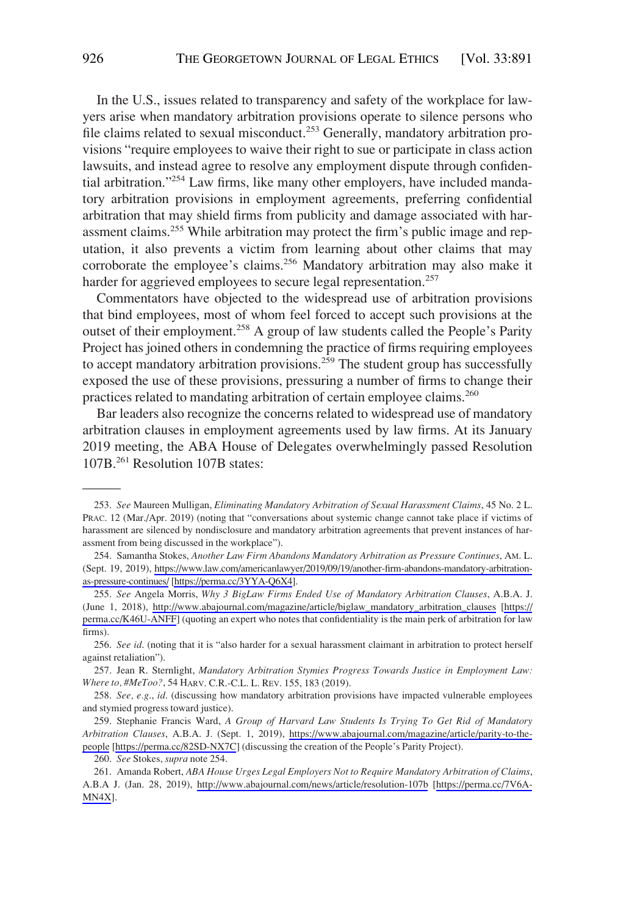In the U.S., issues related to transparency and safety of the workplace for lawyers arise when mandatory arbitration provisions operate to silence persons who file claims related to sexual misconduct.<sup>253</sup> Generally, mandatory arbitration provisions "require employees to waive their right to sue or participate in class action lawsuits, and instead agree to resolve any employment dispute through confidential arbitration."<sup>254</sup> Law firms, like many other employers, have included mandatory arbitration provisions in employment agreements, preferring confidential arbitration that may shield firms from publicity and damage associated with harassment claims.<sup>255</sup> While arbitration may protect the firm's public image and reputation, it also prevents a victim from learning about other claims that may corroborate the employee's claims.<sup>256</sup> Mandatory arbitration may also make it harder for aggrieved employees to secure legal representation.<sup>257</sup>

Commentators have objected to the widespread use of arbitration provisions that bind employees, most of whom feel forced to accept such provisions at the outset of their employment.<sup>258</sup> A group of law students called the People's Parity Project has joined others in condemning the practice of firms requiring employees to accept mandatory arbitration provisions.<sup>259</sup> The student group has successfully exposed the use of these provisions, pressuring a number of firms to change their practices related to mandating arbitration of certain employee claims.<sup>260</sup>

Bar leaders also recognize the concerns related to widespread use of mandatory arbitration clauses in employment agreements used by law firms. At its January 2019 meeting, the ABA House of Delegates overwhelmingly passed Resolution 107B.261 Resolution 107B states:

256. *See id*. (noting that it is "also harder for a sexual harassment claimant in arbitration to protect herself against retaliation").

257. Jean R. Sternlight, *Mandatory Arbitration Stymies Progress Towards Justice in Employment Law: Where to, #MeToo?*, 54 HARV. C.R.-C.L. L. REV. 155, 183 (2019).

258. *See, e.g*., *id*. (discussing how mandatory arbitration provisions have impacted vulnerable employees and stymied progress toward justice).

259. Stephanie Francis Ward, *A Group of Harvard Law Students Is Trying To Get Rid of Mandatory Arbitration Clauses*, A.B.A. J. (Sept. 1, 2019), [https://www.abajournal.com/magazine/article/parity-to-the](https://www.abajournal.com/magazine/article/parity-to-the-people)[people](https://www.abajournal.com/magazine/article/parity-to-the-people) [<https://perma.cc/82SD-NX7C>] (discussing the creation of the People's Parity Project).

260. *See* Stokes, *supra* note 254.

<sup>253.</sup> *See* Maureen Mulligan, *Eliminating Mandatory Arbitration of Sexual Harassment Claims*, 45 No. 2 L. PRAC. 12 (Mar./Apr. 2019) (noting that "conversations about systemic change cannot take place if victims of harassment are silenced by nondisclosure and mandatory arbitration agreements that prevent instances of harassment from being discussed in the workplace").

<sup>254.</sup> Samantha Stokes, Another Law Firm Abandons Mandatory Arbitration as Pressure Continues, AM. L. (Sept. 19, 2019), [https://www.law.com/americanlawyer/2019/09/19/another-firm-abandons-mandatory-arbitration](https://www.law.com/americanlawyer/2019/09/19/another-firm-abandons-mandatory-arbitration-as-pressure-continues/)[as-pressure-continues/](https://www.law.com/americanlawyer/2019/09/19/another-firm-abandons-mandatory-arbitration-as-pressure-continues/) [\[https://perma.cc/3YYA-Q6X4](https://perma.cc/3YYA-Q6X4)].

*See* Angela Morris, *Why 3 BigLaw Firms Ended Use of Mandatory Arbitration Clauses*, A.B.A. J. 255. (June 1, 2018), [http://www.abajournal.com/magazine/article/biglaw\\_mandatory\\_arbitration\\_clauses](http://www.abajournal.com/magazine/article/biglaw_mandatory_arbitration_clauses) [[https://](https://perma.cc/K46U-ANFF) [perma.cc/K46U-ANFF\]](https://perma.cc/K46U-ANFF) (quoting an expert who notes that confidentiality is the main perk of arbitration for law firms).

Amanda Robert, *ABA House Urges Legal Employers Not to Require Mandatory Arbitration of Claims*, 261. A.B.A J. (Jan. 28, 2019), <http://www.abajournal.com/news/article/resolution-107b>[\[https://perma.cc/7V6A-](https://perma.cc/7V6A-MN4X)[MN4X](https://perma.cc/7V6A-MN4X)].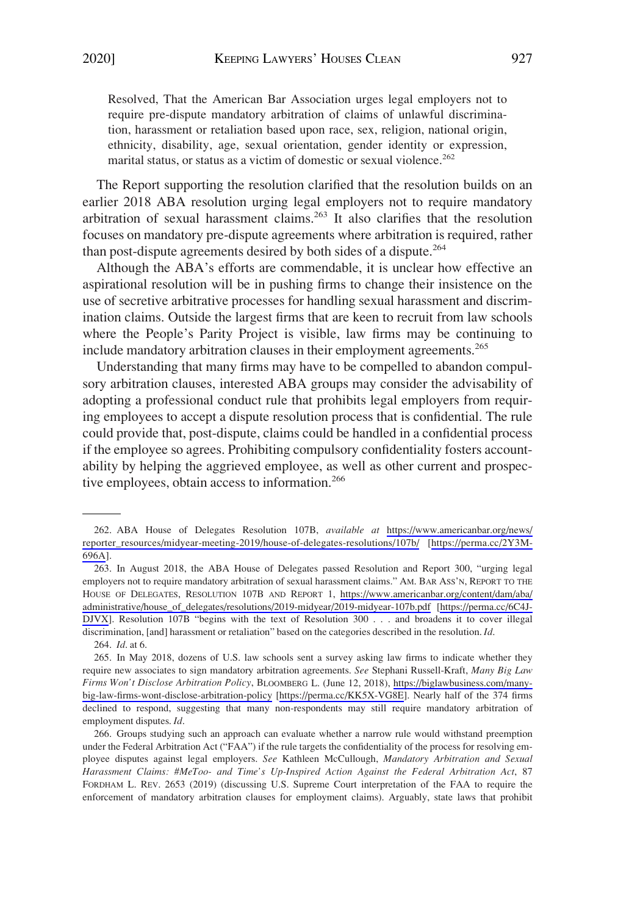Resolved, That the American Bar Association urges legal employers not to require pre-dispute mandatory arbitration of claims of unlawful discrimination, harassment or retaliation based upon race, sex, religion, national origin, ethnicity, disability, age, sexual orientation, gender identity or expression, marital status, or status as a victim of domestic or sexual violence.<sup>262</sup>

The Report supporting the resolution clarified that the resolution builds on an earlier 2018 ABA resolution urging legal employers not to require mandatory arbitration of sexual harassment claims.<sup>263</sup> It also clarifies that the resolution focuses on mandatory pre-dispute agreements where arbitration is required, rather than post-dispute agreements desired by both sides of a dispute.<sup>264</sup>

Although the ABA's efforts are commendable, it is unclear how effective an aspirational resolution will be in pushing firms to change their insistence on the use of secretive arbitrative processes for handling sexual harassment and discrimination claims. Outside the largest firms that are keen to recruit from law schools where the People's Parity Project is visible, law firms may be continuing to include mandatory arbitration clauses in their employment agreements.<sup>265</sup>

Understanding that many firms may have to be compelled to abandon compulsory arbitration clauses, interested ABA groups may consider the advisability of adopting a professional conduct rule that prohibits legal employers from requiring employees to accept a dispute resolution process that is confidential. The rule could provide that, post-dispute, claims could be handled in a confidential process if the employee so agrees. Prohibiting compulsory confidentiality fosters accountability by helping the aggrieved employee, as well as other current and prospective employees, obtain access to information.<sup>266</sup>

264. *Id*. at 6.

ABA House of Delegates Resolution 107B, *available at* [https://www.americanbar.org/news/](https://www.americanbar.org/news/reporter_resources/midyear-meeting-2019/house-of-delegates-resolutions/107b/)  262. [reporter\\_resources/midyear-meeting-2019/house-of-delegates-resolutions/107b/](https://www.americanbar.org/news/reporter_resources/midyear-meeting-2019/house-of-delegates-resolutions/107b/) [\[https://perma.cc/2Y3M-](https://perma.cc/2Y3M-696A)[696A](https://perma.cc/2Y3M-696A)].

<sup>263.</sup> In August 2018, the ABA House of Delegates passed Resolution and Report 300, "urging legal employers not to require mandatory arbitration of sexual harassment claims." AM. BAR ASS'N, REPORT TO THE HOUSE OF DELEGATES, RESOLUTION 107B AND REPORT 1, [https://www.americanbar.org/content/dam/aba/](https://www.americanbar.org/content/dam/aba/administrative/house_of_delegates/resolutions/2019-midyear/2019-midyear-107b.pdf)  [administrative/house\\_of\\_delegates/resolutions/2019-midyear/2019-midyear-107b.pdf](https://www.americanbar.org/content/dam/aba/administrative/house_of_delegates/resolutions/2019-midyear/2019-midyear-107b.pdf) [\[https://perma.cc/6C4J-](https://perma.cc/6C4J-DJVX)[DJVX](https://perma.cc/6C4J-DJVX)]. Resolution 107B "begins with the text of Resolution 300 . . . and broadens it to cover illegal discrimination, [and] harassment or retaliation" based on the categories described in the resolution. *Id*.

<sup>265.</sup> In May 2018, dozens of U.S. law schools sent a survey asking law firms to indicate whether they require new associates to sign mandatory arbitration agreements. *See* Stephani Russell-Kraft, *Many Big Law Firms Won't Disclose Arbitration Policy*, BLOOMBERG L. (June 12, 2018), [https://biglawbusiness.com/many](https://biglawbusiness.com/many-big-law-firms-wont-disclose-arbitration-policy)[big-law-firms-wont-disclose-arbitration-policy](https://biglawbusiness.com/many-big-law-firms-wont-disclose-arbitration-policy) [[https://perma.cc/KK5X-VG8E\]](https://perma.cc/KK5X-VG8E). Nearly half of the 374 firms declined to respond, suggesting that many non-respondents may still require mandatory arbitration of employment disputes. *Id*.

<sup>266.</sup> Groups studying such an approach can evaluate whether a narrow rule would withstand preemption under the Federal Arbitration Act ("FAA") if the rule targets the confidentiality of the process for resolving employee disputes against legal employers. *See* Kathleen McCullough, *Mandatory Arbitration and Sexual Harassment Claims: #MeToo- and Time's Up-Inspired Action Against the Federal Arbitration Act*, 87 FORDHAM L. REV. 2653 (2019) (discussing U.S. Supreme Court interpretation of the FAA to require the enforcement of mandatory arbitration clauses for employment claims). Arguably, state laws that prohibit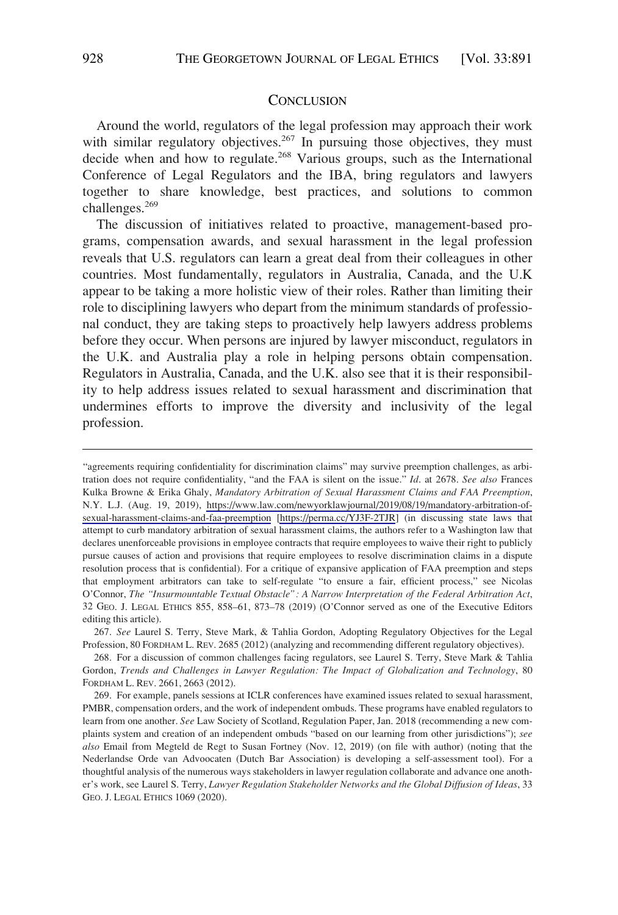#### **CONCLUSION**

<span id="page-37-0"></span>Around the world, regulators of the legal profession may approach their work with similar regulatory objectives.<sup>267</sup> In pursuing those objectives, they must decide when and how to regulate.<sup>268</sup> Various groups, such as the International Conference of Legal Regulators and the IBA, bring regulators and lawyers together to share knowledge, best practices, and solutions to common challenges.269

The discussion of initiatives related to proactive, management-based programs, compensation awards, and sexual harassment in the legal profession reveals that U.S. regulators can learn a great deal from their colleagues in other countries. Most fundamentally, regulators in Australia, Canada, and the U.K appear to be taking a more holistic view of their roles. Rather than limiting their role to disciplining lawyers who depart from the minimum standards of professional conduct, they are taking steps to proactively help lawyers address problems before they occur. When persons are injured by lawyer misconduct, regulators in the U.K. and Australia play a role in helping persons obtain compensation. Regulators in Australia, Canada, and the U.K. also see that it is their responsibility to help address issues related to sexual harassment and discrimination that undermines efforts to improve the diversity and inclusivity of the legal profession.

<sup>&</sup>quot;agreements requiring confidentiality for discrimination claims" may survive preemption challenges, as arbitration does not require confidentiality, "and the FAA is silent on the issue." *Id*. at 2678. *See also* Frances Kulka Browne & Erika Ghaly, *Mandatory Arbitration of Sexual Harassment Claims and FAA Preemption*, N.Y. L.J. (Aug. 19, 2019), [https://www.law.com/newyorklawjournal/2019/08/19/mandatory-arbitration-of](https://www.law.com/newyorklawjournal/2019/08/19/mandatory-arbitration-of-sexual-harassment-claims-and-faa-preemption)[sexual-harassment-claims-and-faa-preemption](https://www.law.com/newyorklawjournal/2019/08/19/mandatory-arbitration-of-sexual-harassment-claims-and-faa-preemption) [\[https://perma.cc/YJ3F-2TJR](https://perma.cc/YJ3F-2TJR)] (in discussing state laws that attempt to curb mandatory arbitration of sexual harassment claims, the authors refer to a Washington law that declares unenforceable provisions in employee contracts that require employees to waive their right to publicly pursue causes of action and provisions that require employees to resolve discrimination claims in a dispute resolution process that is confidential). For a critique of expansive application of FAA preemption and steps that employment arbitrators can take to self-regulate "to ensure a fair, efficient process," see Nicolas O'Connor, *The "Insurmountable Textual Obstacle": A Narrow Interpretation of the Federal Arbitration Act*, 32 GEO. J. LEGAL ETHICS 855, 858–61, 873–78 (2019) (O'Connor served as one of the Executive Editors editing this article).

<sup>267.</sup> *See* Laurel S. Terry, Steve Mark, & Tahlia Gordon, Adopting Regulatory Objectives for the Legal Profession, 80 FORDHAM L. REV. 2685 (2012) (analyzing and recommending different regulatory objectives).

<sup>268.</sup> For a discussion of common challenges facing regulators, see Laurel S. Terry, Steve Mark & Tahlia Gordon, *Trends and Challenges in Lawyer Regulation: The Impact of Globalization and Technology*, 80 FORDHAM L. REV. 2661, 2663 (2012).

<sup>269.</sup> For example, panels sessions at ICLR conferences have examined issues related to sexual harassment, PMBR, compensation orders, and the work of independent ombuds. These programs have enabled regulators to learn from one another. *See* Law Society of Scotland, Regulation Paper, Jan. 2018 (recommending a new complaints system and creation of an independent ombuds "based on our learning from other jurisdictions"); *see also* Email from Megteld de Regt to Susan Fortney (Nov. 12, 2019) (on file with author) (noting that the Nederlandse Orde van Advoocaten (Dutch Bar Association) is developing a self-assessment tool). For a thoughtful analysis of the numerous ways stakeholders in lawyer regulation collaborate and advance one another's work, see Laurel S. Terry, *Lawyer Regulation Stakeholder Networks and the Global Diffusion of Ideas*, 33 GEO. J. LEGAL ETHICS 1069 (2020).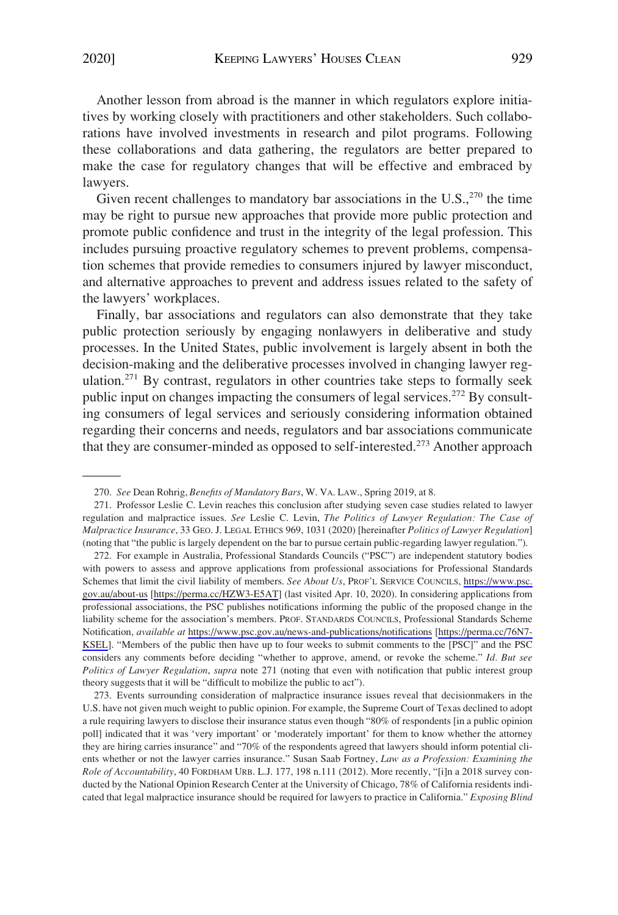Another lesson from abroad is the manner in which regulators explore initiatives by working closely with practitioners and other stakeholders. Such collaborations have involved investments in research and pilot programs. Following these collaborations and data gathering, the regulators are better prepared to make the case for regulatory changes that will be effective and embraced by lawyers.

Given recent challenges to mandatory bar associations in the  $U.S.,<sup>270</sup>$  the time may be right to pursue new approaches that provide more public protection and promote public confidence and trust in the integrity of the legal profession. This includes pursuing proactive regulatory schemes to prevent problems, compensation schemes that provide remedies to consumers injured by lawyer misconduct, and alternative approaches to prevent and address issues related to the safety of the lawyers' workplaces.

Finally, bar associations and regulators can also demonstrate that they take public protection seriously by engaging nonlawyers in deliberative and study processes. In the United States, public involvement is largely absent in both the decision-making and the deliberative processes involved in changing lawyer regulation.<sup>271</sup> By contrast, regulators in other countries take steps to formally seek public input on changes impacting the consumers of legal services.<sup>272</sup> By consulting consumers of legal services and seriously considering information obtained regarding their concerns and needs, regulators and bar associations communicate that they are consumer-minded as opposed to self-interested.273 Another approach

<sup>270.</sup> *See* Dean Rohrig, *Benefits of Mandatory Bars*, W. VA. LAW., Spring 2019, at 8.

<sup>271.</sup> Professor Leslie C. Levin reaches this conclusion after studying seven case studies related to lawyer regulation and malpractice issues. *See* Leslie C. Levin, *The Politics of Lawyer Regulation: The Case of Malpractice Insurance*, 33 GEO. J. LEGAL ETHICS 969, 1031 (2020) [hereinafter *Politics of Lawyer Regulation*] (noting that "the public is largely dependent on the bar to pursue certain public-regarding lawyer regulation.").

<sup>272.</sup> For example in Australia, Professional Standards Councils ("PSC") are independent statutory bodies with powers to assess and approve applications from professional associations for Professional Standards Schemes that limit the civil liability of members. *See About Us*, PROF'L SERVICE COUNCILS, [https://www.psc.](https://www.psc.gov.au/about-us)  [gov.au/about-us](https://www.psc.gov.au/about-us) [\[https://perma.cc/HZW3-E5AT](https://perma.cc/HZW3-E5AT)] (last visited Apr. 10, 2020). In considering applications from professional associations, the PSC publishes notifications informing the public of the proposed change in the liability scheme for the association's members. PROF. STANDARDS COUNCILS, Professional Standards Scheme Notification, *available at* <https://www.psc.gov.au/news-and-publications/notifications> [[https://perma.cc/76N7-](https://perma.cc/76N7-KSEL)  [KSEL](https://perma.cc/76N7-KSEL)]. "Members of the public then have up to four weeks to submit comments to the [PSC]" and the PSC considers any comments before deciding "whether to approve, amend, or revoke the scheme." *Id. But see Politics of Lawyer Regulation*, *supra* note 271 (noting that even with notification that public interest group theory suggests that it will be "difficult to mobilize the public to act").

<sup>273.</sup> Events surrounding consideration of malpractice insurance issues reveal that decisionmakers in the U.S. have not given much weight to public opinion. For example, the Supreme Court of Texas declined to adopt a rule requiring lawyers to disclose their insurance status even though "80% of respondents [in a public opinion poll] indicated that it was 'very important' or 'moderately important' for them to know whether the attorney they are hiring carries insurance" and "70% of the respondents agreed that lawyers should inform potential clients whether or not the lawyer carries insurance." Susan Saab Fortney, *Law as a Profession: Examining the Role of Accountability*, 40 FORDHAM URB. L.J. 177, 198 n.111 (2012). More recently, "[i]n a 2018 survey conducted by the National Opinion Research Center at the University of Chicago, 78% of California residents indicated that legal malpractice insurance should be required for lawyers to practice in California." *Exposing Blind*